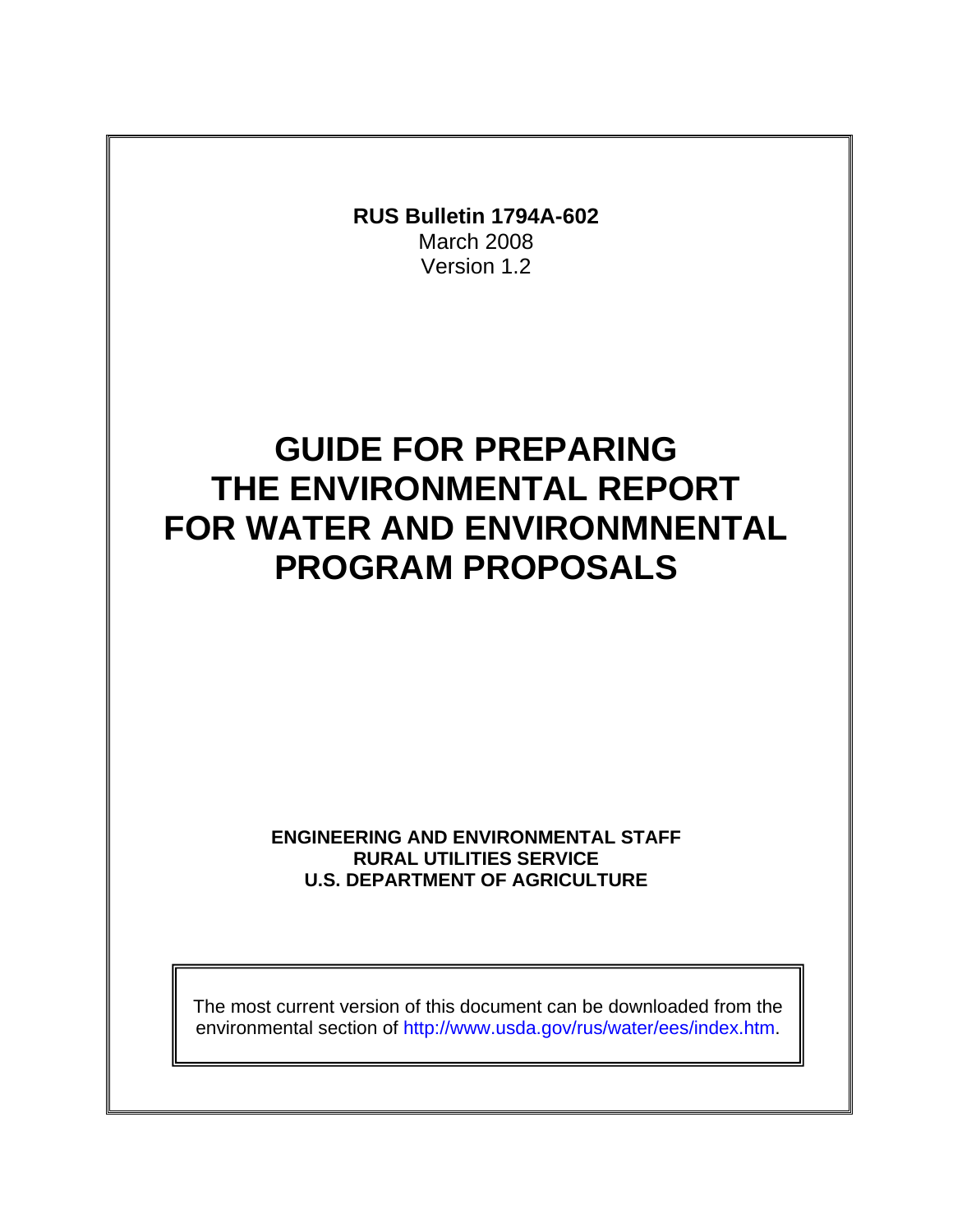

The most current version of this document can be downloaded from the environmental section of [http://www.usda.gov/rus/water/ees/](http://www.usda.gov/rus/water/ees)index.htm.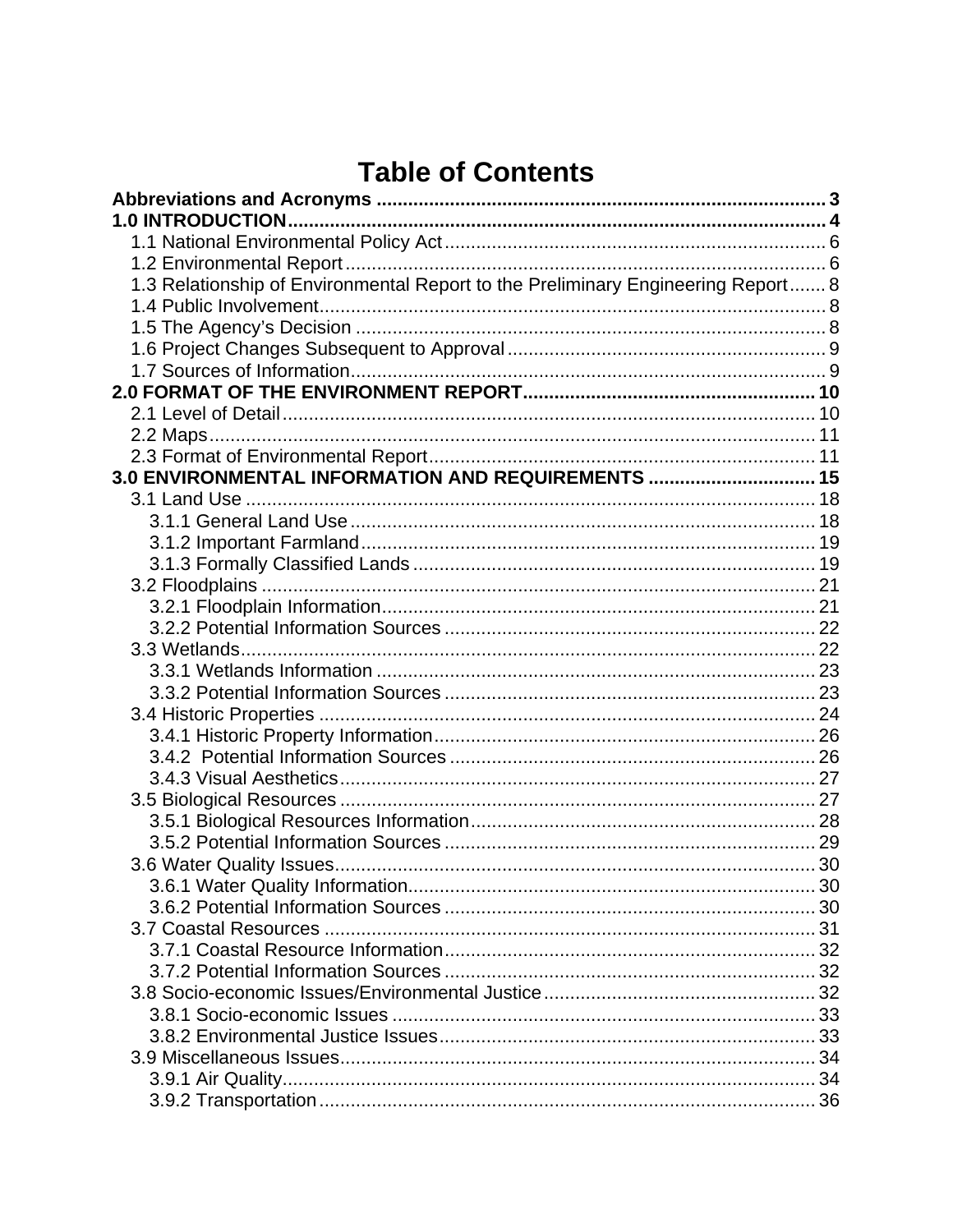# **Table of Contents**

| 1.3 Relationship of Environmental Report to the Preliminary Engineering Report 8 |  |
|----------------------------------------------------------------------------------|--|
|                                                                                  |  |
|                                                                                  |  |
|                                                                                  |  |
|                                                                                  |  |
|                                                                                  |  |
|                                                                                  |  |
|                                                                                  |  |
|                                                                                  |  |
| 3.0 ENVIRONMENTAL INFORMATION AND REQUIREMENTS  15                               |  |
|                                                                                  |  |
|                                                                                  |  |
|                                                                                  |  |
|                                                                                  |  |
|                                                                                  |  |
|                                                                                  |  |
|                                                                                  |  |
|                                                                                  |  |
|                                                                                  |  |
|                                                                                  |  |
|                                                                                  |  |
|                                                                                  |  |
|                                                                                  |  |
|                                                                                  |  |
|                                                                                  |  |
|                                                                                  |  |
|                                                                                  |  |
|                                                                                  |  |
| 3.6.1 Water Quality Information.                                                 |  |
|                                                                                  |  |
|                                                                                  |  |
|                                                                                  |  |
|                                                                                  |  |
|                                                                                  |  |
|                                                                                  |  |
|                                                                                  |  |
|                                                                                  |  |
|                                                                                  |  |
|                                                                                  |  |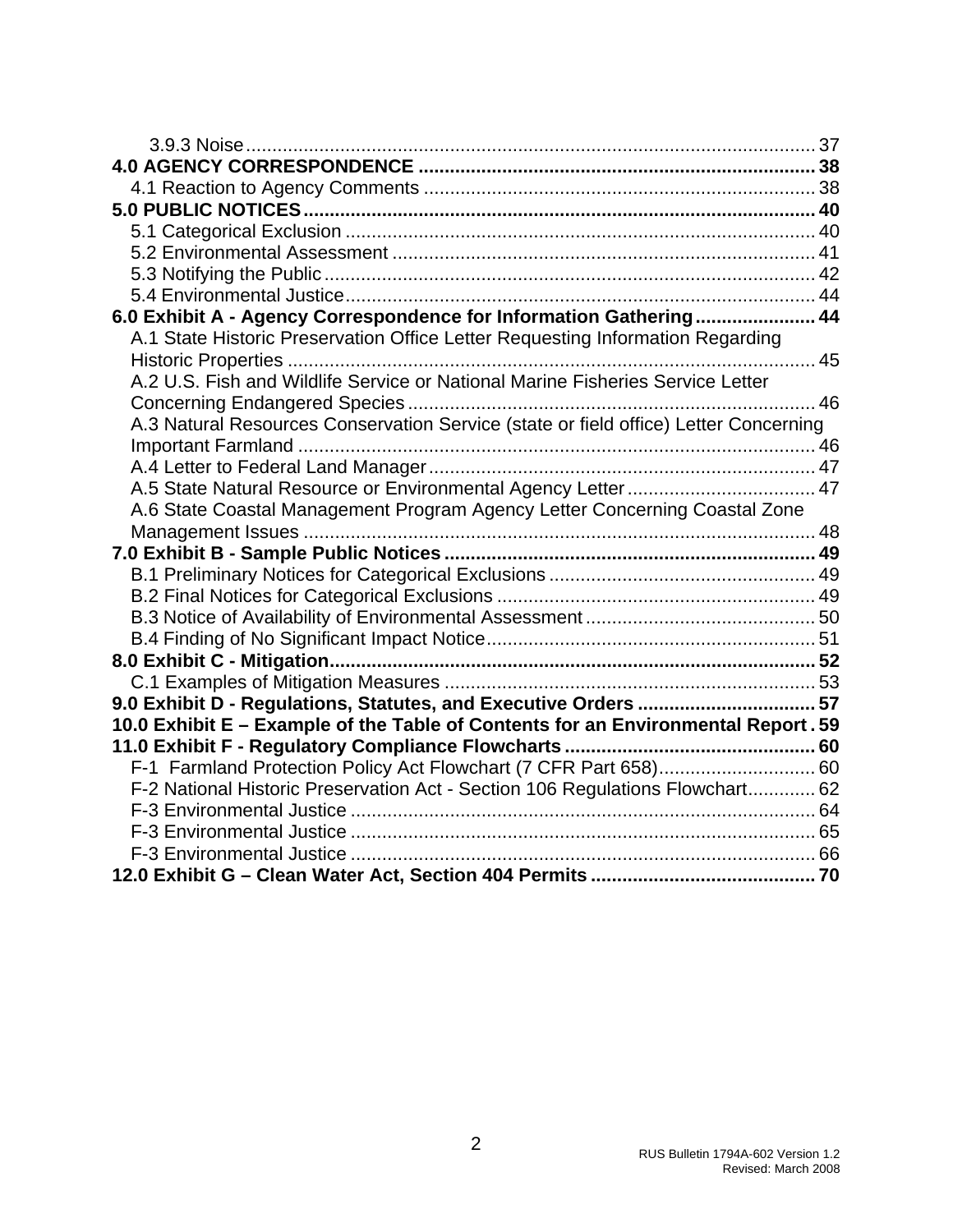| 6.0 Exhibit A - Agency Correspondence for Information Gathering 44                   |  |
|--------------------------------------------------------------------------------------|--|
| A.1 State Historic Preservation Office Letter Requesting Information Regarding       |  |
|                                                                                      |  |
| A.2 U.S. Fish and Wildlife Service or National Marine Fisheries Service Letter       |  |
|                                                                                      |  |
| A.3 Natural Resources Conservation Service (state or field office) Letter Concerning |  |
|                                                                                      |  |
|                                                                                      |  |
|                                                                                      |  |
| A.6 State Coastal Management Program Agency Letter Concerning Coastal Zone           |  |
|                                                                                      |  |
|                                                                                      |  |
|                                                                                      |  |
|                                                                                      |  |
|                                                                                      |  |
|                                                                                      |  |
|                                                                                      |  |
|                                                                                      |  |
| 9.0 Exhibit D - Regulations, Statutes, and Executive Orders  57                      |  |
| 10.0 Exhibit E - Example of the Table of Contents for an Environmental Report. 59    |  |
|                                                                                      |  |
|                                                                                      |  |
| F-2 National Historic Preservation Act - Section 106 Regulations Flowchart 62        |  |
|                                                                                      |  |
|                                                                                      |  |
|                                                                                      |  |
|                                                                                      |  |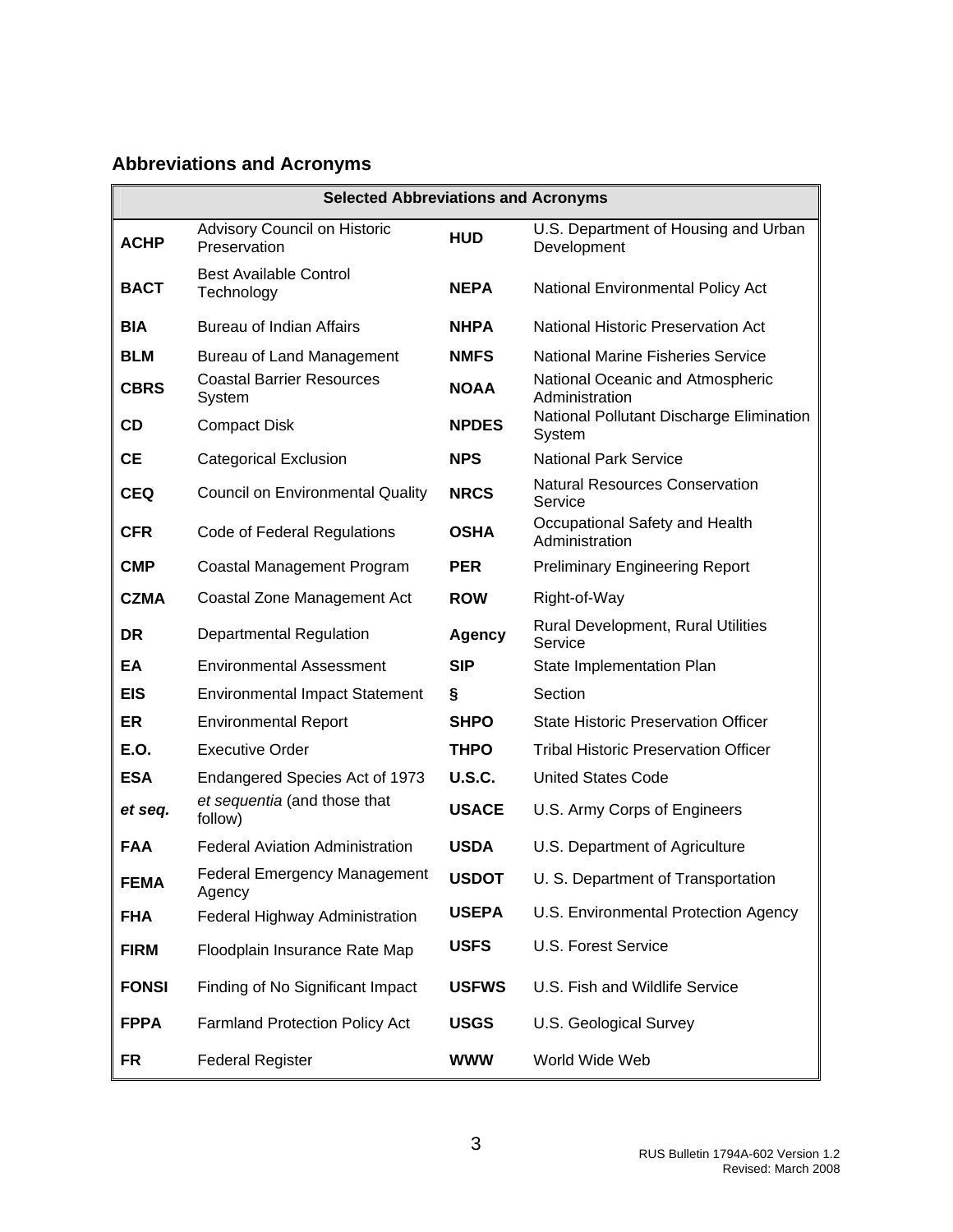# <span id="page-3-0"></span>**Abbreviations and Acronyms**

| <b>Selected Abbreviations and Acronyms</b> |                                               |               |                                                      |  |
|--------------------------------------------|-----------------------------------------------|---------------|------------------------------------------------------|--|
| <b>ACHP</b>                                | Advisory Council on Historic<br>Preservation  | <b>HUD</b>    | U.S. Department of Housing and Urban<br>Development  |  |
| <b>BACT</b>                                | <b>Best Available Control</b><br>Technology   | <b>NEPA</b>   | National Environmental Policy Act                    |  |
| <b>BIA</b>                                 | <b>Bureau of Indian Affairs</b>               | <b>NHPA</b>   | <b>National Historic Preservation Act</b>            |  |
| <b>BLM</b>                                 | <b>Bureau of Land Management</b>              | <b>NMFS</b>   | <b>National Marine Fisheries Service</b>             |  |
| <b>CBRS</b>                                | <b>Coastal Barrier Resources</b><br>System    | <b>NOAA</b>   | National Oceanic and Atmospheric<br>Administration   |  |
| <b>CD</b>                                  | <b>Compact Disk</b>                           | <b>NPDES</b>  | National Pollutant Discharge Elimination<br>System   |  |
| <b>CE</b>                                  | <b>Categorical Exclusion</b>                  | <b>NPS</b>    | <b>National Park Service</b>                         |  |
| <b>CEQ</b>                                 | <b>Council on Environmental Quality</b>       | <b>NRCS</b>   | <b>Natural Resources Conservation</b><br>Service     |  |
| <b>CFR</b>                                 | Code of Federal Regulations                   | <b>OSHA</b>   | Occupational Safety and Health<br>Administration     |  |
| <b>CMP</b>                                 | Coastal Management Program                    | <b>PER</b>    | <b>Preliminary Engineering Report</b>                |  |
| <b>CZMA</b>                                | Coastal Zone Management Act                   | <b>ROW</b>    | Right-of-Way                                         |  |
| <b>DR</b>                                  | <b>Departmental Regulation</b>                | <b>Agency</b> | <b>Rural Development, Rural Utilities</b><br>Service |  |
| EA                                         | <b>Environmental Assessment</b>               | <b>SIP</b>    | State Implementation Plan                            |  |
| <b>EIS</b>                                 | <b>Environmental Impact Statement</b>         | Ş             | Section                                              |  |
| <b>ER</b>                                  | <b>Environmental Report</b>                   | <b>SHPO</b>   | <b>State Historic Preservation Officer</b>           |  |
| E.O.                                       | <b>Executive Order</b>                        | <b>THPO</b>   | <b>Tribal Historic Preservation Officer</b>          |  |
| <b>ESA</b>                                 | Endangered Species Act of 1973                | <b>U.S.C.</b> | <b>United States Code</b>                            |  |
| et seq.                                    | et sequentia (and those that<br>follow)       | <b>USACE</b>  | U.S. Army Corps of Engineers                         |  |
| <b>FAA</b>                                 | <b>Federal Aviation Administration</b>        | <b>USDA</b>   | U.S. Department of Agriculture                       |  |
| <b>FEMA</b>                                | <b>Federal Emergency Management</b><br>Agency | <b>USDOT</b>  | U. S. Department of Transportation                   |  |
| <b>FHA</b>                                 | Federal Highway Administration                | <b>USEPA</b>  | U.S. Environmental Protection Agency                 |  |
| <b>FIRM</b>                                | Floodplain Insurance Rate Map                 | <b>USFS</b>   | U.S. Forest Service                                  |  |
| <b>FONSI</b>                               | Finding of No Significant Impact              | <b>USFWS</b>  | U.S. Fish and Wildlife Service                       |  |
| <b>FPPA</b>                                | <b>Farmland Protection Policy Act</b>         | <b>USGS</b>   | U.S. Geological Survey                               |  |
| <b>FR</b>                                  | <b>Federal Register</b>                       | <b>WWW</b>    | World Wide Web                                       |  |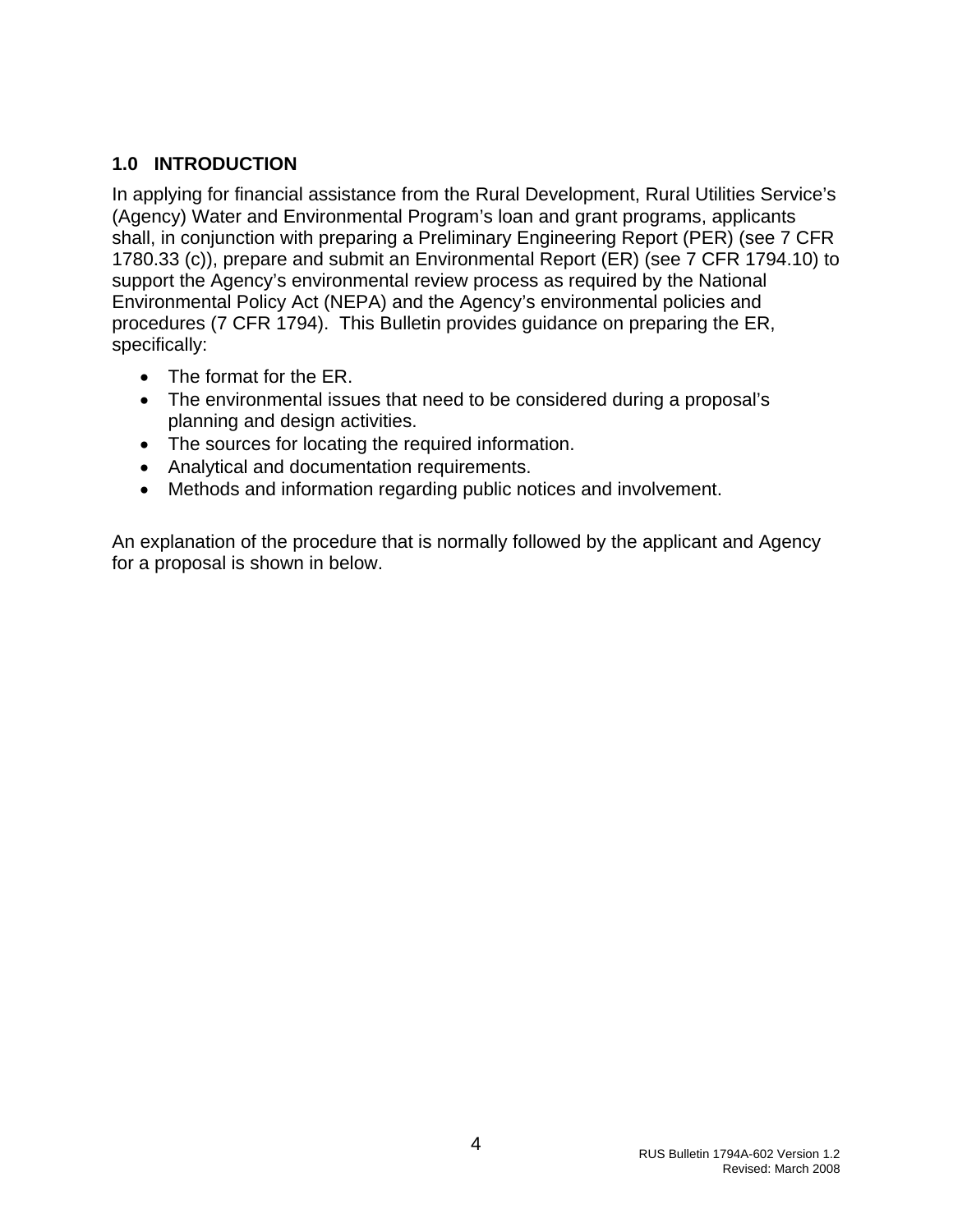## <span id="page-4-0"></span>**1.0 INTRODUCTION**

In applying for financial assistance from the Rural Development, Rural Utilities Service's (Agency) Water and Environmental Program's loan and grant programs, applicants shall, in conjunction with preparing a Preliminary Engineering Report (PER) (see 7 CFR 1780.33 (c)), prepare and submit an Environmental Report (ER) (see 7 CFR 1794.10) to support the Agency's environmental review process as required by the National Environmental Policy Act (NEPA) and the Agency's environmental policies and procedures (7 CFR 1794). This Bulletin provides guidance on preparing the ER, specifically:

- The format for the ER.
- The environmental issues that need to be considered during a proposal's planning and design activities.
- The sources for locating the required information.
- Analytical and documentation requirements.
- Methods and information regarding public notices and involvement.

An explanation of the procedure that is normally followed by the applicant and Agency for a proposal is shown in below.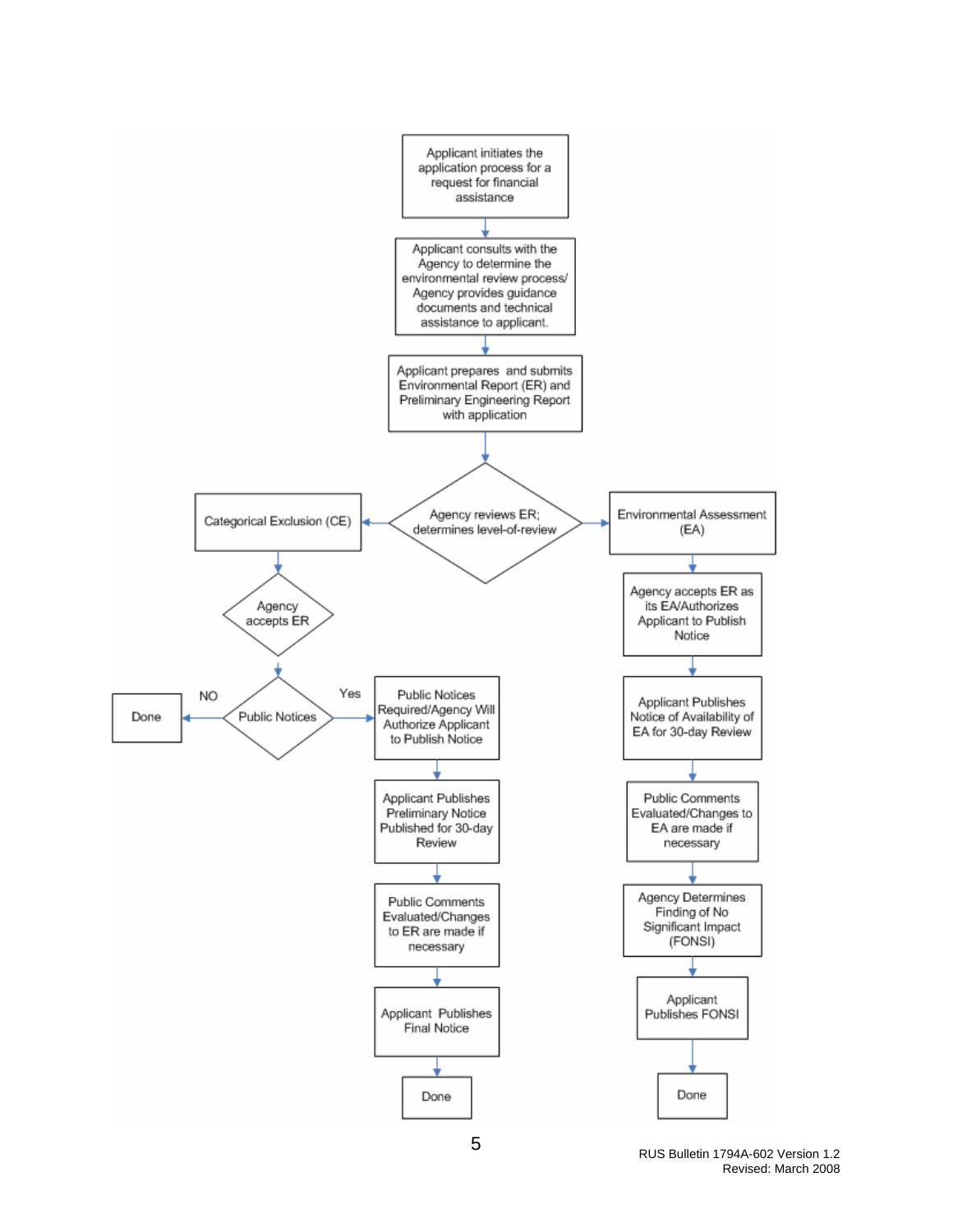

RUS Bulletin 1794A-602 Version 1.2 Revised: March 2008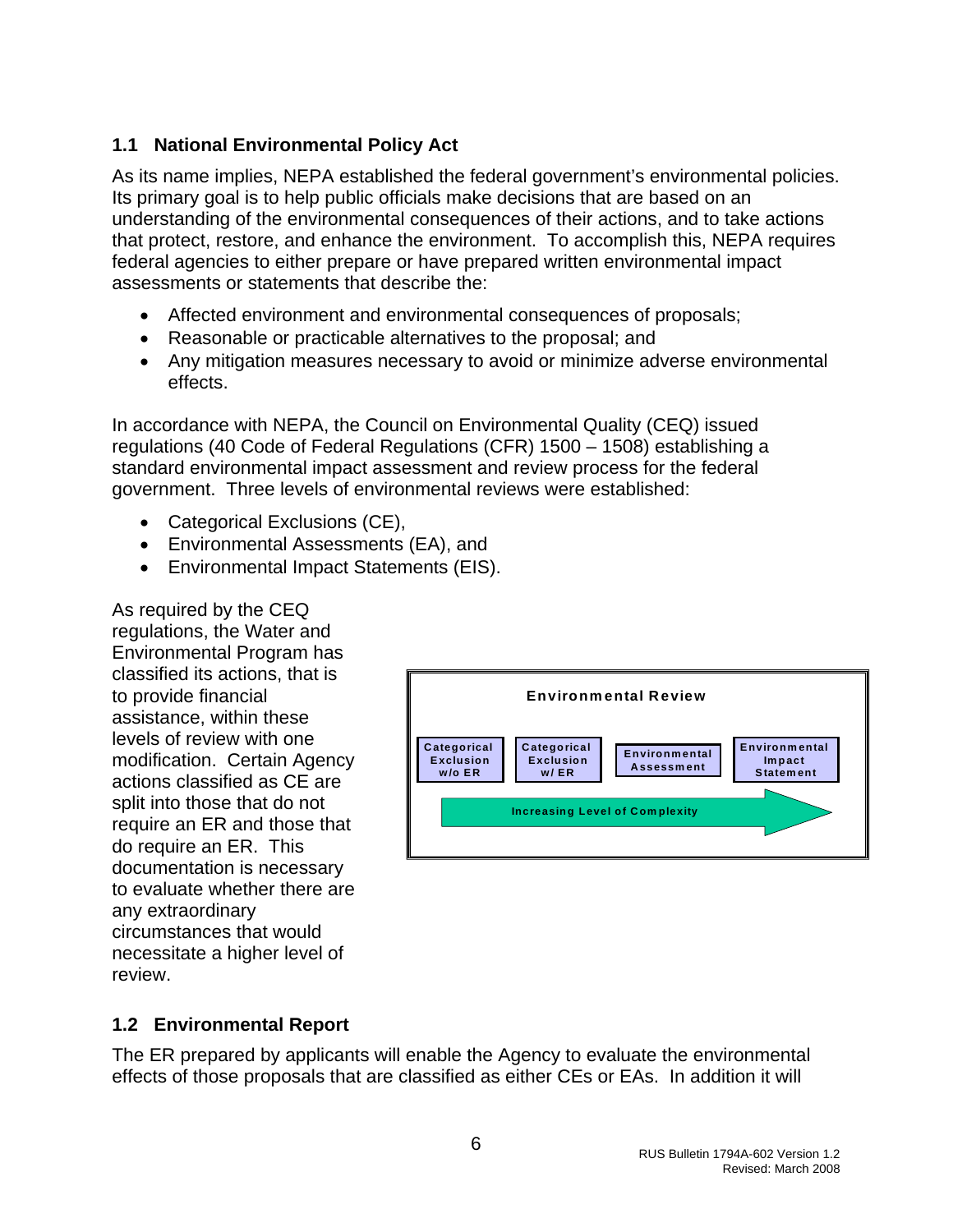# <span id="page-6-0"></span>**1.1 National Environmental Policy Act**

As its name implies, NEPA established the federal government's environmental policies. Its primary goal is to help public officials make decisions that are based on an understanding of the environmental consequences of their actions, and to take actions that protect, restore, and enhance the environment. To accomplish this, NEPA requires federal agencies to either prepare or have prepared written environmental impact assessments or statements that describe the:

- Affected environment and environmental consequences of proposals;
- Reasonable or practicable alternatives to the proposal; and
- Any mitigation measures necessary to avoid or minimize adverse environmental effects.

In accordance with NEPA, the Council on Environmental Quality (CEQ) issued regulations (40 Code of Federal Regulations (CFR) 1500 – 1508) establishing a standard environmental impact assessment and review process for the federal government. Three levels of environmental reviews were established:

- Categorical Exclusions (CE),
- Environmental Assessments (EA), and
- Environmental Impact Statements (EIS).

As required by the CEQ regulations, the Water and Environmental Program has classified its actions, that is to provide financial assistance, within these levels of review with one modification. Certain Agency actions classified as CE are split into those that do not require an ER and those that do require an ER. This documentation is necessary to evaluate whether there are any extraordinary circumstances that would necessitate a higher level of review.



# **1.2 Environmental Report**

The ER prepared by applicants will enable the Agency to evaluate the environmental effects of those proposals that are classified as either CEs or EAs. In addition it will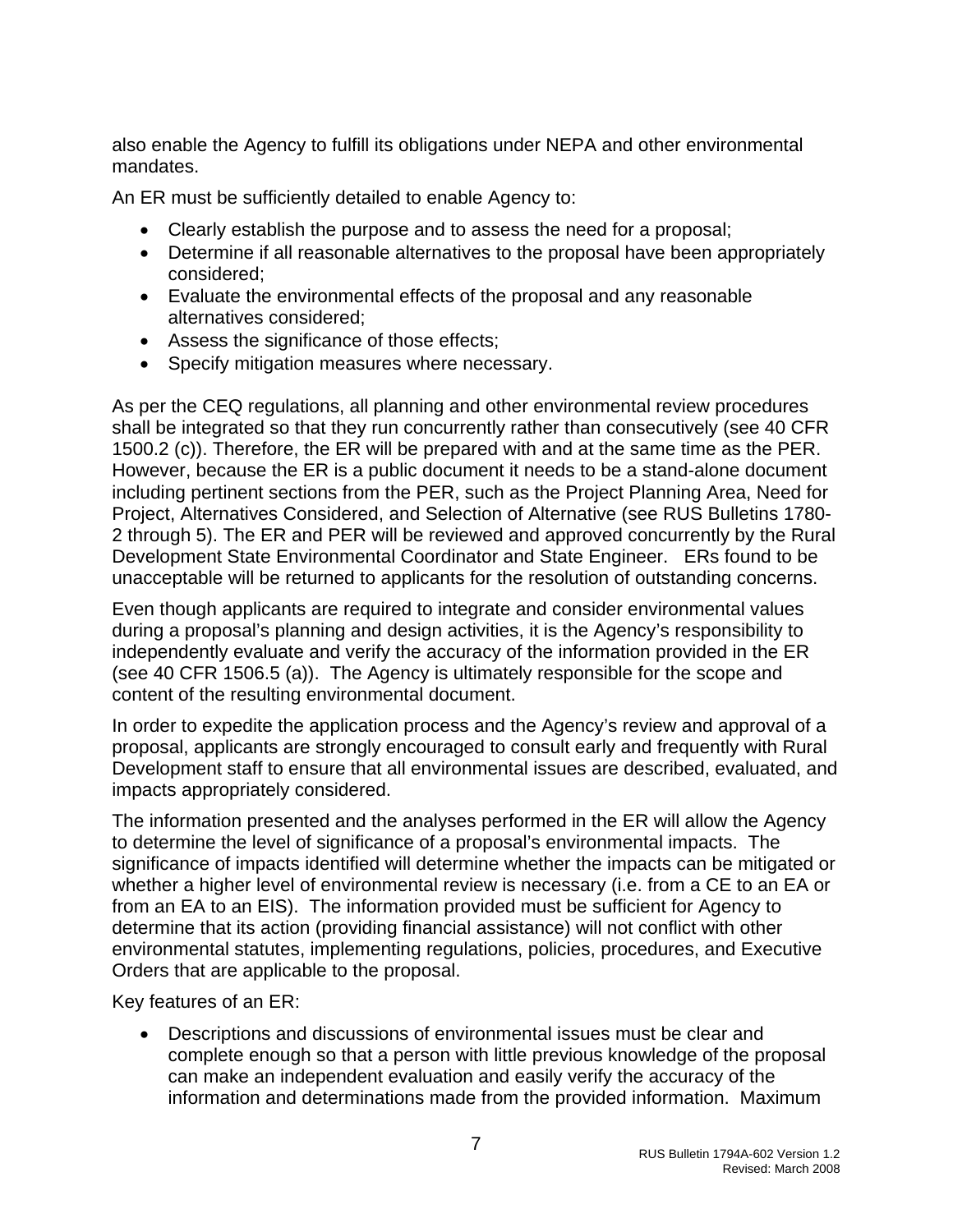also enable the Agency to fulfill its obligations under NEPA and other environmental mandates.

An ER must be sufficiently detailed to enable Agency to:

- Clearly establish the purpose and to assess the need for a proposal;
- Determine if all reasonable alternatives to the proposal have been appropriately considered;
- Evaluate the environmental effects of the proposal and any reasonable alternatives considered;
- Assess the significance of those effects;
- Specify mitigation measures where necessary.

As per the CEQ regulations, all planning and other environmental review procedures shall be integrated so that they run concurrently rather than consecutively (see 40 CFR 1500.2 (c)). Therefore, the ER will be prepared with and at the same time as the PER. However, because the ER is a public document it needs to be a stand-alone document including pertinent sections from the PER, such as the Project Planning Area, Need for Project, Alternatives Considered, and Selection of Alternative (see RUS Bulletins 1780- 2 through 5). The ER and PER will be reviewed and approved concurrently by the Rural Development State Environmental Coordinator and State Engineer. ERs found to be unacceptable will be returned to applicants for the resolution of outstanding concerns.

Even though applicants are required to integrate and consider environmental values during a proposal's planning and design activities, it is the Agency's responsibility to independently evaluate and verify the accuracy of the information provided in the ER (see 40 CFR 1506.5 (a)). The Agency is ultimately responsible for the scope and content of the resulting environmental document.

In order to expedite the application process and the Agency's review and approval of a proposal, applicants are strongly encouraged to consult early and frequently with Rural Development staff to ensure that all environmental issues are described, evaluated, and impacts appropriately considered.

The information presented and the analyses performed in the ER will allow the Agency to determine the level of significance of a proposal's environmental impacts. The significance of impacts identified will determine whether the impacts can be mitigated or whether a higher level of environmental review is necessary (i.e. from a CE to an EA or from an EA to an EIS). The information provided must be sufficient for Agency to determine that its action (providing financial assistance) will not conflict with other environmental statutes, implementing regulations, policies, procedures, and Executive Orders that are applicable to the proposal.

Key features of an ER:

• Descriptions and discussions of environmental issues must be clear and complete enough so that a person with little previous knowledge of the proposal can make an independent evaluation and easily verify the accuracy of the information and determinations made from the provided information. Maximum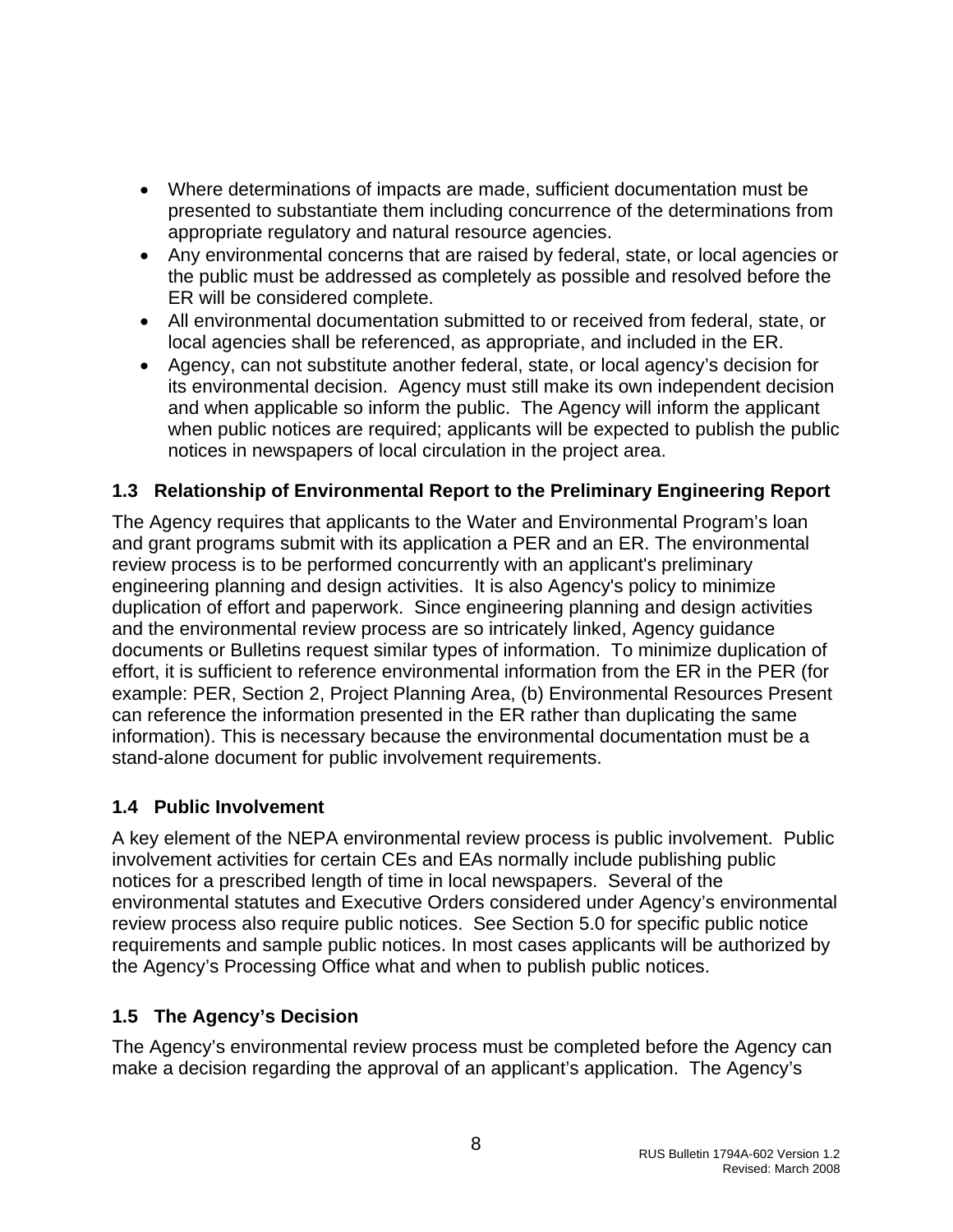- <span id="page-8-0"></span>• Where determinations of impacts are made, sufficient documentation must be presented to substantiate them including concurrence of the determinations from appropriate regulatory and natural resource agencies.
- Any environmental concerns that are raised by federal, state, or local agencies or the public must be addressed as completely as possible and resolved before the ER will be considered complete.
- All environmental documentation submitted to or received from federal, state, or local agencies shall be referenced, as appropriate, and included in the ER.
- Agency, can not substitute another federal, state, or local agency's decision for its environmental decision. Agency must still make its own independent decision and when applicable so inform the public. The Agency will inform the applicant when public notices are required; applicants will be expected to publish the public notices in newspapers of local circulation in the project area.

### **1.3 Relationship of Environmental Report to the Preliminary Engineering Report**

The Agency requires that applicants to the Water and Environmental Program's loan and grant programs submit with its application a PER and an ER. The environmental review process is to be performed concurrently with an applicant's preliminary engineering planning and design activities. It is also Agency's policy to minimize duplication of effort and paperwork. Since engineering planning and design activities and the environmental review process are so intricately linked, Agency guidance documents or Bulletins request similar types of information. To minimize duplication of effort, it is sufficient to reference environmental information from the ER in the PER (for example: PER, Section 2, Project Planning Area, (b) Environmental Resources Present can reference the information presented in the ER rather than duplicating the same information). This is necessary because the environmental documentation must be a stand-alone document for public involvement requirements.

# **1.4 Public Involvement**

A key element of the NEPA environmental review process is public involvement. Public involvement activities for certain CEs and EAs normally include publishing public notices for a prescribed length of time in local newspapers. Several of the environmental statutes and Executive Orders considered under Agency's environmental review process also require public notices. See Section 5.0 for specific public notice requirements and sample public notices. In most cases applicants will be authorized by the Agency's Processing Office what and when to publish public notices.

# **1.5 The Agency's Decision**

The Agency's environmental review process must be completed before the Agency can make a decision regarding the approval of an applicant's application. The Agency's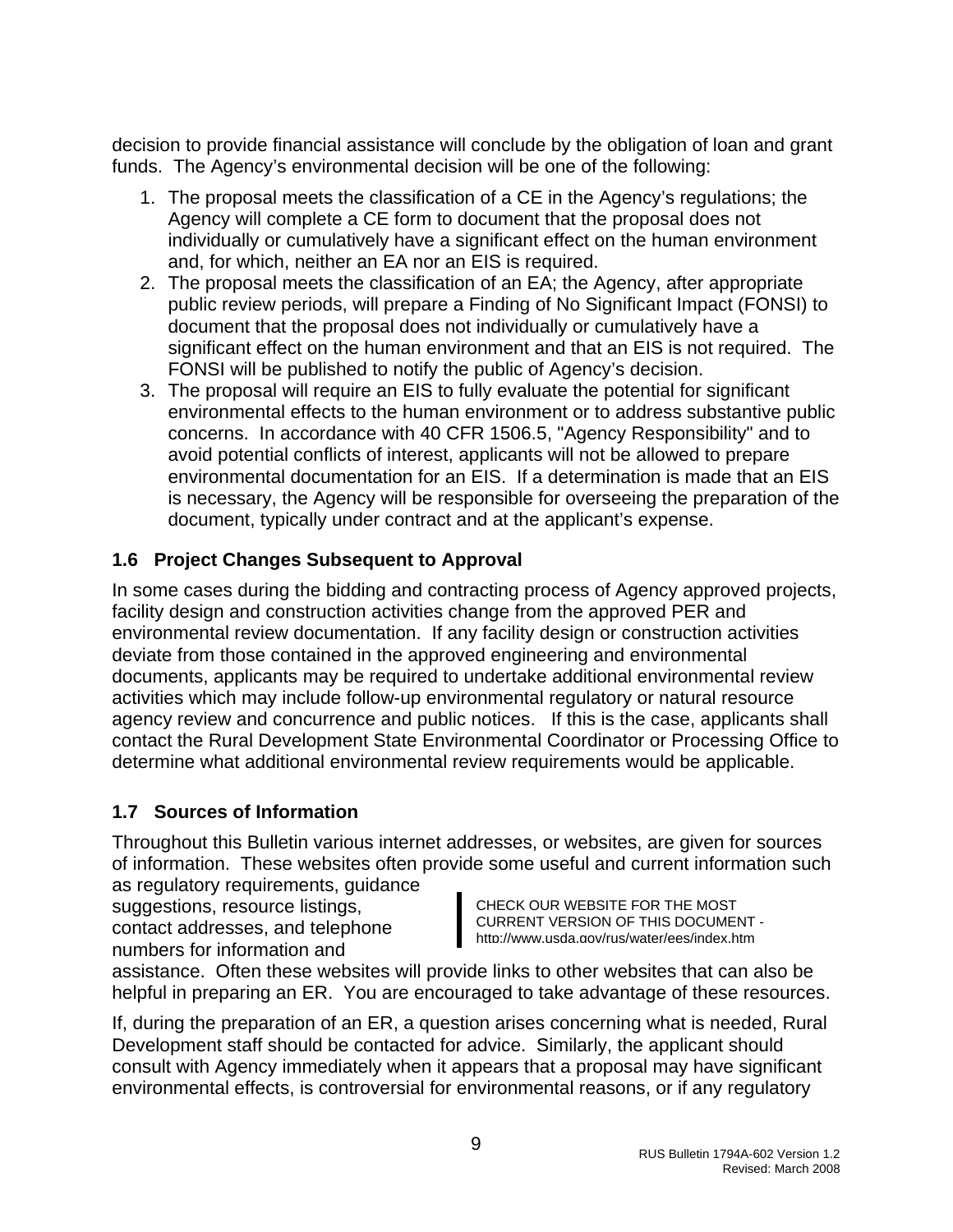<span id="page-9-0"></span>decision to provide financial assistance will conclude by the obligation of loan and grant funds. The Agency's environmental decision will be one of the following:

- 1. The proposal meets the classification of a CE in the Agency's regulations; the Agency will complete a CE form to document that the proposal does not individually or cumulatively have a significant effect on the human environment and, for which, neither an EA nor an EIS is required.
- 2. The proposal meets the classification of an EA; the Agency, after appropriate public review periods, will prepare a Finding of No Significant Impact (FONSI) to document that the proposal does not individually or cumulatively have a significant effect on the human environment and that an EIS is not required. The FONSI will be published to notify the public of Agency's decision.
- 3. The proposal will require an EIS to fully evaluate the potential for significant environmental effects to the human environment or to address substantive public concerns. In accordance with 40 CFR 1506.5, "Agency Responsibility" and to avoid potential conflicts of interest, applicants will not be allowed to prepare environmental documentation for an EIS. If a determination is made that an EIS is necessary, the Agency will be responsible for overseeing the preparation of the document, typically under contract and at the applicant's expense.

# **1.6 Project Changes Subsequent to Approval**

In some cases during the bidding and contracting process of Agency approved projects, facility design and construction activities change from the approved PER and environmental review documentation. If any facility design or construction activities deviate from those contained in the approved engineering and environmental documents, applicants may be required to undertake additional environmental review activities which may include follow-up environmental regulatory or natural resource agency review and concurrence and public notices. If this is the case, applicants shall contact the Rural Development State Environmental Coordinator or Processing Office to determine what additional environmental review requirements would be applicable.

# **1.7 Sources of Information**

Throughout this Bulletin various internet addresses, or websites, are given for sources of information. These websites often provide some useful and current information such as regulatory requirements, guidance

suggestions, resource listings, contact addresses, and telephone numbers for information and

CHECK OUR WEBSITE FOR THE MOST CURRENT VERSION OF THIS DOCUMENT http://www.usda.gov/rus/water/ees/index.htm

assistance. Often these websites will provide links to other websites that can also be helpful in preparing an ER. You are encouraged to take advantage of these resources.

If, during the preparation of an ER, a question arises concerning what is needed, Rural Development staff should be contacted for advice. Similarly, the applicant should consult with Agency immediately when it appears that a proposal may have significant environmental effects, is controversial for environmental reasons, or if any regulatory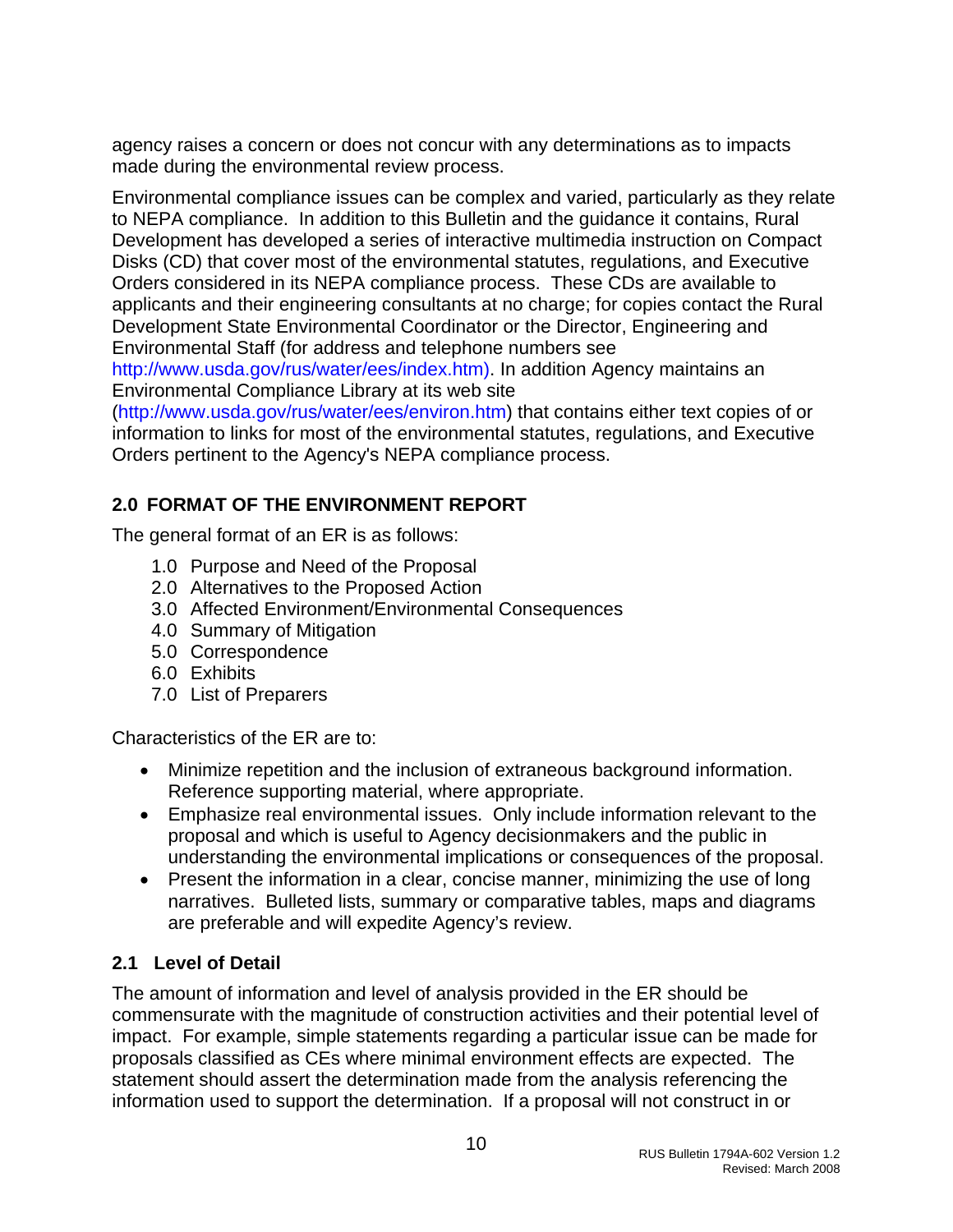<span id="page-10-0"></span>agency raises a concern or does not concur with any determinations as to impacts made during the environmental review process.

Environmental compliance issues can be complex and varied, particularly as they relate to NEPA compliance. In addition to this Bulletin and the guidance it contains, Rural Development has developed a series of interactive multimedia instruction on Compact Disks (CD) that cover most of the environmental statutes, regulations, and Executive Orders considered in its NEPA compliance process. These CDs are available to applicants and their engineering consultants at no charge; for copies contact the Rural Development State Environmental Coordinator or the Director, Engineering and Environmental Staff (for address and telephone numbers see

[http://www.usda.gov/rus/water/ees/index.htm\).](http://www.usda.gov/rus/water/ees/index.htm)) In addition Agency maintains an Environmental Compliance Library at its web site

(<http://www.usda.gov/rus/water/ees/environ.htm>) that contains either text copies of or information to links for most of the environmental statutes, regulations, and Executive Orders pertinent to the Agency's NEPA compliance process.

# **2.0 FORMAT OF THE ENVIRONMENT REPORT**

The general format of an ER is as follows:

- 1.0 Purpose and Need of the Proposal
- 2.0 Alternatives to the Proposed Action
- 3.0 Affected Environment/Environmental Consequences
- 4.0 Summary of Mitigation
- 5.0 Correspondence
- 6.0 Exhibits
- 7.0 List of Preparers

Characteristics of the ER are to:

- Minimize repetition and the inclusion of extraneous background information. Reference supporting material, where appropriate.
- Emphasize real environmental issues. Only include information relevant to the proposal and which is useful to Agency decisionmakers and the public in understanding the environmental implications or consequences of the proposal.
- Present the information in a clear, concise manner, minimizing the use of long narratives. Bulleted lists, summary or comparative tables, maps and diagrams are preferable and will expedite Agency's review.

# **2.1 Level of Detail**

The amount of information and level of analysis provided in the ER should be commensurate with the magnitude of construction activities and their potential level of impact. For example, simple statements regarding a particular issue can be made for proposals classified as CEs where minimal environment effects are expected. The statement should assert the determination made from the analysis referencing the information used to support the determination. If a proposal will not construct in or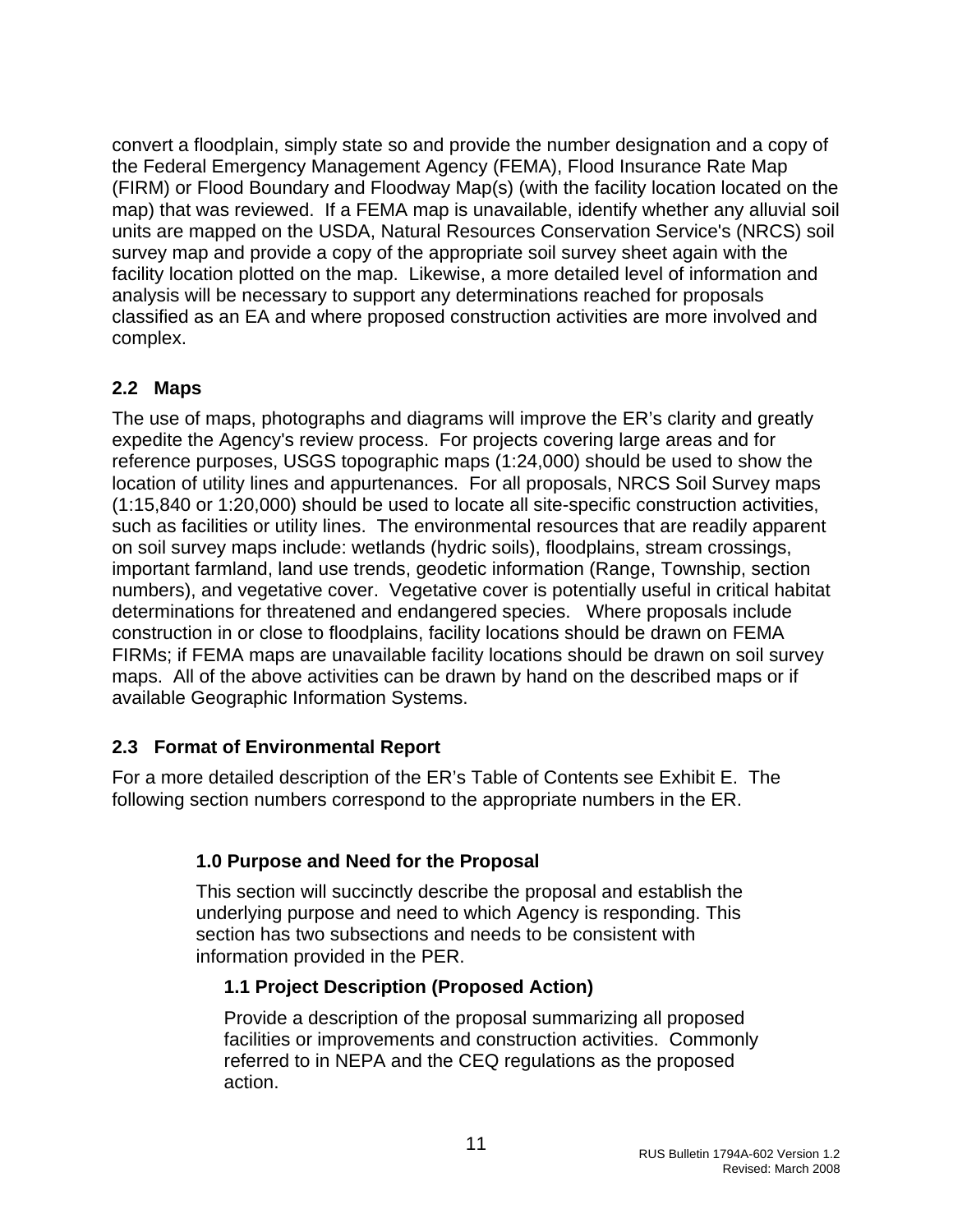<span id="page-11-0"></span>convert a floodplain, simply state so and provide the number designation and a copy of the Federal Emergency Management Agency (FEMA), Flood Insurance Rate Map (FIRM) or Flood Boundary and Floodway Map(s) (with the facility location located on the map) that was reviewed. If a FEMA map is unavailable, identify whether any alluvial soil units are mapped on the USDA, Natural Resources Conservation Service's (NRCS) soil survey map and provide a copy of the appropriate soil survey sheet again with the facility location plotted on the map. Likewise, a more detailed level of information and analysis will be necessary to support any determinations reached for proposals classified as an EA and where proposed construction activities are more involved and complex.

# **2.2 Maps**

The use of maps, photographs and diagrams will improve the ER's clarity and greatly expedite the Agency's review process. For projects covering large areas and for reference purposes, USGS topographic maps (1:24,000) should be used to show the location of utility lines and appurtenances. For all proposals, NRCS Soil Survey maps (1:15,840 or 1:20,000) should be used to locate all site-specific construction activities, such as facilities or utility lines. The environmental resources that are readily apparent on soil survey maps include: wetlands (hydric soils), floodplains, stream crossings, important farmland, land use trends, geodetic information (Range, Township, section numbers), and vegetative cover. Vegetative cover is potentially useful in critical habitat determinations for threatened and endangered species. Where proposals include construction in or close to floodplains, facility locations should be drawn on FEMA FIRMs; if FEMA maps are unavailable facility locations should be drawn on soil survey maps. All of the above activities can be drawn by hand on the described maps or if available Geographic Information Systems.

# **2.3 Format of Environmental Report**

For a more detailed description of the ER's Table of Contents see Exhibit E. The following section numbers correspond to the appropriate numbers in the ER.

# **1.0 Purpose and Need for the Proposal**

This section will succinctly describe the proposal and establish the underlying purpose and need to which Agency is responding. This section has two subsections and needs to be consistent with information provided in the PER.

# **1.1 Project Description (Proposed Action)**

Provide a description of the proposal summarizing all proposed facilities or improvements and construction activities. Commonly referred to in NEPA and the CEQ regulations as the proposed action.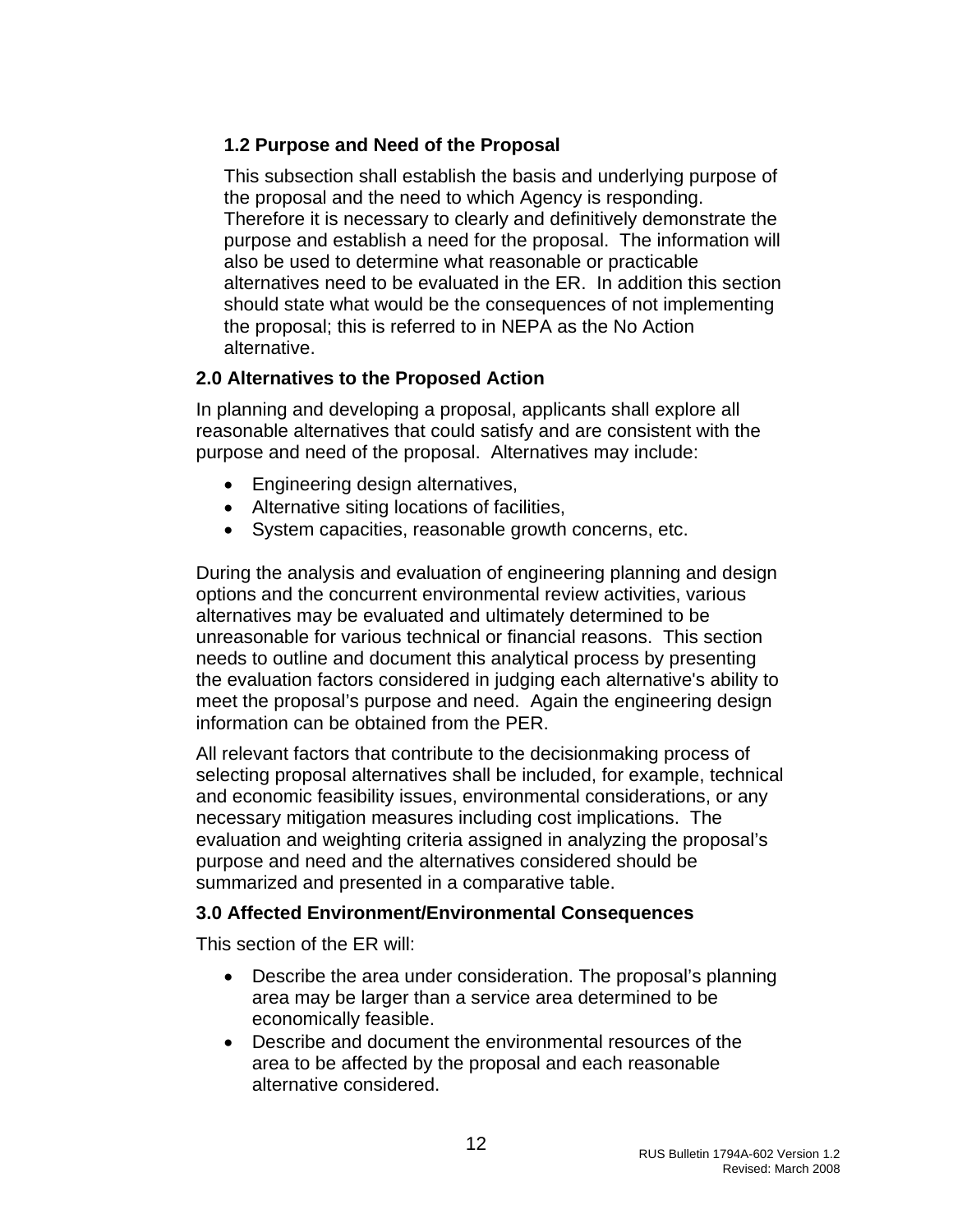# **1.2 Purpose and Need of the Proposal**

This subsection shall establish the basis and underlying purpose of the proposal and the need to which Agency is responding. Therefore it is necessary to clearly and definitively demonstrate the purpose and establish a need for the proposal. The information will also be used to determine what reasonable or practicable alternatives need to be evaluated in the ER. In addition this section should state what would be the consequences of not implementing the proposal; this is referred to in NEPA as the No Action alternative.

#### **2.0 Alternatives to the Proposed Action**

In planning and developing a proposal, applicants shall explore all reasonable alternatives that could satisfy and are consistent with the purpose and need of the proposal. Alternatives may include:

- Engineering design alternatives,
- Alternative siting locations of facilities,
- System capacities, reasonable growth concerns, etc.

During the analysis and evaluation of engineering planning and design options and the concurrent environmental review activities, various alternatives may be evaluated and ultimately determined to be unreasonable for various technical or financial reasons. This section needs to outline and document this analytical process by presenting the evaluation factors considered in judging each alternative's ability to meet the proposal's purpose and need. Again the engineering design information can be obtained from the PER.

All relevant factors that contribute to the decisionmaking process of selecting proposal alternatives shall be included, for example, technical and economic feasibility issues, environmental considerations, or any necessary mitigation measures including cost implications. The evaluation and weighting criteria assigned in analyzing the proposal's purpose and need and the alternatives considered should be summarized and presented in a comparative table.

#### **3.0 Affected Environment/Environmental Consequences**

This section of the ER will:

- Describe the area under consideration. The proposal's planning area may be larger than a service area determined to be economically feasible.
- Describe and document the environmental resources of the area to be affected by the proposal and each reasonable alternative considered.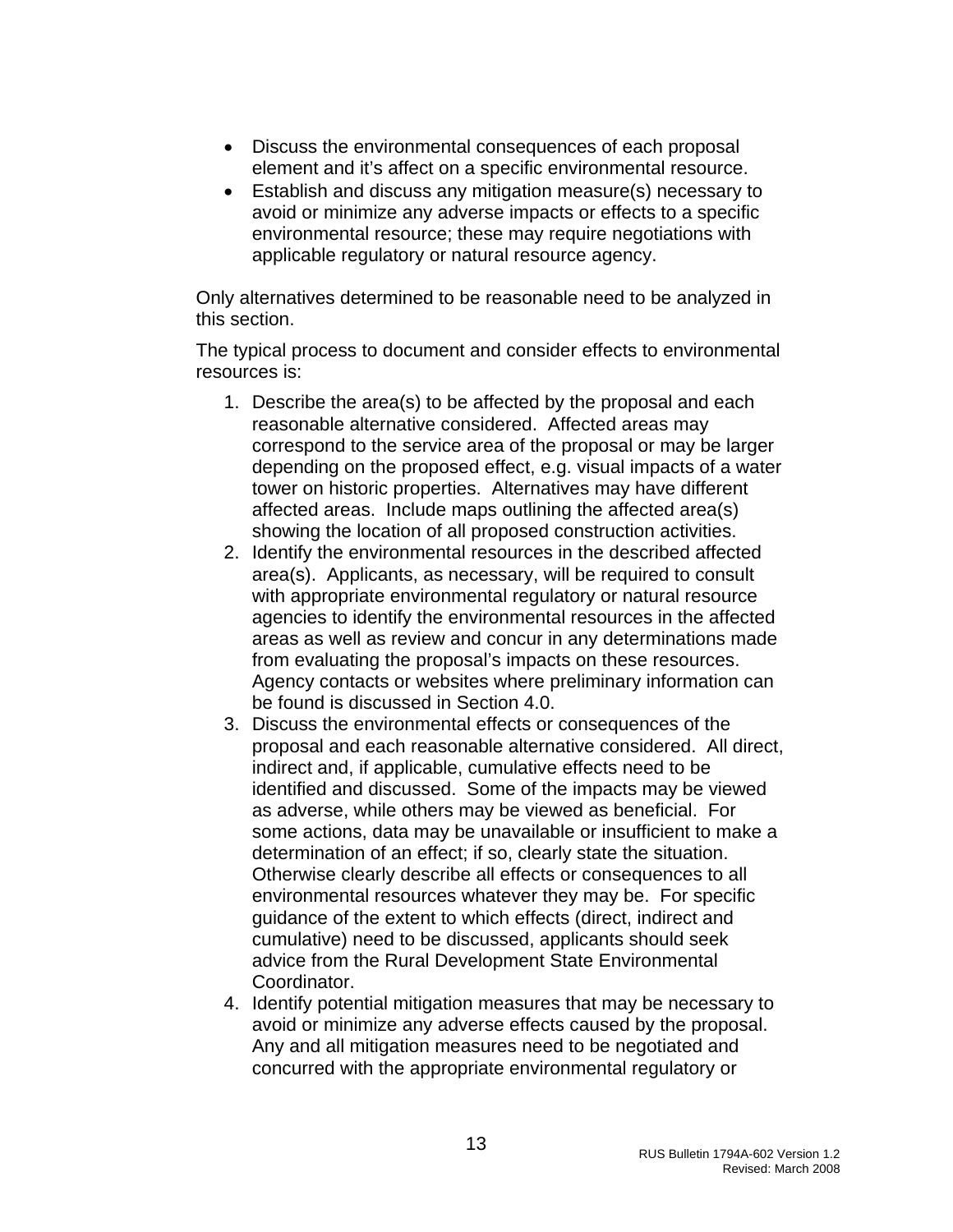- Discuss the environmental consequences of each proposal element and it's affect on a specific environmental resource.
- Establish and discuss any mitigation measure(s) necessary to avoid or minimize any adverse impacts or effects to a specific environmental resource; these may require negotiations with applicable regulatory or natural resource agency.

Only alternatives determined to be reasonable need to be analyzed in this section.

The typical process to document and consider effects to environmental resources is:

- 1. Describe the area(s) to be affected by the proposal and each reasonable alternative considered. Affected areas may correspond to the service area of the proposal or may be larger depending on the proposed effect, e.g. visual impacts of a water tower on historic properties. Alternatives may have different affected areas. Include maps outlining the affected area(s) showing the location of all proposed construction activities.
- 2. Identify the environmental resources in the described affected area(s). Applicants, as necessary, will be required to consult with appropriate environmental regulatory or natural resource agencies to identify the environmental resources in the affected areas as well as review and concur in any determinations made from evaluating the proposal's impacts on these resources. Agency contacts or websites where preliminary information can be found is discussed in Section 4.0.
- 3. Discuss the environmental effects or consequences of the proposal and each reasonable alternative considered. All direct, indirect and, if applicable, cumulative effects need to be identified and discussed. Some of the impacts may be viewed as adverse, while others may be viewed as beneficial. For some actions, data may be unavailable or insufficient to make a determination of an effect; if so, clearly state the situation. Otherwise clearly describe all effects or consequences to all environmental resources whatever they may be. For specific guidance of the extent to which effects (direct, indirect and cumulative) need to be discussed, applicants should seek advice from the Rural Development State Environmental Coordinator.
- 4. Identify potential mitigation measures that may be necessary to avoid or minimize any adverse effects caused by the proposal. Any and all mitigation measures need to be negotiated and concurred with the appropriate environmental regulatory or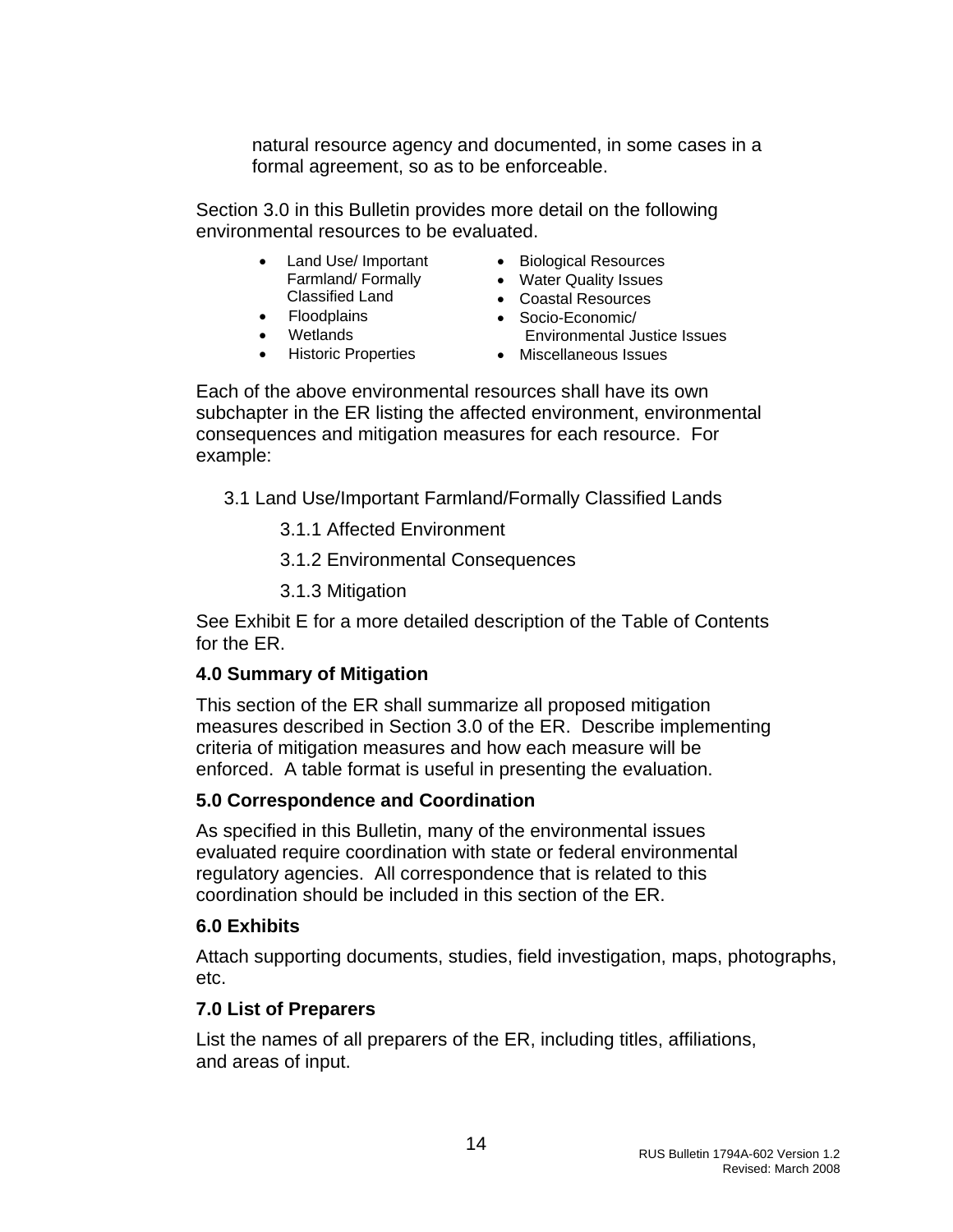natural resource agency and documented, in some cases in a formal agreement, so as to be enforceable.

Section 3.0 in this Bulletin provides more detail on the following environmental resources to be evaluated.

> • Land Use/ Important Farmland/ Formally Classified Land

• Floodplains • Wetlands

- Biological Resources
- Water Quality Issues
- Coastal Resources
- Socio-Economic/ Environmental Justice Issues
- Historic Properties
	- Miscellaneous Issues

Each of the above environmental resources shall have its own subchapter in the ER listing the affected environment, environmental consequences and mitigation measures for each resource. For example:

- 3.1 Land Use/Important Farmland/Formally Classified Lands
	- 3.1.1 Affected Environment
	- 3.1.2 Environmental Consequences
	- 3.1.3 Mitigation

See Exhibit E for a more detailed description of the Table of Contents for the ER.

#### **4.0 Summary of Mitigation**

This section of the ER shall summarize all proposed mitigation measures described in Section 3.0 of the ER. Describe implementing criteria of mitigation measures and how each measure will be enforced. A table format is useful in presenting the evaluation.

#### **5.0 Correspondence and Coordination**

As specified in this Bulletin, many of the environmental issues evaluated require coordination with state or federal environmental regulatory agencies. All correspondence that is related to this coordination should be included in this section of the ER.

#### **6.0 Exhibits**

Attach supporting documents, studies, field investigation, maps, photographs, etc.

#### **7.0 List of Preparers**

List the names of all preparers of the ER, including titles, affiliations, and areas of input.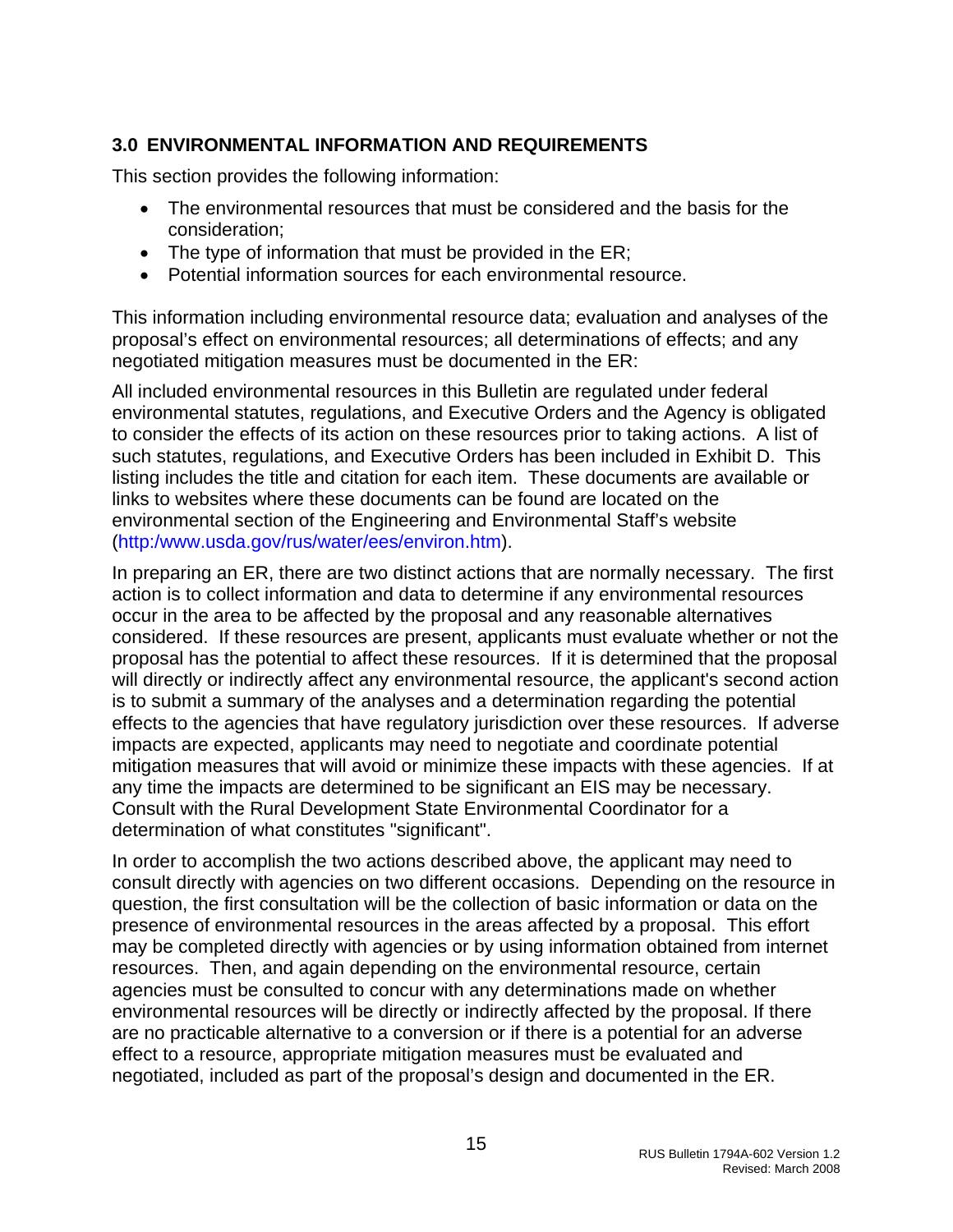### <span id="page-15-0"></span>**3.0 ENVIRONMENTAL INFORMATION AND REQUIREMENTS**

This section provides the following information:

- The environmental resources that must be considered and the basis for the consideration;
- The type of information that must be provided in the ER;
- Potential information sources for each environmental resource.

This information including environmental resource data; evaluation and analyses of the proposal's effect on environmental resources; all determinations of effects; and any negotiated mitigation measures must be documented in the ER:

All included environmental resources in this Bulletin are regulated under federal environmental statutes, regulations, and Executive Orders and the Agency is obligated to consider the effects of its action on these resources prior to taking actions. A list of such statutes, regulations, and Executive Orders has been included in Exhibit D. This listing includes the title and citation for each item. These documents are available or links to websites where these documents can be found are located on the environmental section of the Engineering and Environmental Staff's website (http:/www.usda.gov/rus/water/ees/environ.htm).

In preparing an ER, there are two distinct actions that are normally necessary. The first action is to collect information and data to determine if any environmental resources occur in the area to be affected by the proposal and any reasonable alternatives considered. If these resources are present, applicants must evaluate whether or not the proposal has the potential to affect these resources. If it is determined that the proposal will directly or indirectly affect any environmental resource, the applicant's second action is to submit a summary of the analyses and a determination regarding the potential effects to the agencies that have regulatory jurisdiction over these resources. If adverse impacts are expected, applicants may need to negotiate and coordinate potential mitigation measures that will avoid or minimize these impacts with these agencies. If at any time the impacts are determined to be significant an EIS may be necessary. Consult with the Rural Development State Environmental Coordinator for a determination of what constitutes "significant".

In order to accomplish the two actions described above, the applicant may need to consult directly with agencies on two different occasions. Depending on the resource in question, the first consultation will be the collection of basic information or data on the presence of environmental resources in the areas affected by a proposal. This effort may be completed directly with agencies or by using information obtained from internet resources. Then, and again depending on the environmental resource, certain agencies must be consulted to concur with any determinations made on whether environmental resources will be directly or indirectly affected by the proposal. If there are no practicable alternative to a conversion or if there is a potential for an adverse effect to a resource, appropriate mitigation measures must be evaluated and negotiated, included as part of the proposal's design and documented in the ER.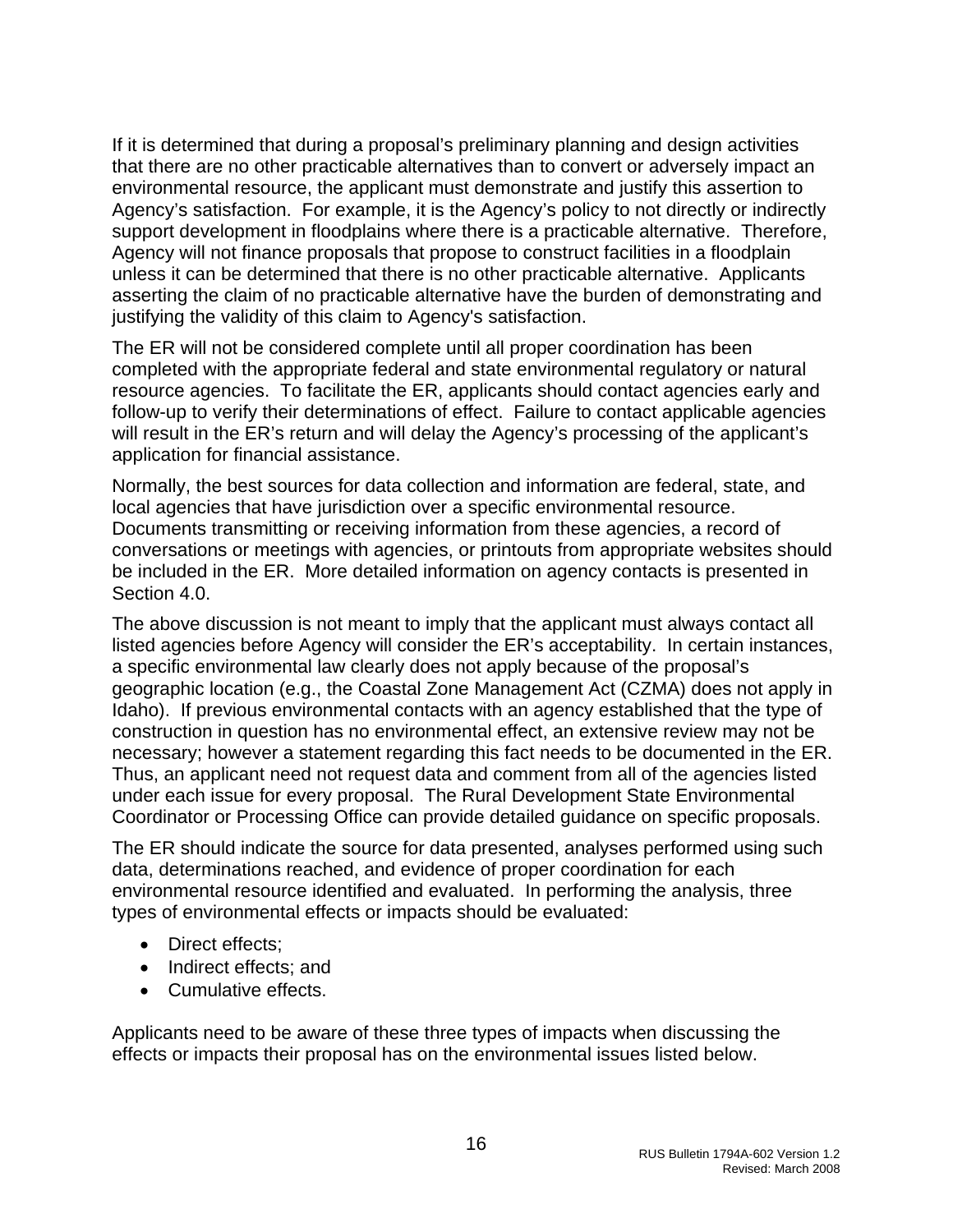If it is determined that during a proposal's preliminary planning and design activities that there are no other practicable alternatives than to convert or adversely impact an environmental resource, the applicant must demonstrate and justify this assertion to Agency's satisfaction. For example, it is the Agency's policy to not directly or indirectly support development in floodplains where there is a practicable alternative. Therefore, Agency will not finance proposals that propose to construct facilities in a floodplain unless it can be determined that there is no other practicable alternative. Applicants asserting the claim of no practicable alternative have the burden of demonstrating and justifying the validity of this claim to Agency's satisfaction.

The ER will not be considered complete until all proper coordination has been completed with the appropriate federal and state environmental regulatory or natural resource agencies. To facilitate the ER, applicants should contact agencies early and follow-up to verify their determinations of effect. Failure to contact applicable agencies will result in the ER's return and will delay the Agency's processing of the applicant's application for financial assistance.

Normally, the best sources for data collection and information are federal, state, and local agencies that have jurisdiction over a specific environmental resource. Documents transmitting or receiving information from these agencies, a record of conversations or meetings with agencies, or printouts from appropriate websites should be included in the ER. More detailed information on agency contacts is presented in Section 4.0.

The above discussion is not meant to imply that the applicant must always contact all listed agencies before Agency will consider the ER's acceptability. In certain instances, a specific environmental law clearly does not apply because of the proposal's geographic location (e.g., the Coastal Zone Management Act (CZMA) does not apply in Idaho). If previous environmental contacts with an agency established that the type of construction in question has no environmental effect, an extensive review may not be necessary; however a statement regarding this fact needs to be documented in the ER. Thus, an applicant need not request data and comment from all of the agencies listed under each issue for every proposal. The Rural Development State Environmental Coordinator or Processing Office can provide detailed guidance on specific proposals.

The ER should indicate the source for data presented, analyses performed using such data, determinations reached, and evidence of proper coordination for each environmental resource identified and evaluated. In performing the analysis, three types of environmental effects or impacts should be evaluated:

- Direct effects:
- Indirect effects; and
- Cumulative effects.

Applicants need to be aware of these three types of impacts when discussing the effects or impacts their proposal has on the environmental issues listed below.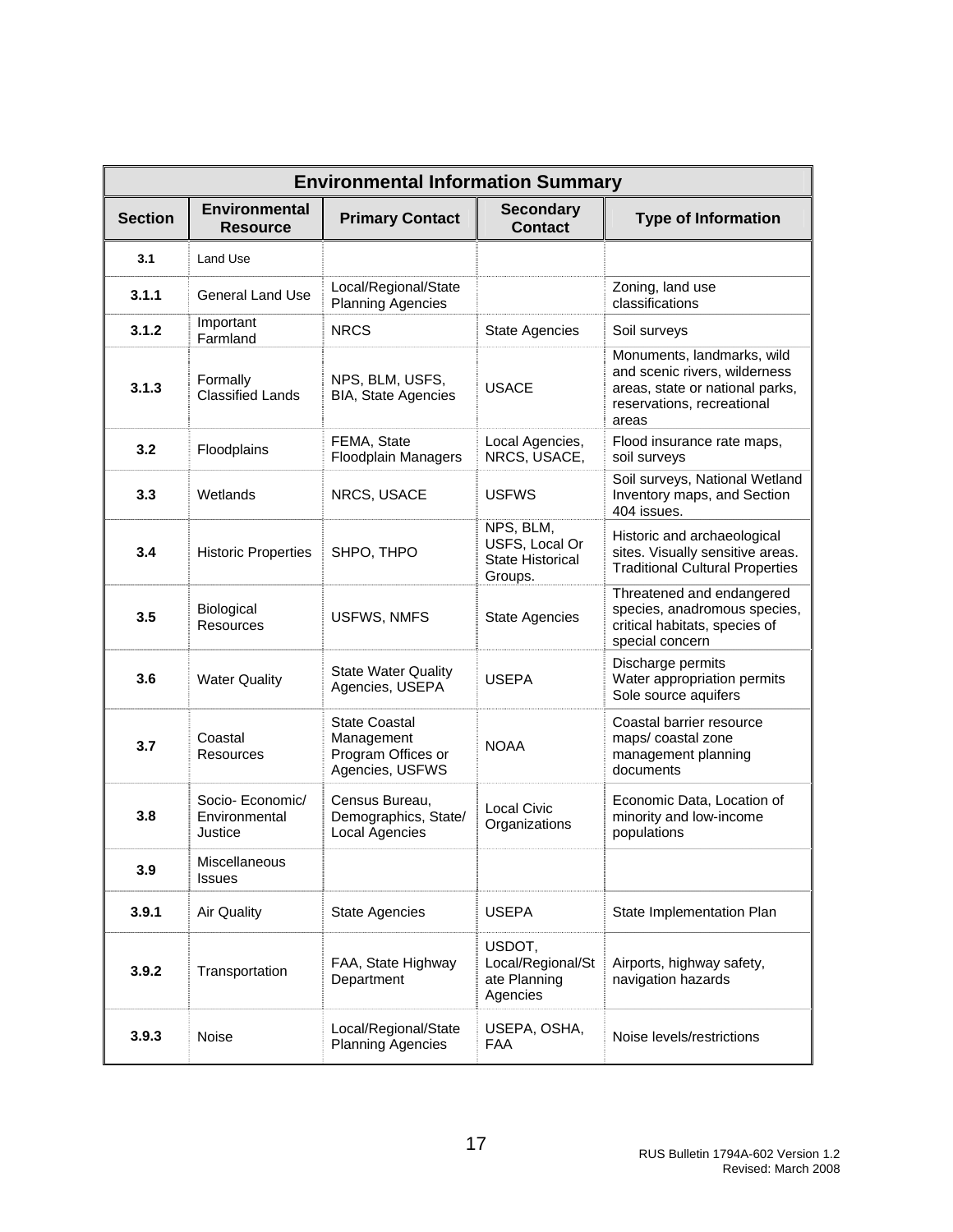| <b>Environmental Information Summary</b> |                                              |                                                                             |                                                            |                                                                                                                                       |
|------------------------------------------|----------------------------------------------|-----------------------------------------------------------------------------|------------------------------------------------------------|---------------------------------------------------------------------------------------------------------------------------------------|
| <b>Section</b>                           | <b>Environmental</b><br><b>Resource</b>      | <b>Primary Contact</b>                                                      | <b>Secondary</b><br><b>Contact</b>                         | <b>Type of Information</b>                                                                                                            |
| 3.1                                      | Land Use                                     |                                                                             |                                                            |                                                                                                                                       |
| 3.1.1                                    | <b>General Land Use</b>                      | Local/Regional/State<br><b>Planning Agencies</b>                            |                                                            | Zoning, land use<br>classifications                                                                                                   |
| 3.1.2                                    | Important<br>Farmland                        | <b>NRCS</b>                                                                 | <b>State Agencies</b>                                      | Soil surveys                                                                                                                          |
| 3.1.3                                    | Formally<br><b>Classified Lands</b>          | NPS, BLM, USFS,<br><b>BIA, State Agencies</b>                               | <b>USACE</b>                                               | Monuments, landmarks, wild<br>and scenic rivers, wilderness<br>areas, state or national parks,<br>reservations, recreational<br>areas |
| 3.2                                      | Floodplains                                  | FEMA, State<br><b>Floodplain Managers</b>                                   | Local Agencies,<br>NRCS, USACE,                            | Flood insurance rate maps,<br>soil surveys                                                                                            |
| 3.3                                      | Wetlands                                     | NRCS, USACE                                                                 | <b>USFWS</b>                                               | Soil surveys, National Wetland<br>Inventory maps, and Section<br>404 issues.                                                          |
| 3.4                                      | <b>Historic Properties</b>                   | SHPO, THPO                                                                  | NPS, BLM,<br>USFS, Local Or<br>State Historical<br>Groups. | Historic and archaeological<br>sites. Visually sensitive areas.<br><b>Traditional Cultural Properties</b>                             |
| 3.5                                      | Biological<br>Resources                      | <b>USFWS, NMFS</b>                                                          | <b>State Agencies</b>                                      | Threatened and endangered<br>species, anadromous species,<br>critical habitats, species of<br>special concern                         |
| 3.6                                      | <b>Water Quality</b>                         | <b>State Water Quality</b><br>Agencies, USEPA                               | <b>USEPA</b>                                               | Discharge permits<br>Water appropriation permits<br>Sole source aquifers                                                              |
| 3.7                                      | Coastal<br>Resources                         | <b>State Coastal</b><br>Management<br>Program Offices or<br>Agencies, USFWS | <b>NOAA</b>                                                | Coastal barrier resource<br>maps/coastal zone<br>management planning<br>documents                                                     |
| 3.8                                      | Socio- Economic/<br>Environmental<br>Justice | Census Bureau,<br>Demographics, State/<br><b>Local Agencies</b>             | Local Civic<br>Organizations                               | Economic Data, Location of<br>minority and low-income<br>populations                                                                  |
| 3.9                                      | Miscellaneous<br><b>Issues</b>               |                                                                             |                                                            |                                                                                                                                       |
| 3.9.1                                    | <b>Air Quality</b>                           | <b>State Agencies</b>                                                       | <b>USEPA</b>                                               | State Implementation Plan                                                                                                             |
| 3.9.2                                    | Transportation                               | FAA, State Highway<br>Department                                            | USDOT,<br>Local/Regional/St<br>ate Planning<br>Agencies    | Airports, highway safety,<br>navigation hazards                                                                                       |
| 3.9.3                                    | <b>Noise</b>                                 | Local/Regional/State<br><b>Planning Agencies</b>                            | USEPA, OSHA,<br><b>FAA</b>                                 | Noise levels/restrictions                                                                                                             |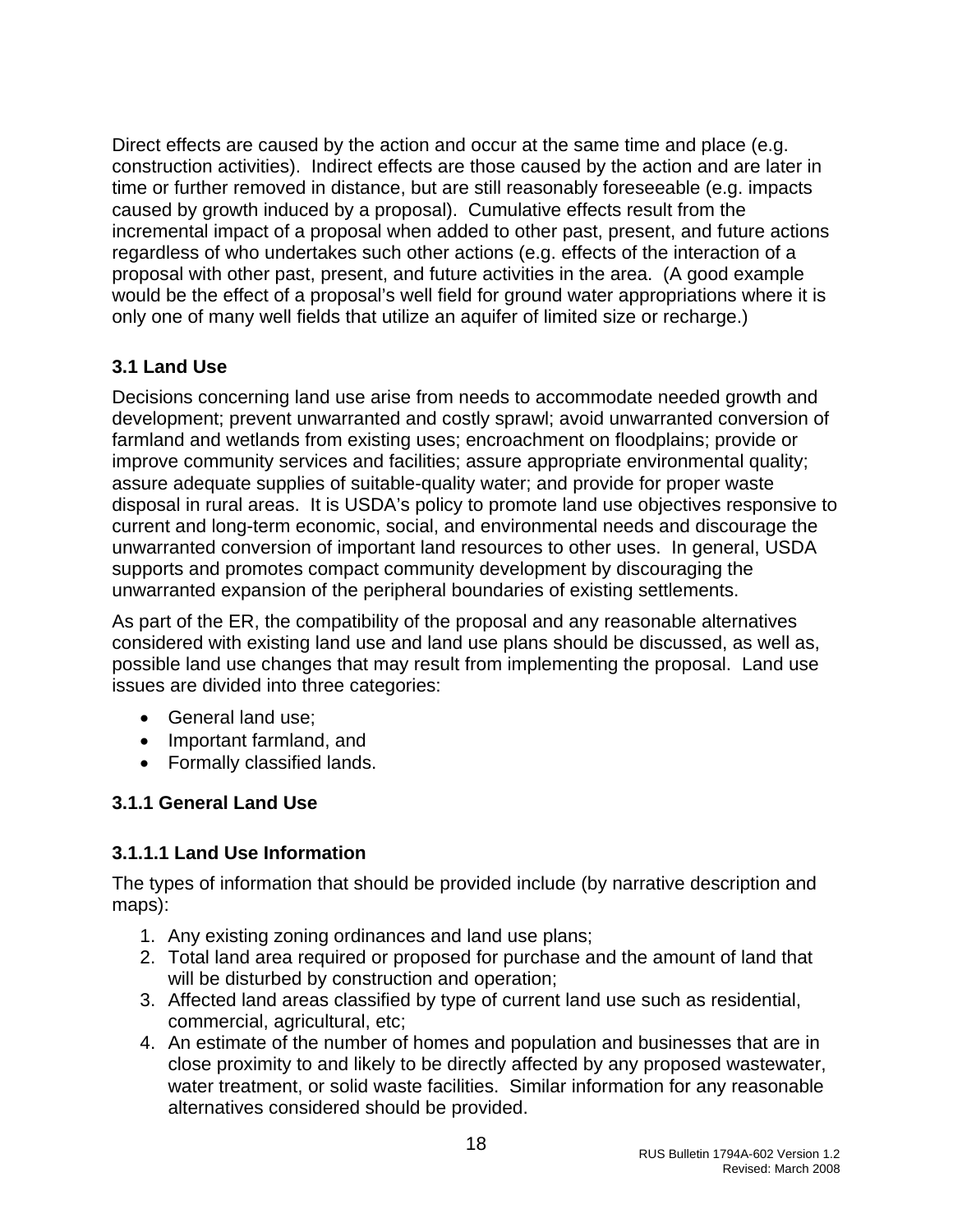<span id="page-18-0"></span>Direct effects are caused by the action and occur at the same time and place (e.g. construction activities). Indirect effects are those caused by the action and are later in time or further removed in distance, but are still reasonably foreseeable (e.g. impacts caused by growth induced by a proposal). Cumulative effects result from the incremental impact of a proposal when added to other past, present, and future actions regardless of who undertakes such other actions (e.g. effects of the interaction of a proposal with other past, present, and future activities in the area. (A good example would be the effect of a proposal's well field for ground water appropriations where it is only one of many well fields that utilize an aquifer of limited size or recharge.)

# **3.1 Land Use**

Decisions concerning land use arise from needs to accommodate needed growth and development; prevent unwarranted and costly sprawl; avoid unwarranted conversion of farmland and wetlands from existing uses; encroachment on floodplains; provide or improve community services and facilities; assure appropriate environmental quality; assure adequate supplies of suitable-quality water; and provide for proper waste disposal in rural areas. It is USDA's policy to promote land use objectives responsive to current and long-term economic, social, and environmental needs and discourage the unwarranted conversion of important land resources to other uses. In general, USDA supports and promotes compact community development by discouraging the unwarranted expansion of the peripheral boundaries of existing settlements.

As part of the ER, the compatibility of the proposal and any reasonable alternatives considered with existing land use and land use plans should be discussed, as well as, possible land use changes that may result from implementing the proposal. Land use issues are divided into three categories:

- General land use;
- Important farmland, and
- Formally classified lands.

# **3.1.1 General Land Use**

# **3.1.1.1 Land Use Information**

The types of information that should be provided include (by narrative description and maps):

- 1. Any existing zoning ordinances and land use plans;
- 2. Total land area required or proposed for purchase and the amount of land that will be disturbed by construction and operation;
- 3. Affected land areas classified by type of current land use such as residential, commercial, agricultural, etc;
- 4. An estimate of the number of homes and population and businesses that are in close proximity to and likely to be directly affected by any proposed wastewater, water treatment, or solid waste facilities. Similar information for any reasonable alternatives considered should be provided.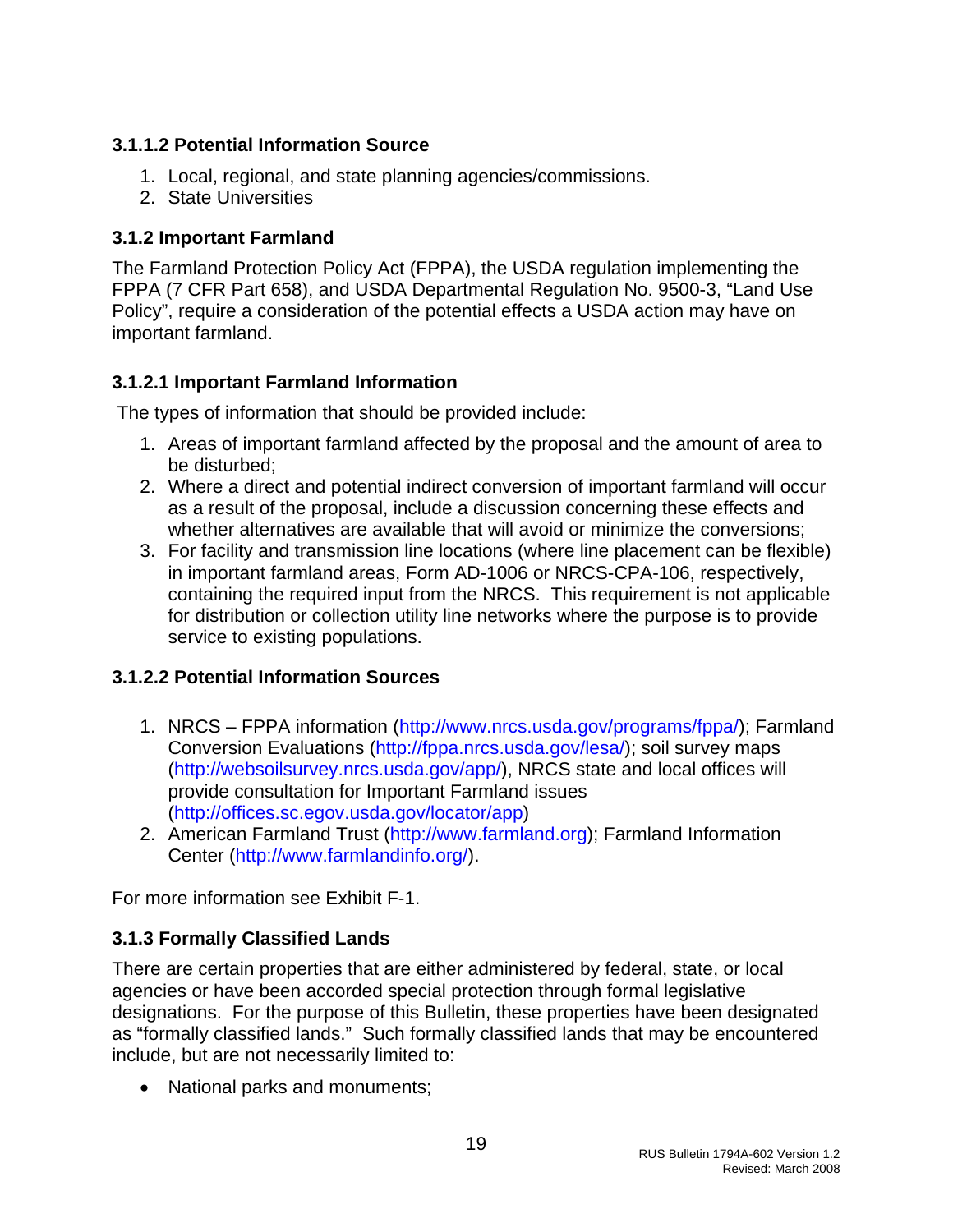# <span id="page-19-0"></span>**3.1.1.2 Potential Information Source**

- 1. Local, regional, and state planning agencies/commissions.
- 2. State Universities

## **3.1.2 Important Farmland**

The Farmland Protection Policy Act (FPPA), the USDA regulation implementing the FPPA (7 CFR Part 658), and USDA Departmental Regulation No. 9500-3, "Land Use Policy", require a consideration of the potential effects a USDA action may have on important farmland.

### **3.1.2.1 Important Farmland Information**

The types of information that should be provided include:

- 1. Areas of important farmland affected by the proposal and the amount of area to be disturbed;
- 2. Where a direct and potential indirect conversion of important farmland will occur as a result of the proposal, include a discussion concerning these effects and whether alternatives are available that will avoid or minimize the conversions;
- 3. For facility and transmission line locations (where line placement can be flexible) in important farmland areas, Form AD-1006 or NRCS-CPA-106, respectively, containing the required input from the NRCS. This requirement is not applicable for distribution or collection utility line networks where the purpose is to provide service to existing populations.

# **3.1.2.2 Potential Information Sources**

- 1. NRCS FPPA information ([http://www.nrcs.usda.gov/programs/fppa/\)](http://www.nrcs.usda.gov/programs/fppa/); Farmland Conversion Evaluations [\(http://fppa.nrcs.usda.gov/lesa/](http://fppa.nrcs.usda.gov/lesa/)); soil survey maps (<http://websoilsurvey.nrcs.usda.gov/app/>), NRCS state and local offices will provide consultation for Important Farmland issues (<http://offices.sc.egov.usda.gov/locator/app>)
- 2. American Farmland Trust ([http://www.farmland.org](http://www.farmland.org/)); Farmland Information Center [\(http://www.farmlandinfo.org/\)](http://www.farmlandinfo.org/).

For more information see Exhibit F-1.

# **3.1.3 Formally Classified Lands**

There are certain properties that are either administered by federal, state, or local agencies or have been accorded special protection through formal legislative designations. For the purpose of this Bulletin, these properties have been designated as "formally classified lands." Such formally classified lands that may be encountered include, but are not necessarily limited to:

• National parks and monuments;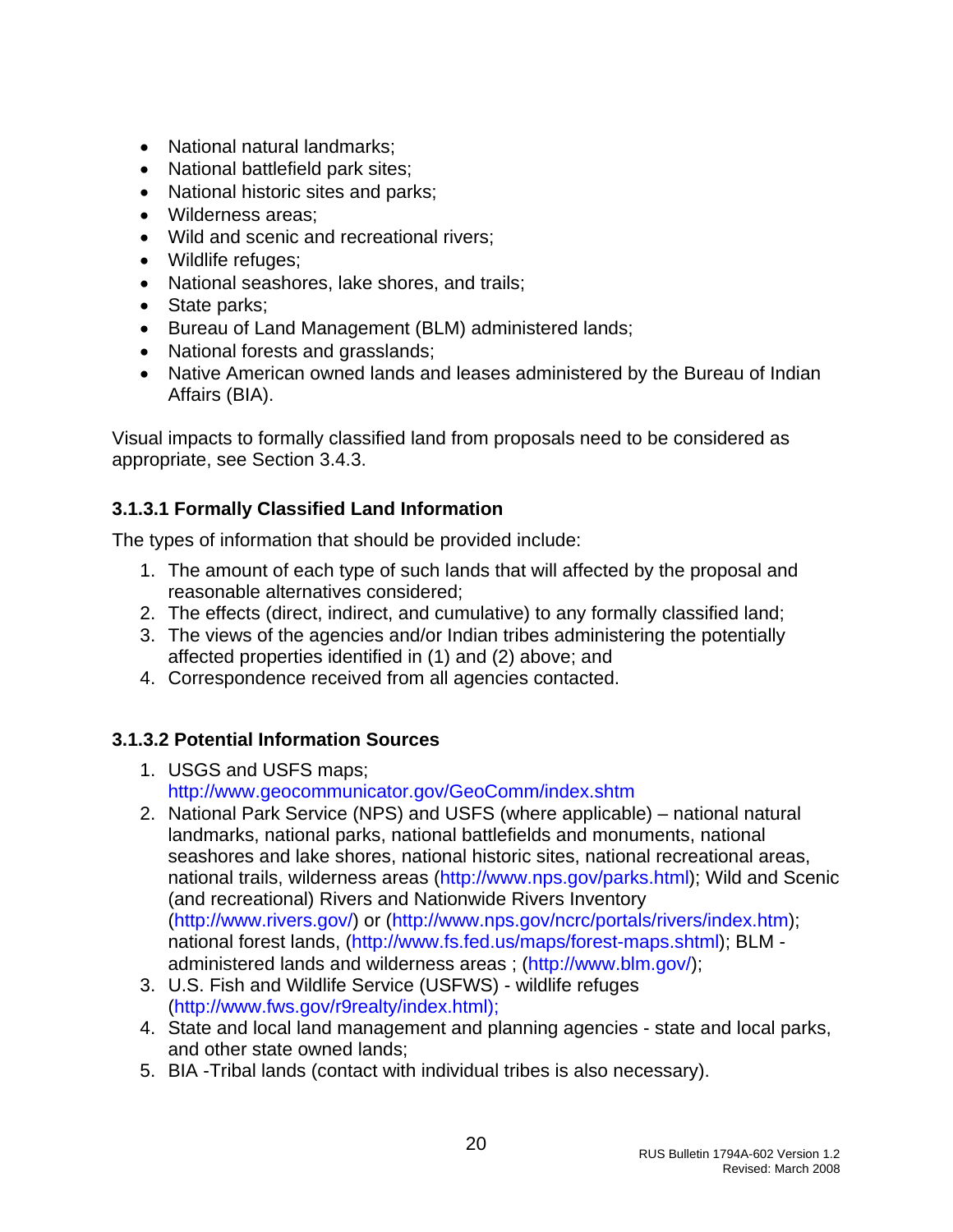- National natural landmarks;
- National battlefield park sites;
- National historic sites and parks;
- Wilderness areas;
- Wild and scenic and recreational rivers;
- Wildlife refuges;
- National seashores, lake shores, and trails;
- State parks;
- Bureau of Land Management (BLM) administered lands;
- National forests and grasslands;
- Native American owned lands and leases administered by the Bureau of Indian Affairs (BIA).

Visual impacts to formally classified land from proposals need to be considered as appropriate, see Section 3.4.3.

# **3.1.3.1 Formally Classified Land Information**

The types of information that should be provided include:

- 1. The amount of each type of such lands that will affected by the proposal and reasonable alternatives considered;
- 2. The effects (direct, indirect, and cumulative) to any formally classified land;
- 3. The views of the agencies and/or Indian tribes administering the potentially affected properties identified in (1) and (2) above; and
- 4. Correspondence received from all agencies contacted.

# **3.1.3.2 Potential Information Sources**

- 1. USGS and USFS maps; <http://www.geocommunicator.gov/GeoComm/index.shtm>
- 2. National Park Service (NPS) and USFS (where applicable) national natural landmarks, national parks, national battlefields and monuments, national seashores and lake shores, national historic sites, national recreational areas, national trails, wilderness areas ([http://www.nps.gov/parks.html\)](http://www.nps.gov/parks.html); Wild and Scenic (and recreational) Rivers and Nationwide Rivers Inventory ([http://www.rivers.gov/\)](http://www.rivers.gov/) or [\(http://www.nps.gov/ncrc/portals/rivers/index.htm\)](http://www.nps.gov/ncrc/portals/rivers/index.htm); national forest lands, [\(http://www.fs.fed.us/maps/forest-maps.shtml](http://www.fs.fed.us/maps/forest-maps.shtml)); BLM administered lands and wilderness areas ; [\(http://www.blm.gov/](http://www.blm.gov/));
- 3. U.S. Fish and Wildlife Service (USFWS) wildlife refuges ([http://www.fws.gov/r9realty/index.html\);](http://www.fws.gov/r9realty/index.html);)
- 4. State and local land management and planning agencies state and local parks, and other state owned lands;
- 5. BIA -Tribal lands (contact with individual tribes is also necessary).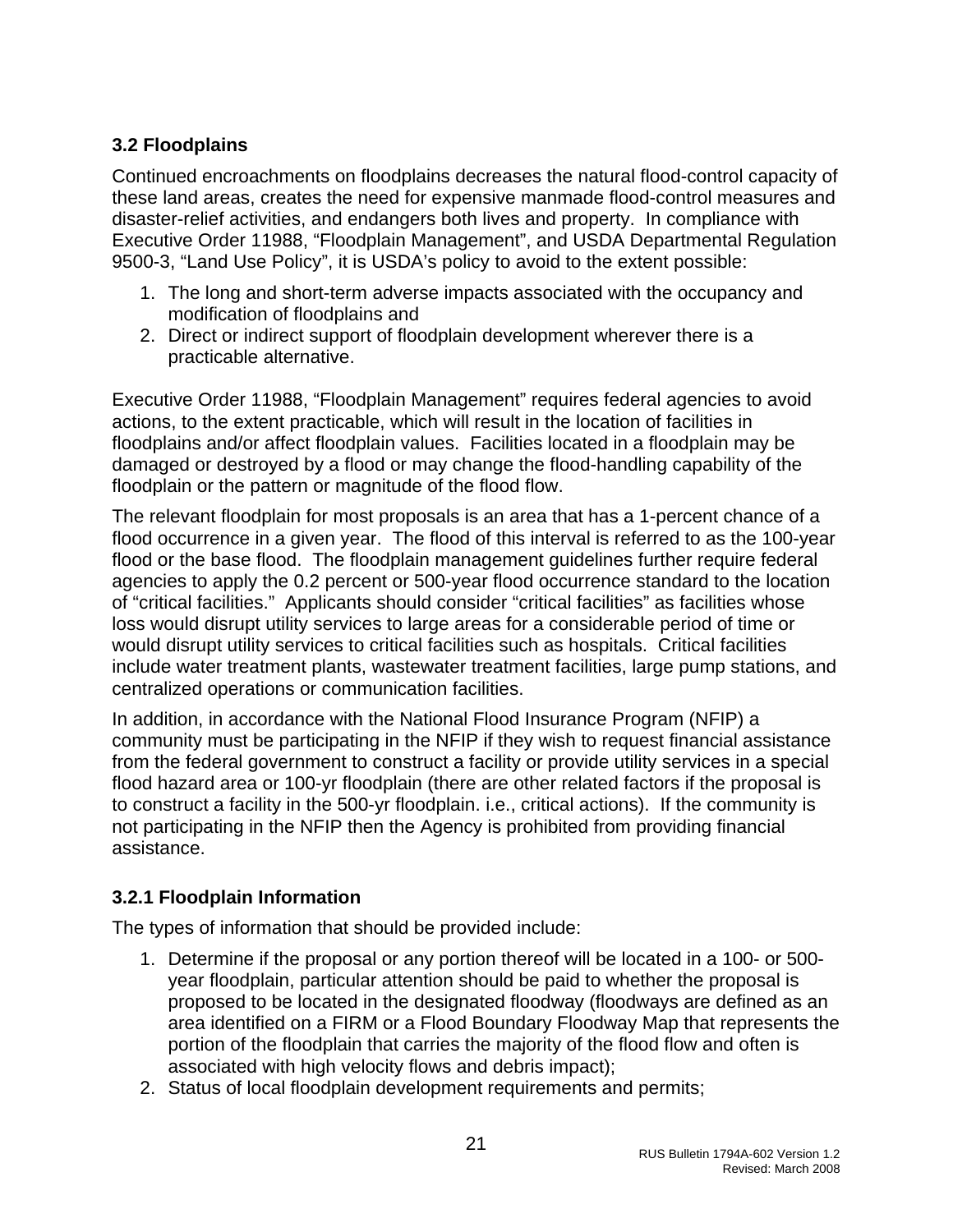# <span id="page-21-0"></span>**3.2 Floodplains**

Continued encroachments on floodplains decreases the natural flood-control capacity of these land areas, creates the need for expensive manmade flood-control measures and disaster-relief activities, and endangers both lives and property. In compliance with Executive Order 11988, "Floodplain Management", and USDA Departmental Regulation 9500-3, "Land Use Policy", it is USDA's policy to avoid to the extent possible:

- 1. The long and short-term adverse impacts associated with the occupancy and modification of floodplains and
- 2. Direct or indirect support of floodplain development wherever there is a practicable alternative.

Executive Order 11988, "Floodplain Management" requires federal agencies to avoid actions, to the extent practicable, which will result in the location of facilities in floodplains and/or affect floodplain values. Facilities located in a floodplain may be damaged or destroyed by a flood or may change the flood-handling capability of the floodplain or the pattern or magnitude of the flood flow.

The relevant floodplain for most proposals is an area that has a 1-percent chance of a flood occurrence in a given year. The flood of this interval is referred to as the 100-year flood or the base flood. The floodplain management guidelines further require federal agencies to apply the 0.2 percent or 500-year flood occurrence standard to the location of "critical facilities." Applicants should consider "critical facilities" as facilities whose loss would disrupt utility services to large areas for a considerable period of time or would disrupt utility services to critical facilities such as hospitals. Critical facilities include water treatment plants, wastewater treatment facilities, large pump stations, and centralized operations or communication facilities.

In addition, in accordance with the National Flood Insurance Program (NFIP) a community must be participating in the NFIP if they wish to request financial assistance from the federal government to construct a facility or provide utility services in a special flood hazard area or 100-yr floodplain (there are other related factors if the proposal is to construct a facility in the 500-yr floodplain. i.e., critical actions). If the community is not participating in the NFIP then the Agency is prohibited from providing financial assistance.

# **3.2.1 Floodplain Information**

The types of information that should be provided include:

- 1. Determine if the proposal or any portion thereof will be located in a 100- or 500 year floodplain, particular attention should be paid to whether the proposal is proposed to be located in the designated floodway (floodways are defined as an area identified on a FIRM or a Flood Boundary Floodway Map that represents the portion of the floodplain that carries the majority of the flood flow and often is associated with high velocity flows and debris impact);
- 2. Status of local floodplain development requirements and permits;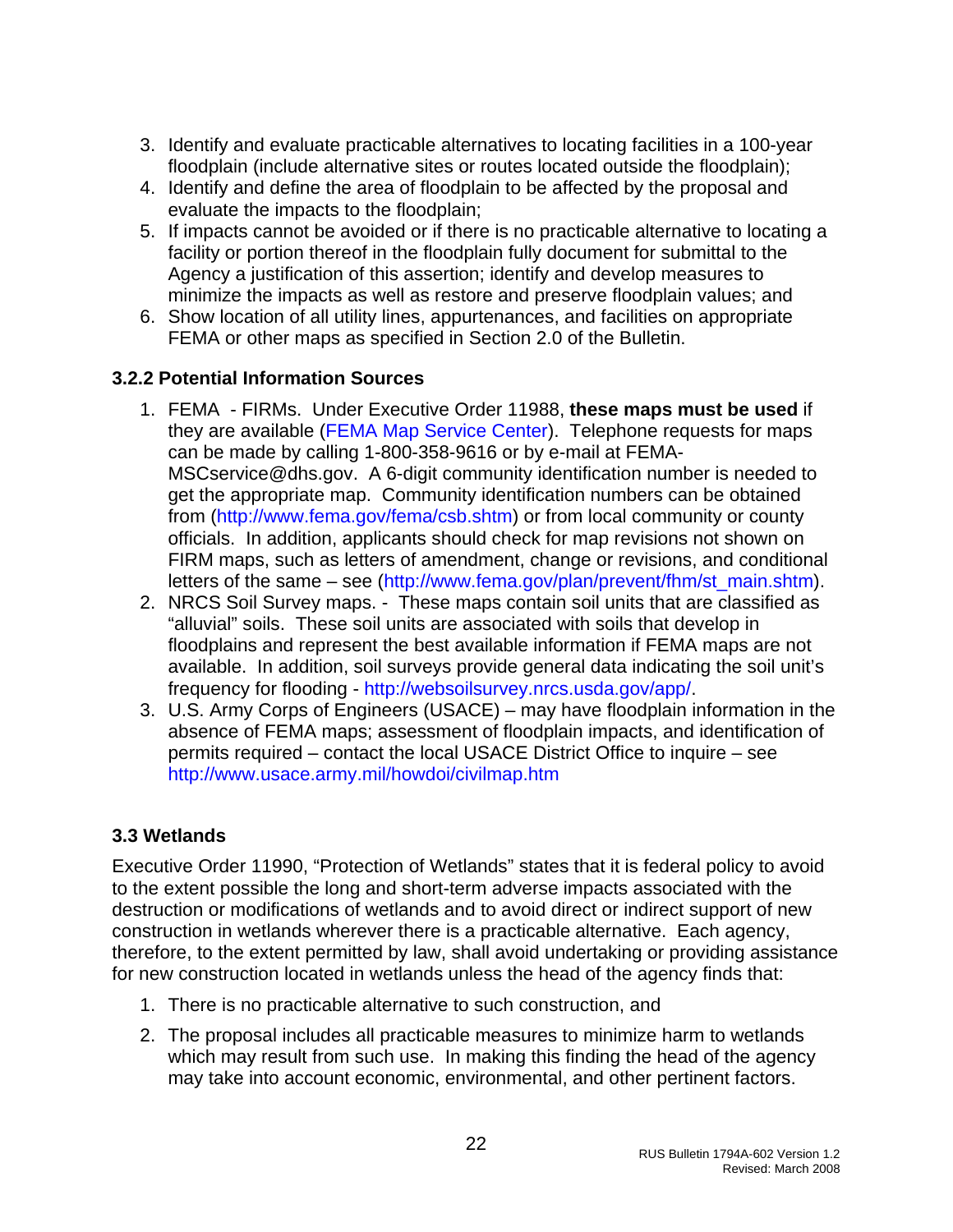- <span id="page-22-0"></span>3. Identify and evaluate practicable alternatives to locating facilities in a 100-year floodplain (include alternative sites or routes located outside the floodplain);
- 4. Identify and define the area of floodplain to be affected by the proposal and evaluate the impacts to the floodplain;
- 5. If impacts cannot be avoided or if there is no practicable alternative to locating a facility or portion thereof in the floodplain fully document for submittal to the Agency a justification of this assertion; identify and develop measures to minimize the impacts as well as restore and preserve floodplain values; and
- 6. Show location of all utility lines, appurtenances, and facilities on appropriate FEMA or other maps as specified in Section 2.0 of the Bulletin.

### **3.2.2 Potential Information Sources**

- 1. FEMA FIRMs. Under Executive Order 11988, **these maps must be used** if they are available [\(FEMA Map Service Center](http://msc.fema.gov/webapp/wcs/stores/servlet/FemaWelcomeView?storeId=10001&catalogId=10001&langId=-1)). Telephone requests for maps can be made by calling 1-800-358-9616 or by e-mail at FEMA-MSCservice@dhs.gov. A 6-digit community identification number is needed to get the appropriate map. Community identification numbers can be obtained from [\(http://www.fema.gov/fema/csb.shtm](http://www.fema.gov/fema/csb.shtm)) or from local community or county officials. In addition, applicants should check for map revisions not shown on FIRM maps, such as letters of amendment, change or revisions, and conditional letters of the same – see ([http://www.fema.gov/plan/prevent/fhm/st\\_main.shtm\)](http://www.fema.gov/plan/prevent/fhm/st_main.shtm).
- 2. NRCS Soil Survey maps. These maps contain soil units that are classified as "alluvial" soils. These soil units are associated with soils that develop in floodplains and represent the best available information if FEMA maps are not available. In addition, soil surveys provide general data indicating the soil unit's frequency for flooding -<http://websoilsurvey.nrcs.usda.gov/app/>.
- 3. U.S. Army Corps of Engineers (USACE) may have floodplain information in the absence of FEMA maps; assessment of floodplain impacts, and identification of permits required – contact the local USACE District Office to inquire – see <http://www.usace.army.mil/howdoi/civilmap.htm>

#### **3.3 Wetlands**

Executive Order 11990, "Protection of Wetlands" states that it is federal policy to avoid to the extent possible the long and short-term adverse impacts associated with the destruction or modifications of wetlands and to avoid direct or indirect support of new construction in wetlands wherever there is a practicable alternative. Each agency, therefore, to the extent permitted by law, shall avoid undertaking or providing assistance for new construction located in wetlands unless the head of the agency finds that:

- 1. There is no practicable alternative to such construction, and
- 2. The proposal includes all practicable measures to minimize harm to wetlands which may result from such use. In making this finding the head of the agency may take into account economic, environmental, and other pertinent factors.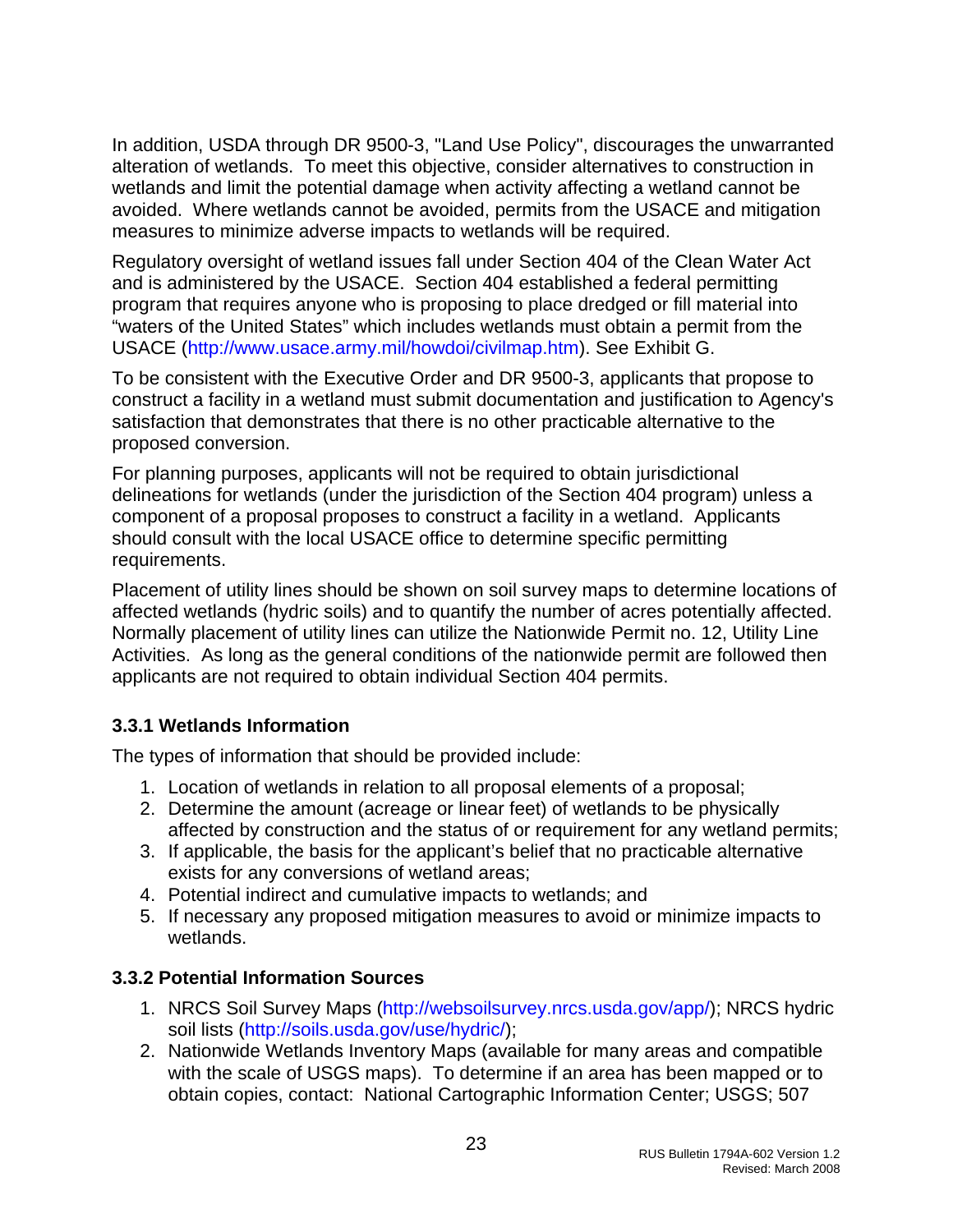<span id="page-23-0"></span>In addition, USDA through DR 9500-3, "Land Use Policy", discourages the unwarranted alteration of wetlands. To meet this objective, consider alternatives to construction in wetlands and limit the potential damage when activity affecting a wetland cannot be avoided. Where wetlands cannot be avoided, permits from the USACE and mitigation measures to minimize adverse impacts to wetlands will be required.

Regulatory oversight of wetland issues fall under Section 404 of the Clean Water Act and is administered by the USACE. Section 404 established a federal permitting program that requires anyone who is proposing to place dredged or fill material into "waters of the United States" which includes wetlands must obtain a permit from the USACE (<http://www.usace.army.mil/howdoi/civilmap.htm>). See Exhibit G.

To be consistent with the Executive Order and DR 9500-3, applicants that propose to construct a facility in a wetland must submit documentation and justification to Agency's satisfaction that demonstrates that there is no other practicable alternative to the proposed conversion.

For planning purposes, applicants will not be required to obtain jurisdictional delineations for wetlands (under the jurisdiction of the Section 404 program) unless a component of a proposal proposes to construct a facility in a wetland. Applicants should consult with the local USACE office to determine specific permitting requirements.

Placement of utility lines should be shown on soil survey maps to determine locations of affected wetlands (hydric soils) and to quantify the number of acres potentially affected. Normally placement of utility lines can utilize the Nationwide Permit no. 12, Utility Line Activities. As long as the general conditions of the nationwide permit are followed then applicants are not required to obtain individual Section 404 permits.

# **3.3.1 Wetlands Information**

The types of information that should be provided include:

- 1. Location of wetlands in relation to all proposal elements of a proposal;
- 2. Determine the amount (acreage or linear feet) of wetlands to be physically affected by construction and the status of or requirement for any wetland permits;
- 3. If applicable, the basis for the applicant's belief that no practicable alternative exists for any conversions of wetland areas;
- 4. Potential indirect and cumulative impacts to wetlands; and
- 5. If necessary any proposed mitigation measures to avoid or minimize impacts to wetlands.

# **3.3.2 Potential Information Sources**

- 1. NRCS Soil Survey Maps [\(http://websoilsurvey.nrcs.usda.gov/app/](http://websoilsurvey.nrcs.usda.gov/app/)); NRCS hydric soil lists [\(http://soils.usda.gov/use/hydric/\)](http://soils.usda.gov/use/hydric/);
- 2. Nationwide Wetlands Inventory Maps (available for many areas and compatible with the scale of USGS maps). To determine if an area has been mapped or to obtain copies, contact: National Cartographic Information Center; USGS; 507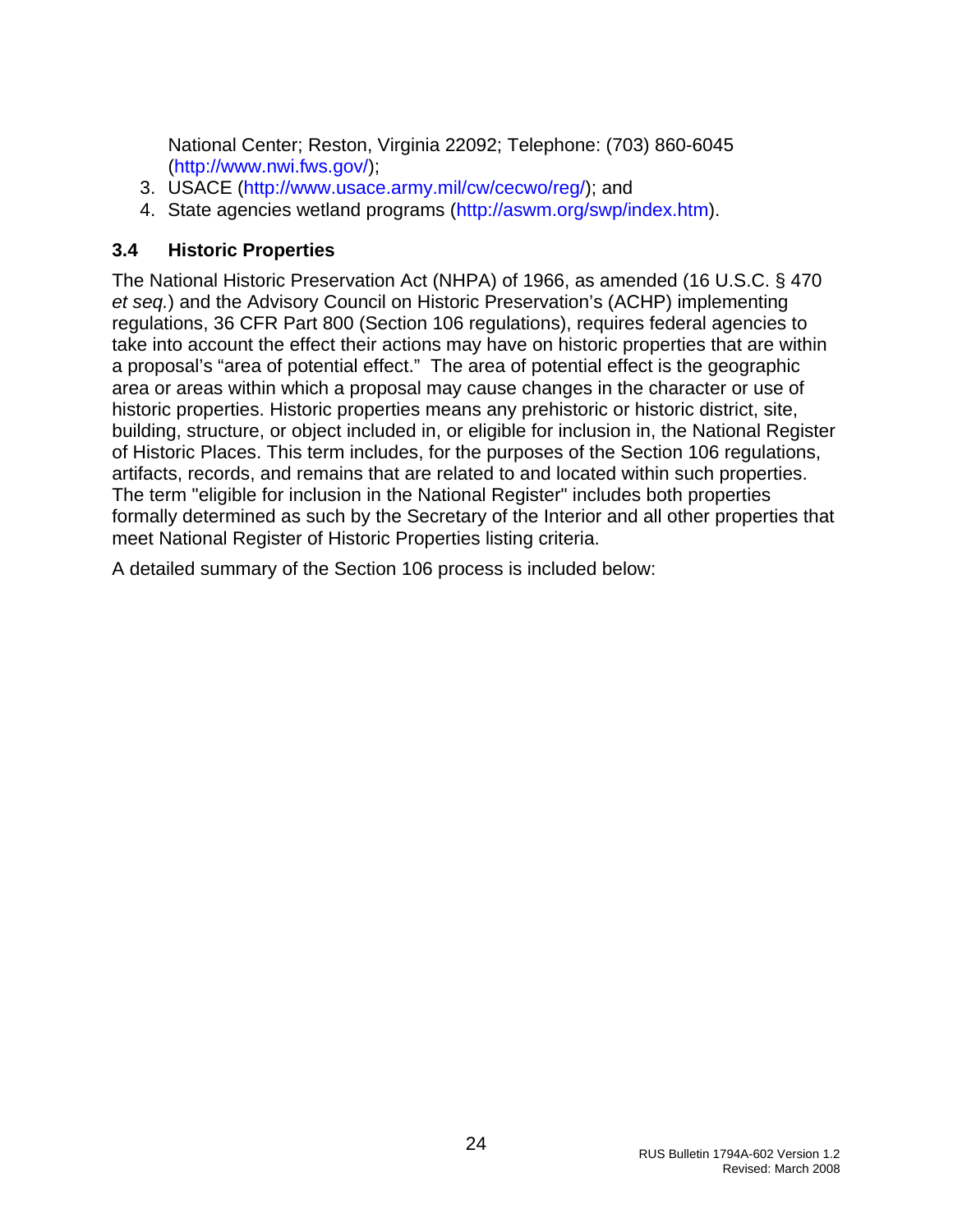<span id="page-24-0"></span>National Center; Reston, Virginia 22092; Telephone: (703) 860-6045 (http://www.nwi.fws.gov/);

- 3. USACE (<http://www.usace.army.mil/cw/cecwo/reg/>); and
- 4. State agencies wetland programs [\(http://aswm.org/swp/index.htm](http://aswm.org/swp/index.htm)).

#### **3.4 Historic Properties**

The National Historic Preservation Act (NHPA) of 1966, as amended (16 U.S.C. § 470 *et seq.*) and the Advisory Council on Historic Preservation's (ACHP) implementing regulations, 36 CFR Part 800 (Section 106 regulations), requires federal agencies to take into account the effect their actions may have on historic properties that are within a proposal's "area of potential effect." The area of potential effect is the geographic area or areas within which a proposal may cause changes in the character or use of historic properties. Historic properties means any prehistoric or historic district, site, building, structure, or object included in, or eligible for inclusion in, the National Register of Historic Places. This term includes, for the purposes of the Section 106 regulations, artifacts, records, and remains that are related to and located within such properties. The term "eligible for inclusion in the National Register" includes both properties formally determined as such by the Secretary of the Interior and all other properties that meet National Register of Historic Properties listing criteria.

A detailed summary of the Section 106 process is included below: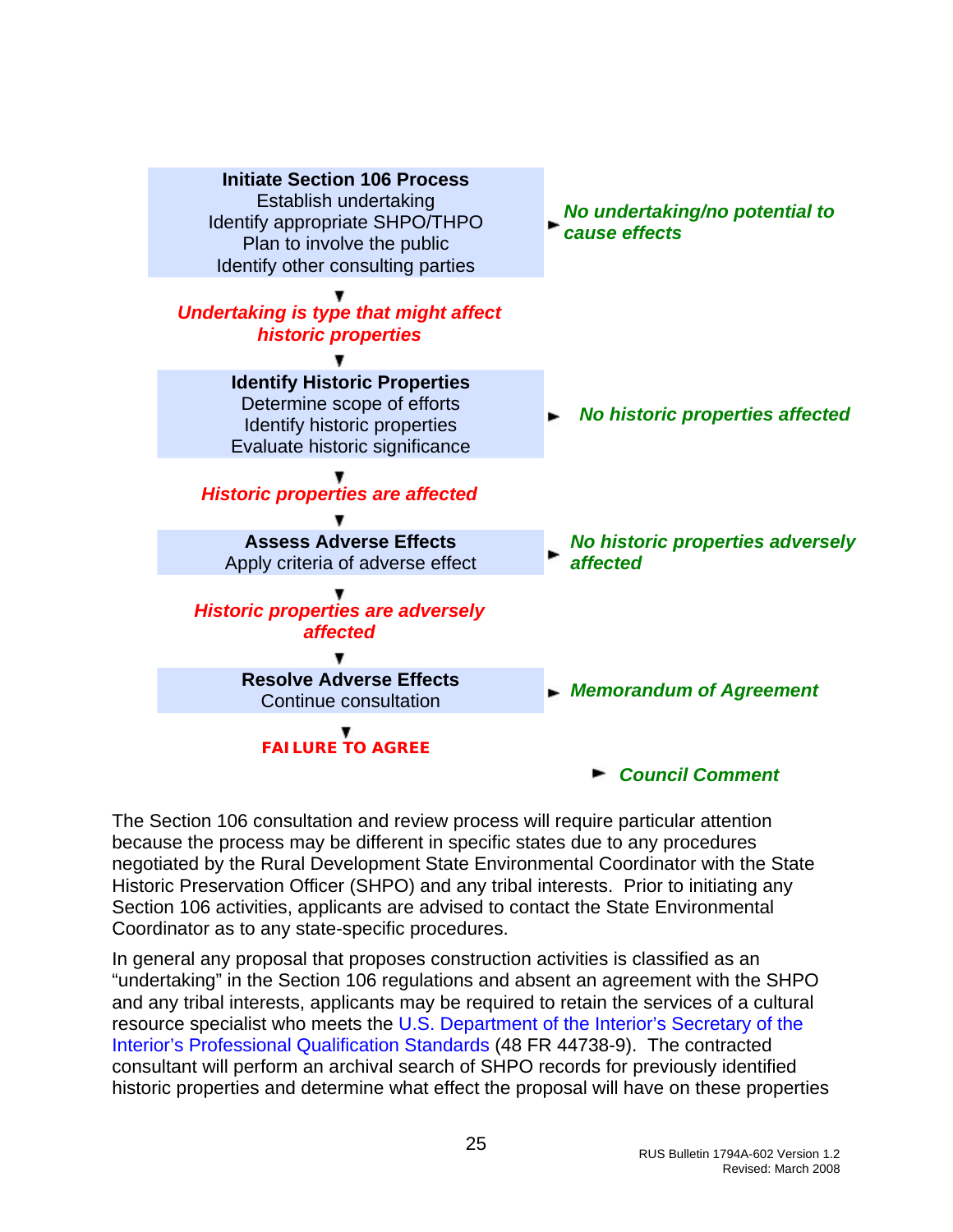

The Section 106 consultation and review process will require particular attention because the process may be different in specific states due to any procedures negotiated by the Rural Development State Environmental Coordinator with the State Historic Preservation Officer (SHPO) and any tribal interests. Prior to initiating any Section 106 activities, applicants are advised to contact the State Environmental Coordinator as to any state-specific procedures.

In general any proposal that proposes construction activities is classified as an "undertaking" in the Section 106 regulations and absent an agreement with the SHPO and any tribal interests, applicants may be required to retain the services of a cultural resource specialist who meets the [U.S. Department of the Interior's Secretary of the](http://www.nps.gov/history/local-law/arch_stnds_9.htm)  [Interior's Professional Qualification Standards](http://www.nps.gov/history/local-law/arch_stnds_9.htm) (48 FR 44738-9). The contracted consultant will perform an archival search of SHPO records for previously identified historic properties and determine what effect the proposal will have on these properties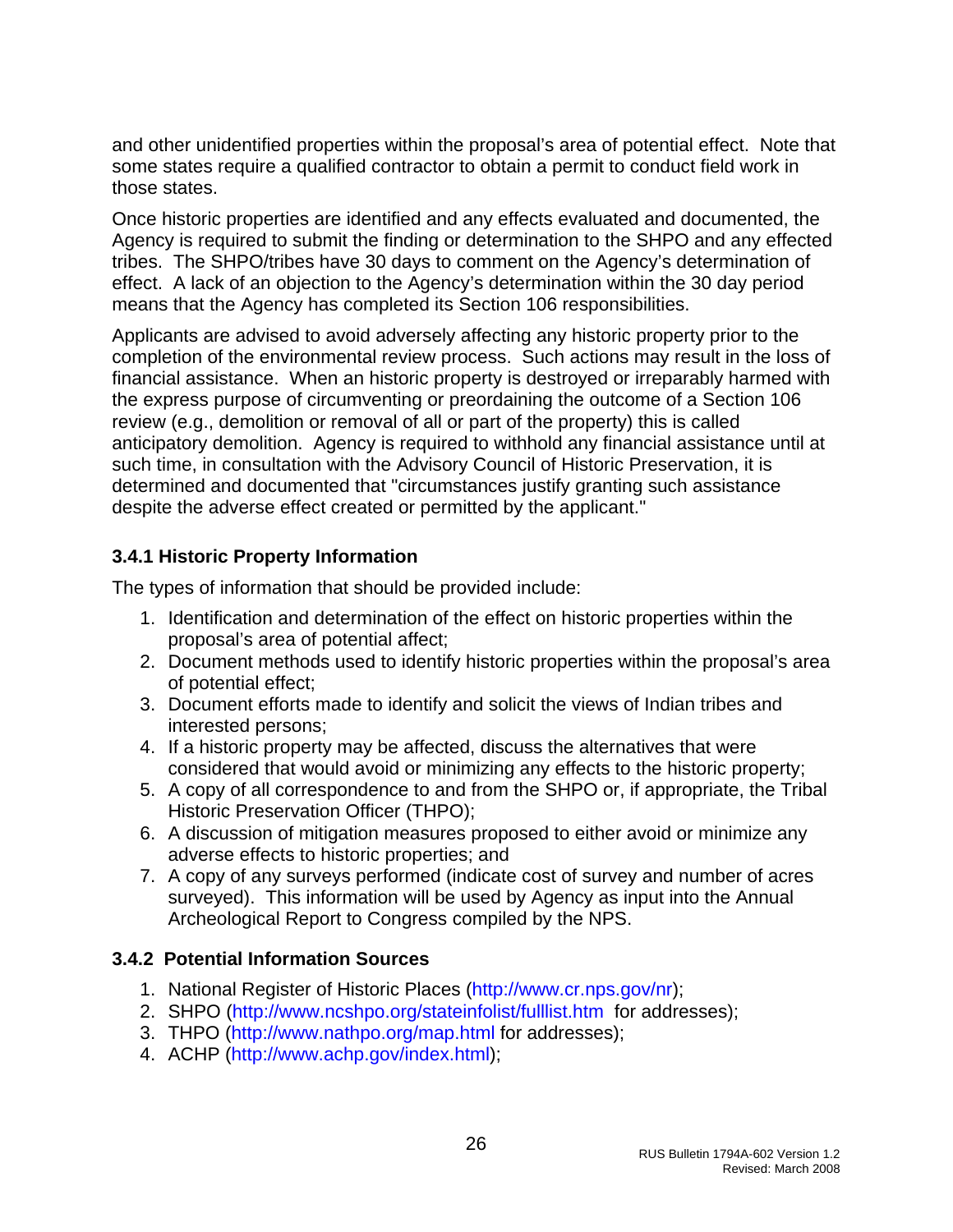<span id="page-26-0"></span>and other unidentified properties within the proposal's area of potential effect. Note that some states require a qualified contractor to obtain a permit to conduct field work in those states.

Once historic properties are identified and any effects evaluated and documented, the Agency is required to submit the finding or determination to the SHPO and any effected tribes. The SHPO/tribes have 30 days to comment on the Agency's determination of effect. A lack of an objection to the Agency's determination within the 30 day period means that the Agency has completed its Section 106 responsibilities.

Applicants are advised to avoid adversely affecting any historic property prior to the completion of the environmental review process. Such actions may result in the loss of financial assistance. When an historic property is destroyed or irreparably harmed with the express purpose of circumventing or preordaining the outcome of a Section 106 review (e.g., demolition or removal of all or part of the property) this is called anticipatory demolition. Agency is required to withhold any financial assistance until at such time, in consultation with the Advisory Council of Historic Preservation, it is determined and documented that "circumstances justify granting such assistance despite the adverse effect created or permitted by the applicant."

#### **3.4.1 Historic Property Information**

The types of information that should be provided include:

- 1. Identification and determination of the effect on historic properties within the proposal's area of potential affect;
- 2. Document methods used to identify historic properties within the proposal's area of potential effect;
- 3. Document efforts made to identify and solicit the views of Indian tribes and interested persons;
- 4. If a historic property may be affected, discuss the alternatives that were considered that would avoid or minimizing any effects to the historic property;
- 5. A copy of all correspondence to and from the SHPO or, if appropriate, the Tribal Historic Preservation Officer (THPO);
- 6. A discussion of mitigation measures proposed to either avoid or minimize any adverse effects to historic properties; and
- 7. A copy of any surveys performed (indicate cost of survey and number of acres surveyed). This information will be used by Agency as input into the Annual Archeological Report to Congress compiled by the NPS.

#### **3.4.2 Potential Information Sources**

- 1. National Register of Historic Places [\(http://www.cr.nps.gov/nr](http://www.cr.nps.gov/nr));
- 2. SHPO [\(http://www.ncshpo.org/stateinfolist/fulllist.htm](http://www.ncshpo.org/stateinfolist/fulllist.htm) for addresses);
- 3. THPO (<http://www.nathpo.org/map.html> for addresses);
- 4. ACHP ([http://www.achp.gov/index.html\)](http://www.achp.gov/index.html);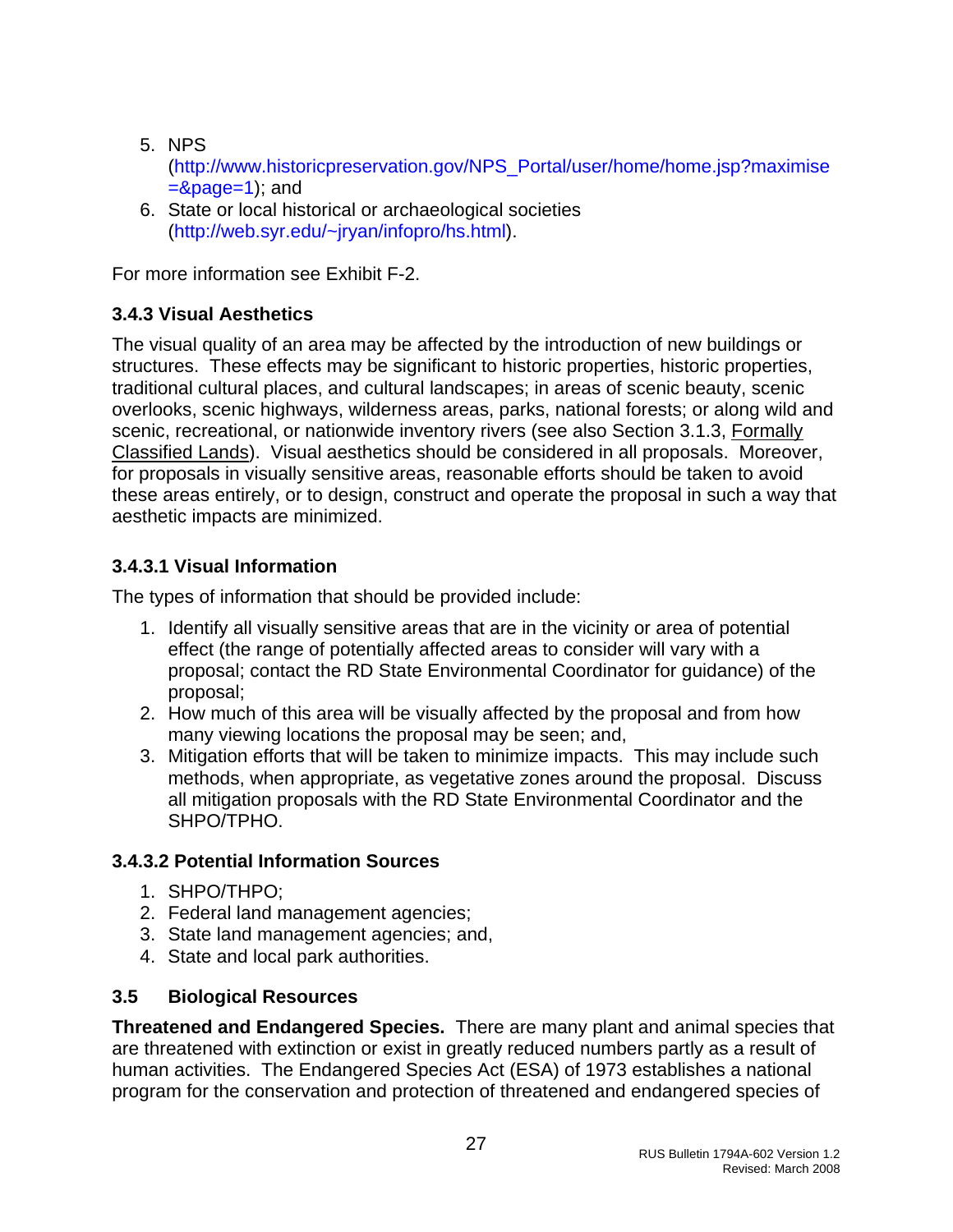- <span id="page-27-0"></span>5. NPS ([http://www.historicpreservation.gov/NPS\\_Portal/user/home/home.jsp?maximise](http://www.historicpreservation.gov/NPS_Portal/user/home/home.jsp?maximise=&page=1)  $=$ &page=1); and
- 6. State or local historical or archaeological societies ([http://web.syr.edu/~jryan/infopro/hs.html](http://web.syr.edu/%7Ejryan/infopro/hs.html)).

For more information see Exhibit F-2.

# **3.4.3 Visual Aesthetics**

The visual quality of an area may be affected by the introduction of new buildings or structures. These effects may be significant to historic properties, historic properties, traditional cultural places, and cultural landscapes; in areas of scenic beauty, scenic overlooks, scenic highways, wilderness areas, parks, national forests; or along wild and scenic, recreational, or nationwide inventory rivers (see also Section 3.1.3, Formally Classified Lands). Visual aesthetics should be considered in all proposals. Moreover, for proposals in visually sensitive areas, reasonable efforts should be taken to avoid these areas entirely, or to design, construct and operate the proposal in such a way that aesthetic impacts are minimized.

# **3.4.3.1 Visual Information**

The types of information that should be provided include:

- 1. Identify all visually sensitive areas that are in the vicinity or area of potential effect (the range of potentially affected areas to consider will vary with a proposal; contact the RD State Environmental Coordinator for guidance) of the proposal;
- 2. How much of this area will be visually affected by the proposal and from how many viewing locations the proposal may be seen; and,
- 3. Mitigation efforts that will be taken to minimize impacts. This may include such methods, when appropriate, as vegetative zones around the proposal. Discuss all mitigation proposals with the RD State Environmental Coordinator and the SHPO/TPHO.

#### **3.4.3.2 Potential Information Sources**

- 1. SHPO/THPO;
- 2. Federal land management agencies;
- 3. State land management agencies; and,
- 4. State and local park authorities.

#### **3.5 Biological Resources**

**Threatened and Endangered Species.** There are many plant and animal species that are threatened with extinction or exist in greatly reduced numbers partly as a result of human activities. The Endangered Species Act (ESA) of 1973 establishes a national program for the conservation and protection of threatened and endangered species of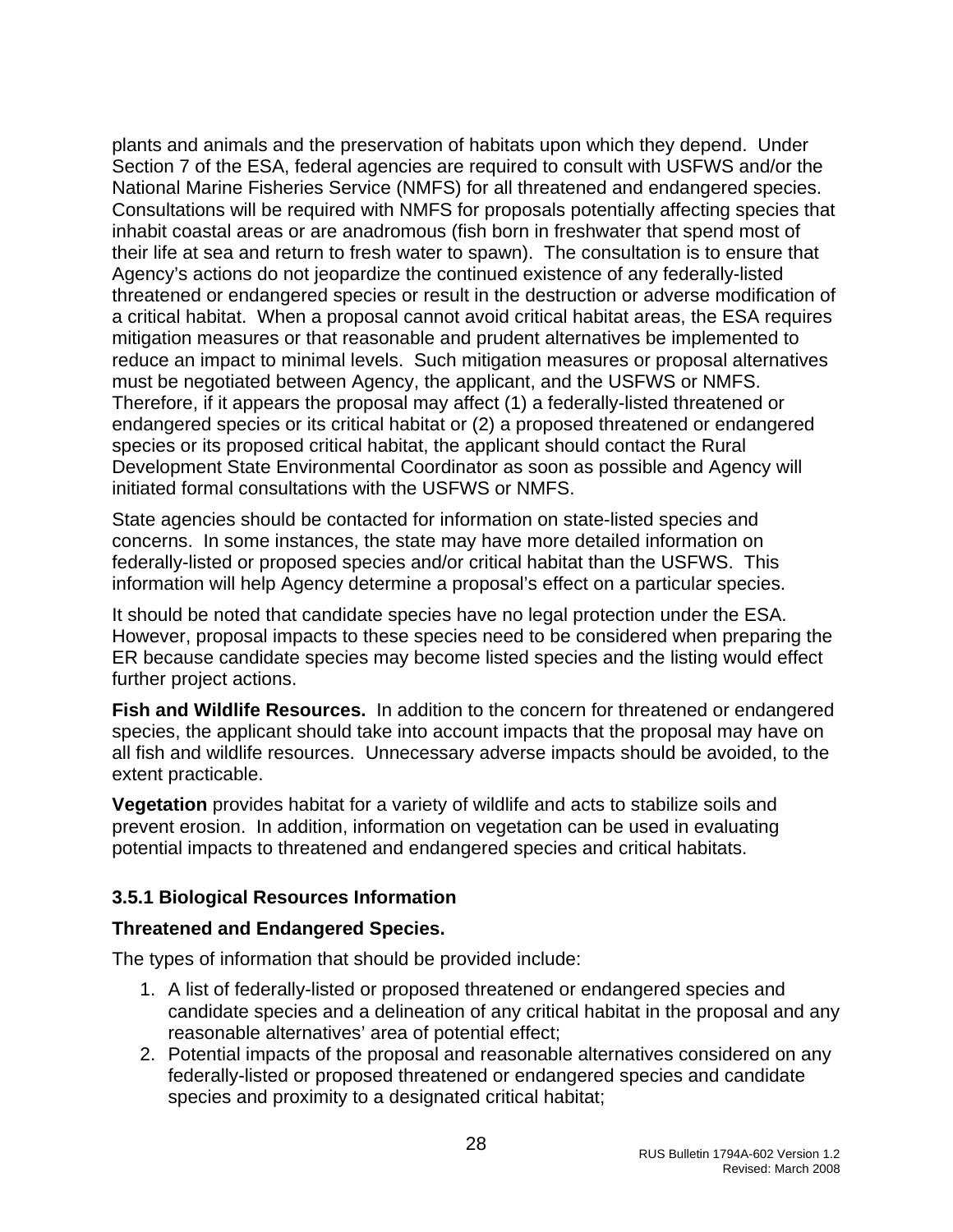<span id="page-28-0"></span>plants and animals and the preservation of habitats upon which they depend. Under Section 7 of the ESA, federal agencies are required to consult with USFWS and/or the National Marine Fisheries Service (NMFS) for all threatened and endangered species. Consultations will be required with NMFS for proposals potentially affecting species that inhabit coastal areas or are anadromous (fish born in freshwater that spend most of their life at sea and return to fresh water to spawn). The consultation is to ensure that Agency's actions do not jeopardize the continued existence of any federally-listed threatened or endangered species or result in the destruction or adverse modification of a critical habitat. When a proposal cannot avoid critical habitat areas, the ESA requires mitigation measures or that reasonable and prudent alternatives be implemented to reduce an impact to minimal levels. Such mitigation measures or proposal alternatives must be negotiated between Agency, the applicant, and the USFWS or NMFS. Therefore, if it appears the proposal may affect (1) a federally-listed threatened or endangered species or its critical habitat or (2) a proposed threatened or endangered species or its proposed critical habitat, the applicant should contact the Rural Development State Environmental Coordinator as soon as possible and Agency will initiated formal consultations with the USFWS or NMFS.

State agencies should be contacted for information on state-listed species and concerns. In some instances, the state may have more detailed information on federally-listed or proposed species and/or critical habitat than the USFWS. This information will help Agency determine a proposal's effect on a particular species.

It should be noted that candidate species have no legal protection under the ESA. However, proposal impacts to these species need to be considered when preparing the ER because candidate species may become listed species and the listing would effect further project actions.

**Fish and Wildlife Resources.** In addition to the concern for threatened or endangered species, the applicant should take into account impacts that the proposal may have on all fish and wildlife resources. Unnecessary adverse impacts should be avoided, to the extent practicable.

**Vegetation** provides habitat for a variety of wildlife and acts to stabilize soils and prevent erosion. In addition, information on vegetation can be used in evaluating potential impacts to threatened and endangered species and critical habitats.

#### **3.5.1 Biological Resources Information**

#### **Threatened and Endangered Species.**

The types of information that should be provided include:

- 1. A list of federally-listed or proposed threatened or endangered species and candidate species and a delineation of any critical habitat in the proposal and any reasonable alternatives' area of potential effect;
- 2. Potential impacts of the proposal and reasonable alternatives considered on any federally-listed or proposed threatened or endangered species and candidate species and proximity to a designated critical habitat;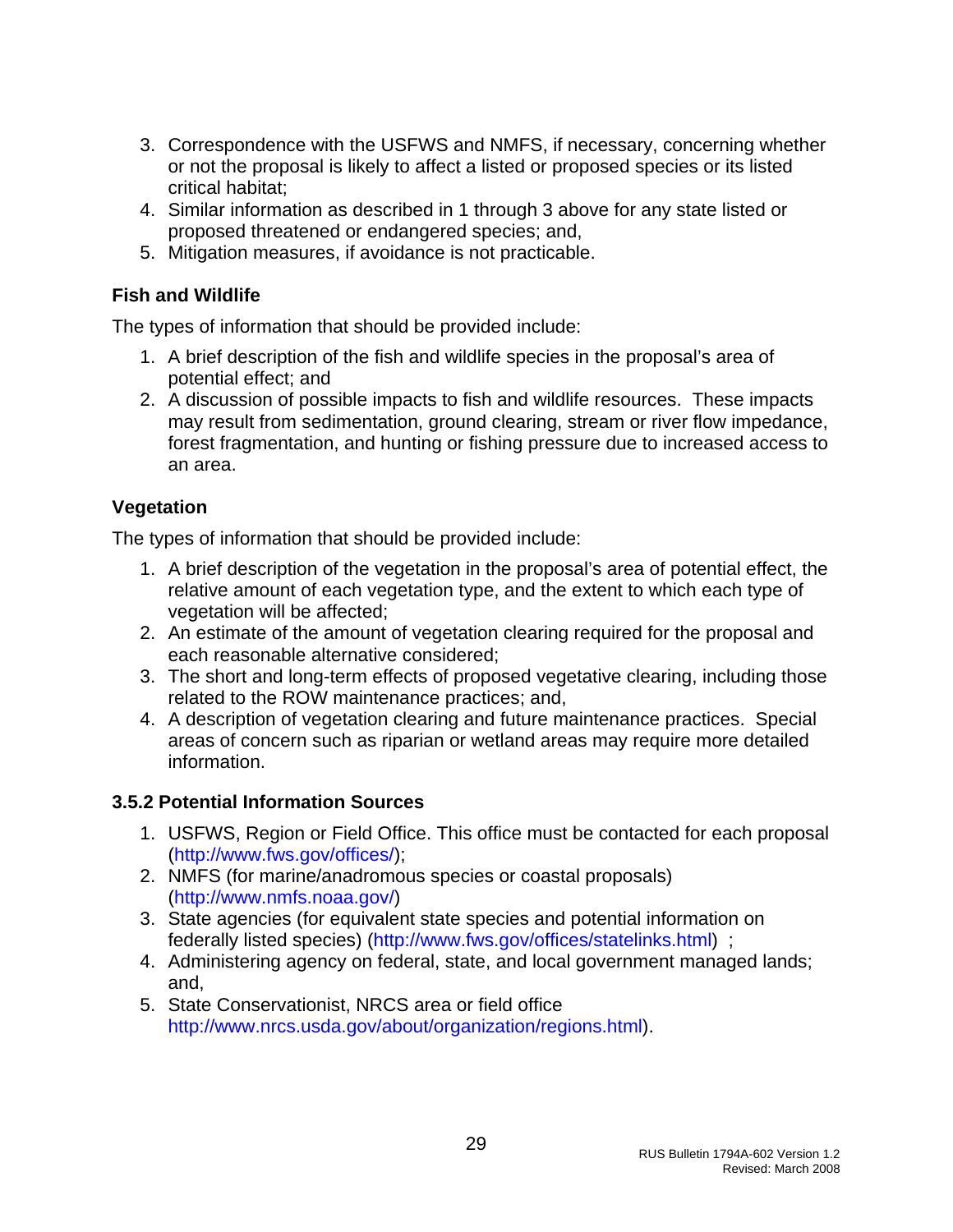- <span id="page-29-0"></span>3. Correspondence with the USFWS and NMFS, if necessary, concerning whether or not the proposal is likely to affect a listed or proposed species or its listed critical habitat;
- 4. Similar information as described in 1 through 3 above for any state listed or proposed threatened or endangered species; and,
- 5. Mitigation measures, if avoidance is not practicable.

#### **Fish and Wildlife**

The types of information that should be provided include:

- 1. A brief description of the fish and wildlife species in the proposal's area of potential effect; and
- 2. A discussion of possible impacts to fish and wildlife resources. These impacts may result from sedimentation, ground clearing, stream or river flow impedance, forest fragmentation, and hunting or fishing pressure due to increased access to an area.

### **Vegetation**

The types of information that should be provided include:

- 1. A brief description of the vegetation in the proposal's area of potential effect, the relative amount of each vegetation type, and the extent to which each type of vegetation will be affected;
- 2. An estimate of the amount of vegetation clearing required for the proposal and each reasonable alternative considered;
- 3. The short and long-term effects of proposed vegetative clearing, including those related to the ROW maintenance practices; and,
- 4. A description of vegetation clearing and future maintenance practices. Special areas of concern such as riparian or wetland areas may require more detailed information.

# **3.5.2 Potential Information Sources**

- 1. USFWS, Region or Field Office. This office must be contacted for each proposal (<http://www.fws.gov/offices/>);
- 2. NMFS (for marine/anadromous species or coastal proposals) (<http://www.nmfs.noaa.gov/>)
- 3. State agencies (for equivalent state species and potential information on federally listed species) [\(http://www.fws.gov/offices/statelinks.html](http://www.fws.gov/offices/statelinks.html)) ;
- 4. Administering agency on federal, state, and local government managed lands; and,
- 5. State Conservationist, NRCS area or field office [http://www.nrcs.usda.gov/about/organization/regions.html\)](http://www.nrcs.usda.gov/about/organization/regions.html).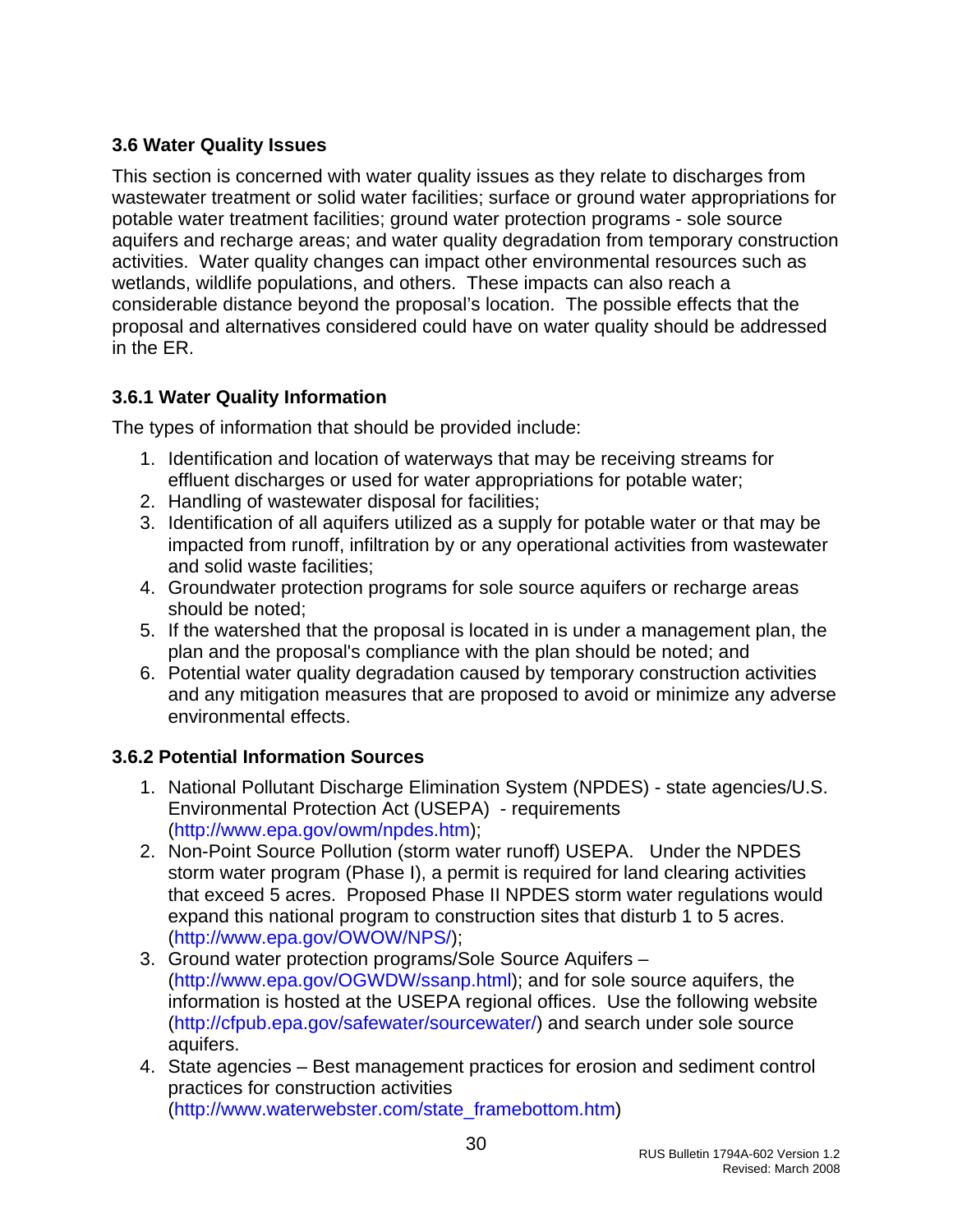# <span id="page-30-0"></span>**3.6 Water Quality Issues**

This section is concerned with water quality issues as they relate to discharges from wastewater treatment or solid water facilities; surface or ground water appropriations for potable water treatment facilities; ground water protection programs - sole source aquifers and recharge areas; and water quality degradation from temporary construction activities. Water quality changes can impact other environmental resources such as wetlands, wildlife populations, and others. These impacts can also reach a considerable distance beyond the proposal's location. The possible effects that the proposal and alternatives considered could have on water quality should be addressed in the ER.

# **3.6.1 Water Quality Information**

The types of information that should be provided include:

- 1. Identification and location of waterways that may be receiving streams for effluent discharges or used for water appropriations for potable water;
- 2. Handling of wastewater disposal for facilities;
- 3. Identification of all aquifers utilized as a supply for potable water or that may be impacted from runoff, infiltration by or any operational activities from wastewater and solid waste facilities;
- 4. Groundwater protection programs for sole source aquifers or recharge areas should be noted;
- 5. If the watershed that the proposal is located in is under a management plan, the plan and the proposal's compliance with the plan should be noted; and
- 6. Potential water quality degradation caused by temporary construction activities and any mitigation measures that are proposed to avoid or minimize any adverse environmental effects.

# **3.6.2 Potential Information Sources**

- 1. National Pollutant Discharge Elimination System (NPDES) state agencies/U.S. Environmental Protection Act (USEPA) - requirements (<http://www.epa.gov/owm/npdes.htm>);
- 2. Non-Point Source Pollution (storm water runoff) USEPA. Under the NPDES storm water program (Phase I), a permit is required for land clearing activities that exceed 5 acres. Proposed Phase II NPDES storm water regulations would expand this national program to construction sites that disturb 1 to 5 acres. (<http://www.epa.gov/OWOW/NPS/>);
- 3. Ground water protection programs/Sole Source Aquifers ([http://www.epa.gov/OGWDW/ssanp.html\)](http://www.epa.gov/OGWDW/ssanp.html); and for sole source aquifers, the information is hosted at the USEPA regional offices. Use the following website ([http://cfpub.epa.gov/safewater/sourcewater/\)](http://cfpub.epa.gov/safewater/sourcewater/) and search under sole source aquifers.
- 4. State agencies Best management practices for erosion and sediment control practices for construction activities ([http://www.waterwebster.com/state\\_framebottom.htm](http://www.waterwebster.com/state_framebottom.htm))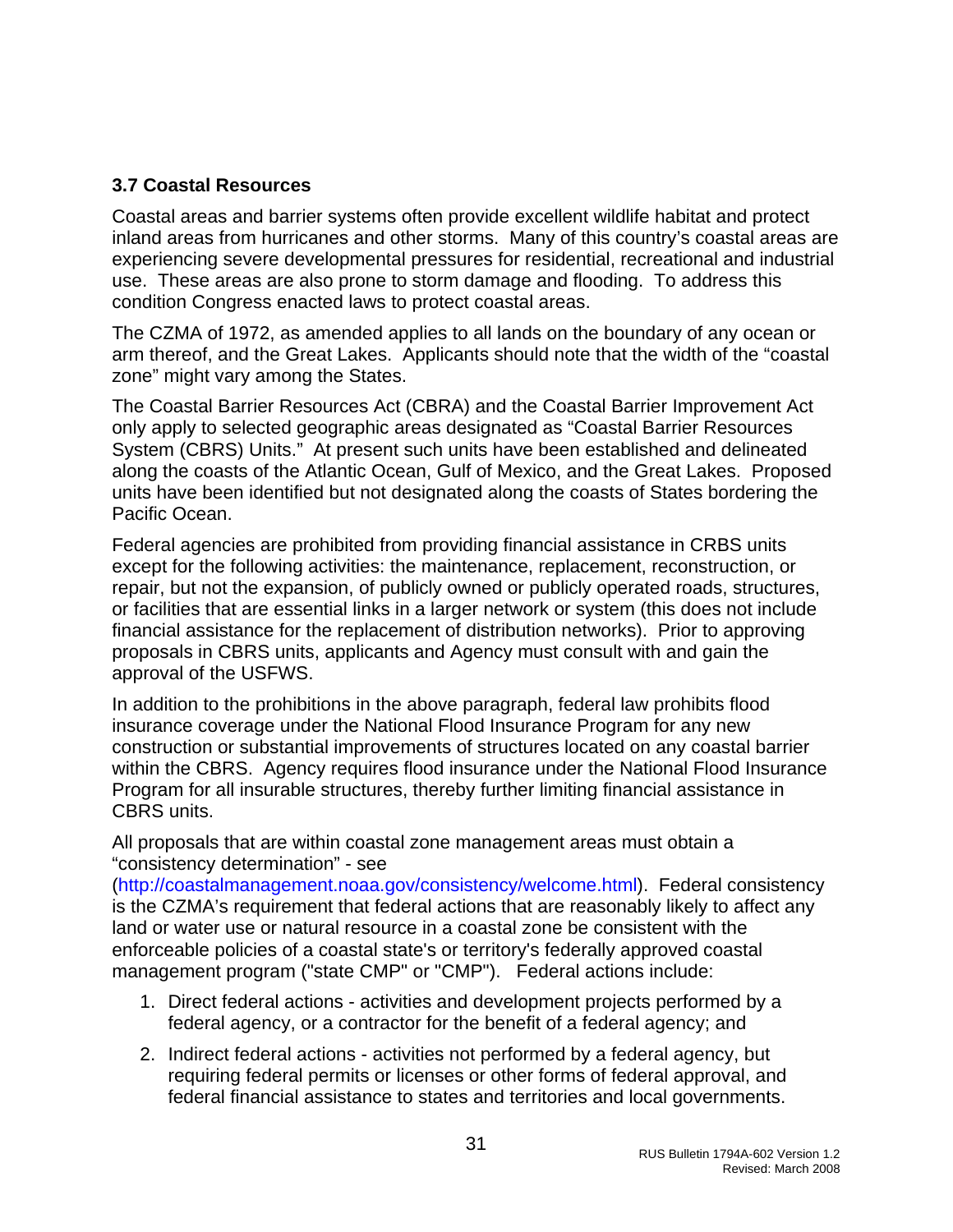#### <span id="page-31-0"></span>**3.7 Coastal Resources**

Coastal areas and barrier systems often provide excellent wildlife habitat and protect inland areas from hurricanes and other storms. Many of this country's coastal areas are experiencing severe developmental pressures for residential, recreational and industrial use. These areas are also prone to storm damage and flooding. To address this condition Congress enacted laws to protect coastal areas.

The CZMA of 1972, as amended applies to all lands on the boundary of any ocean or arm thereof, and the Great Lakes. Applicants should note that the width of the "coastal zone" might vary among the States.

The Coastal Barrier Resources Act (CBRA) and the Coastal Barrier Improvement Act only apply to selected geographic areas designated as "Coastal Barrier Resources System (CBRS) Units." At present such units have been established and delineated along the coasts of the Atlantic Ocean, Gulf of Mexico, and the Great Lakes. Proposed units have been identified but not designated along the coasts of States bordering the Pacific Ocean.

Federal agencies are prohibited from providing financial assistance in CRBS units except for the following activities: the maintenance, replacement, reconstruction, or repair, but not the expansion, of publicly owned or publicly operated roads, structures, or facilities that are essential links in a larger network or system (this does not include financial assistance for the replacement of distribution networks). Prior to approving proposals in CBRS units, applicants and Agency must consult with and gain the approval of the USFWS.

In addition to the prohibitions in the above paragraph, federal law prohibits flood insurance coverage under the National Flood Insurance Program for any new construction or substantial improvements of structures located on any coastal barrier within the CBRS. Agency requires flood insurance under the National Flood Insurance Program for all insurable structures, thereby further limiting financial assistance in CBRS units.

All proposals that are within coastal zone management areas must obtain a "consistency determination" - see

([http://coastalmanagement.noaa.gov/consistency/welcome.html\)](http://coastalmanagement.noaa.gov/consistency/welcome.html). Federal consistency is the CZMA's requirement that federal actions that are reasonably likely to affect any land or water use or natural resource in a coastal zone be consistent with the enforceable policies of a coastal state's or territory's federally approved coastal management program ("state CMP" or "CMP"). Federal actions include:

- 1. Direct federal actions activities and development projects performed by a federal agency, or a contractor for the benefit of a federal agency; and
- 2. Indirect federal actions activities not performed by a federal agency, but requiring federal permits or licenses or other forms of federal approval, and federal financial assistance to states and territories and local governments.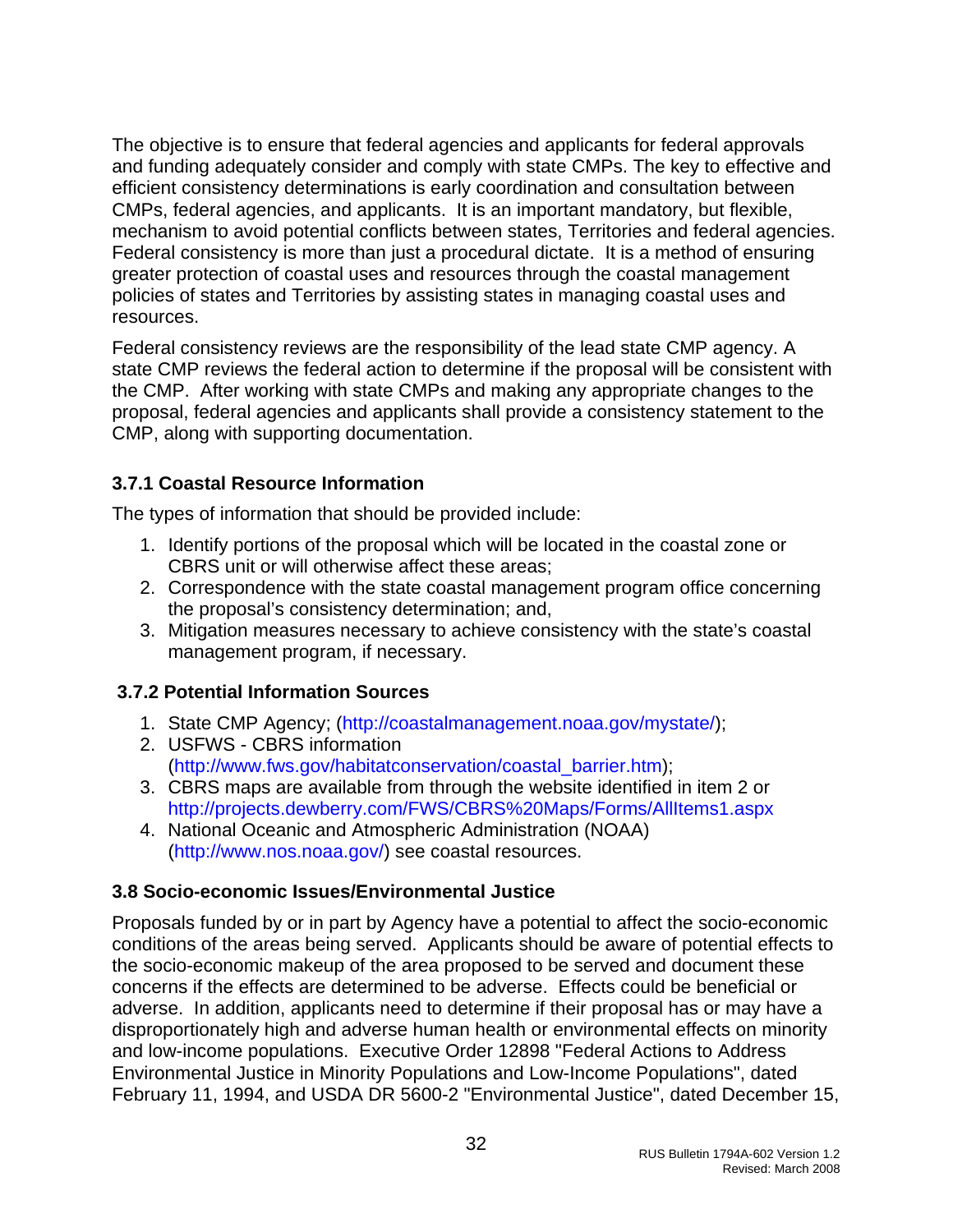<span id="page-32-0"></span>The objective is to ensure that federal agencies and applicants for federal approvals and funding adequately consider and comply with state CMPs. The key to effective and efficient consistency determinations is early coordination and consultation between CMPs, federal agencies, and applicants. It is an important mandatory, but flexible, mechanism to avoid potential conflicts between states, Territories and federal agencies. Federal consistency is more than just a procedural dictate. It is a method of ensuring greater protection of coastal uses and resources through the coastal management policies of states and Territories by assisting states in managing coastal uses and resources.

Federal consistency reviews are the responsibility of the lead state CMP agency. A state CMP reviews the federal action to determine if the proposal will be consistent with the CMP. After working with state CMPs and making any appropriate changes to the proposal, federal agencies and applicants shall provide a consistency statement to the CMP, along with supporting documentation.

# **3.7.1 Coastal Resource Information**

The types of information that should be provided include:

- 1. Identify portions of the proposal which will be located in the coastal zone or CBRS unit or will otherwise affect these areas;
- 2. Correspondence with the state coastal management program office concerning the proposal's consistency determination; and,
- 3. Mitigation measures necessary to achieve consistency with the state's coastal management program, if necessary.

# **3.7.2 Potential Information Sources**

- 1. State CMP Agency; [\(http://coastalmanagement.noaa.gov/mystate/](http://coastalmanagement.noaa.gov/mystate/));
- 2. USFWS CBRS information ([http://www.fws.gov/habitatconservation/coastal\\_barrier.htm](http://www.fws.gov/habitatconservation/coastal_barrier.htm));
- 3. CBRS maps are available from through the website identified in item 2 or <http://projects.dewberry.com/FWS/CBRS%20Maps/Forms/AllItems1.aspx>
- 4. National Oceanic and Atmospheric Administration (NOAA) ([http://www.nos.noaa.gov/\)](http://www.nos.noaa.gov/) see coastal resources.

#### **3.8 Socio-economic Issues/Environmental Justice**

Proposals funded by or in part by Agency have a potential to affect the socio-economic conditions of the areas being served. Applicants should be aware of potential effects to the socio-economic makeup of the area proposed to be served and document these concerns if the effects are determined to be adverse. Effects could be beneficial or adverse. In addition, applicants need to determine if their proposal has or may have a disproportionately high and adverse human health or environmental effects on minority and low-income populations. Executive Order 12898 "Federal Actions to Address Environmental Justice in Minority Populations and Low-Income Populations", dated February 11, 1994, and USDA DR 5600-2 "Environmental Justice", dated December 15,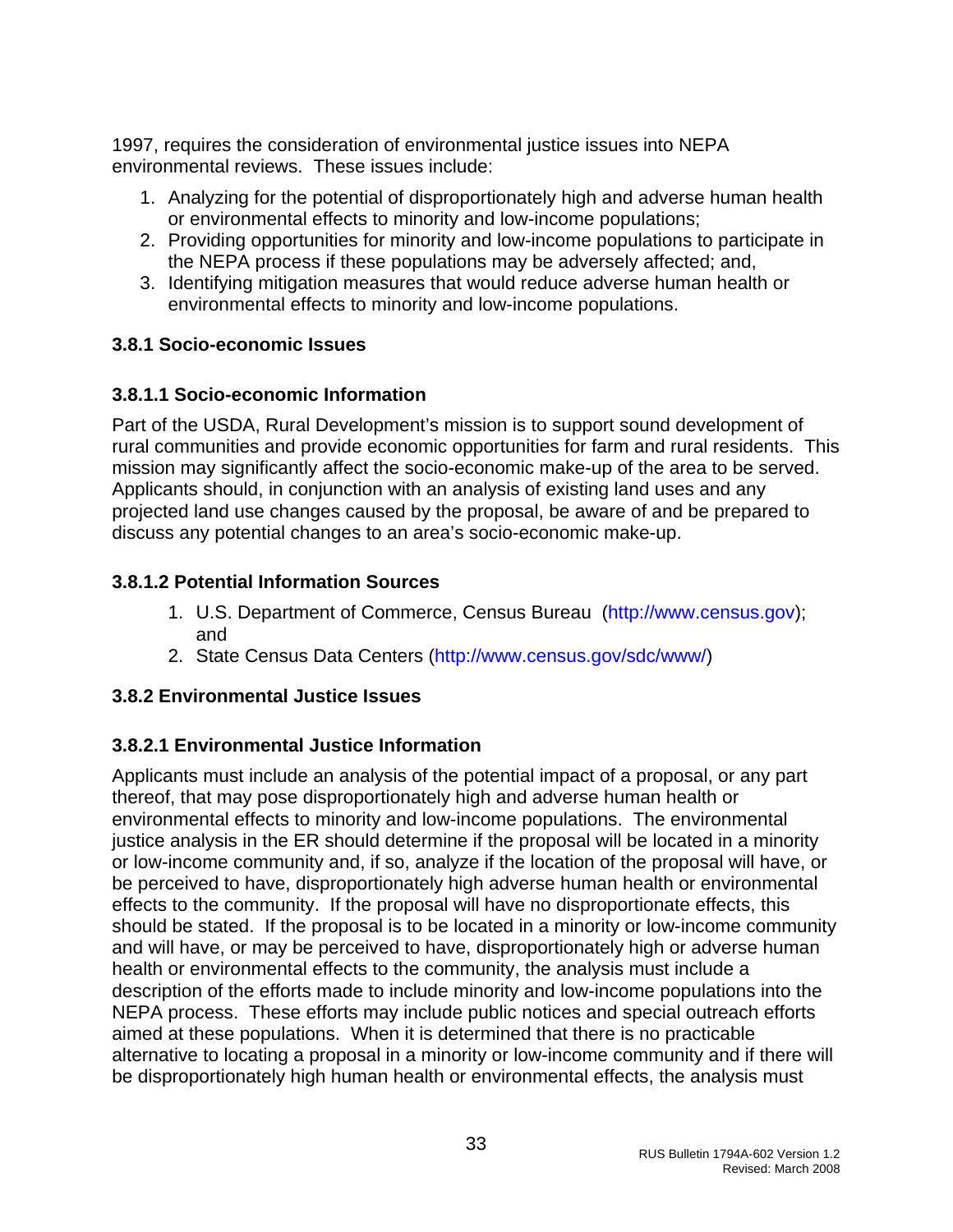<span id="page-33-0"></span>1997, requires the consideration of environmental justice issues into NEPA environmental reviews. These issues include:

- 1. Analyzing for the potential of disproportionately high and adverse human health or environmental effects to minority and low-income populations;
- 2. Providing opportunities for minority and low-income populations to participate in the NEPA process if these populations may be adversely affected; and,
- 3. Identifying mitigation measures that would reduce adverse human health or environmental effects to minority and low-income populations.

### **3.8.1 Socio-economic Issues**

### **3.8.1.1 Socio-economic Information**

Part of the USDA, Rural Development's mission is to support sound development of rural communities and provide economic opportunities for farm and rural residents. This mission may significantly affect the socio-economic make-up of the area to be served. Applicants should, in conjunction with an analysis of existing land uses and any projected land use changes caused by the proposal, be aware of and be prepared to discuss any potential changes to an area's socio-economic make-up.

### **3.8.1.2 Potential Information Sources**

- 1. U.S. Department of Commerce, Census Bureau ([http://www.census.gov\)](http://www.census.gov/); and
- 2. State Census Data Centers [\(http://www.census.gov/sdc/www/](http://www.census.gov/sdc/www/))

# **3.8.2 Environmental Justice Issues**

# **3.8.2.1 Environmental Justice Information**

Applicants must include an analysis of the potential impact of a proposal, or any part thereof, that may pose disproportionately high and adverse human health or environmental effects to minority and low-income populations. The environmental justice analysis in the ER should determine if the proposal will be located in a minority or low-income community and, if so, analyze if the location of the proposal will have, or be perceived to have, disproportionately high adverse human health or environmental effects to the community. If the proposal will have no disproportionate effects, this should be stated. If the proposal is to be located in a minority or low-income community and will have, or may be perceived to have, disproportionately high or adverse human health or environmental effects to the community, the analysis must include a description of the efforts made to include minority and low-income populations into the NEPA process. These efforts may include public notices and special outreach efforts aimed at these populations. When it is determined that there is no practicable alternative to locating a proposal in a minority or low-income community and if there will be disproportionately high human health or environmental effects, the analysis must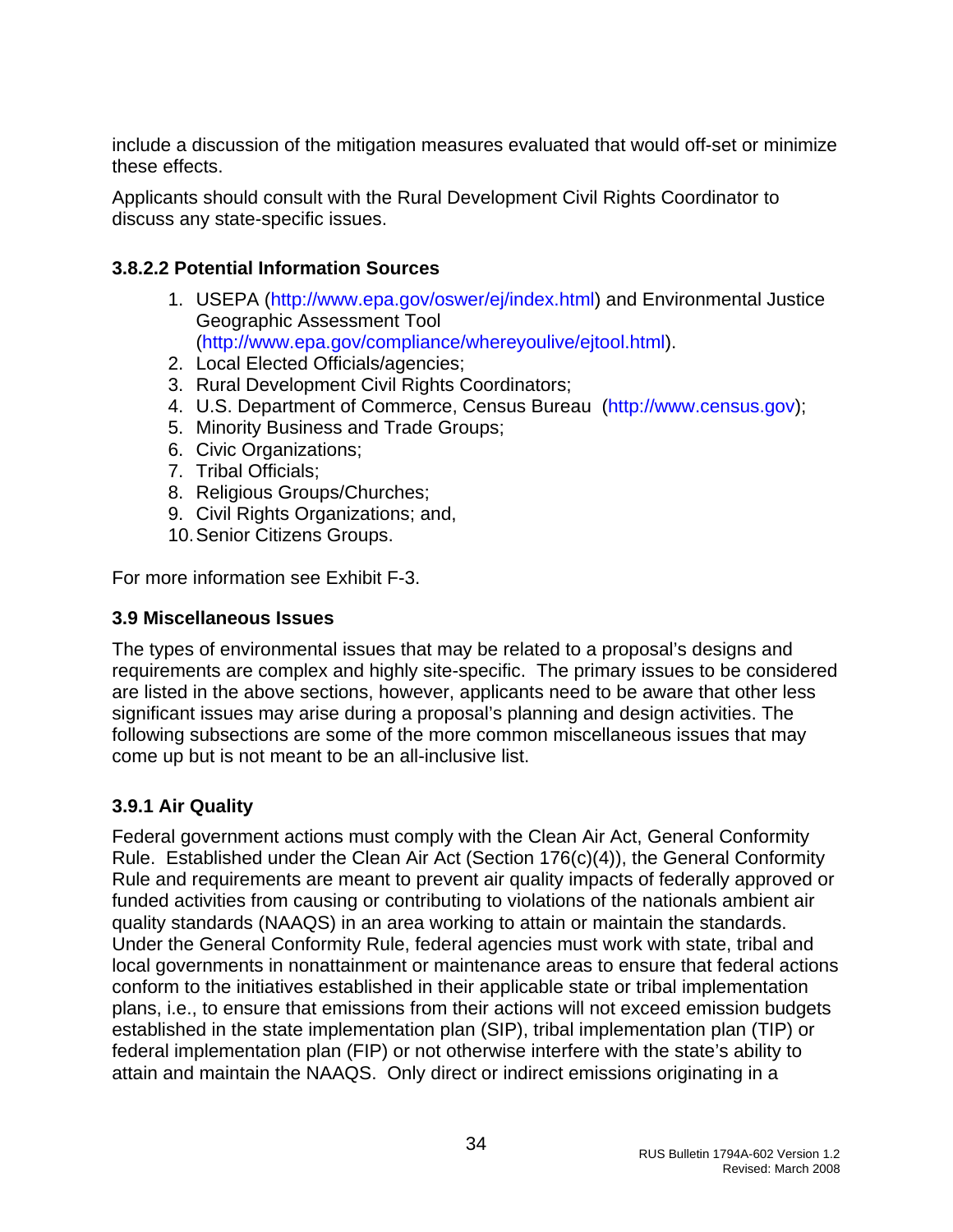<span id="page-34-0"></span>include a discussion of the mitigation measures evaluated that would off-set or minimize these effects.

Applicants should consult with the Rural Development Civil Rights Coordinator to discuss any state-specific issues.

### **3.8.2.2 Potential Information Sources**

- 1. USEPA (<http://www.epa.gov/oswer/ej/index.html>) and Environmental Justice Geographic Assessment Tool (<http://www.epa.gov/compliance/whereyoulive/ejtool.html>).
- 2. Local Elected Officials/agencies;
- 3. Rural Development Civil Rights Coordinators;
- 4. U.S. Department of Commerce, Census Bureau ([http://www.census.gov\)](http://www.census.gov/);
- 5. Minority Business and Trade Groups;
- 6. Civic Organizations;
- 7. Tribal Officials;
- 8. Religious Groups/Churches;
- 9. Civil Rights Organizations; and,
- 10. Senior Citizens Groups.

For more information see Exhibit F-3.

#### **3.9 Miscellaneous Issues**

The types of environmental issues that may be related to a proposal's designs and requirements are complex and highly site-specific. The primary issues to be considered are listed in the above sections, however, applicants need to be aware that other less significant issues may arise during a proposal's planning and design activities. The following subsections are some of the more common miscellaneous issues that may come up but is not meant to be an all-inclusive list.

#### **3.9.1 Air Quality**

Federal government actions must comply with the Clean Air Act, General Conformity Rule. Established under the Clean Air Act (Section 176(c)(4)), the General Conformity Rule and requirements are meant to prevent air quality impacts of federally approved or funded activities from causing or contributing to violations of the nationals ambient air quality standards (NAAQS) in an area working to attain or maintain the standards. Under the General Conformity Rule, federal agencies must work with state, tribal and local governments in nonattainment or maintenance areas to ensure that federal actions conform to the initiatives established in their applicable state or tribal implementation plans, i.e., to ensure that emissions from their actions will not exceed emission budgets established in the state implementation plan (SIP), tribal implementation plan (TIP) or federal implementation plan (FIP) or not otherwise interfere with the state's ability to attain and maintain the NAAQS. Only direct or indirect emissions originating in a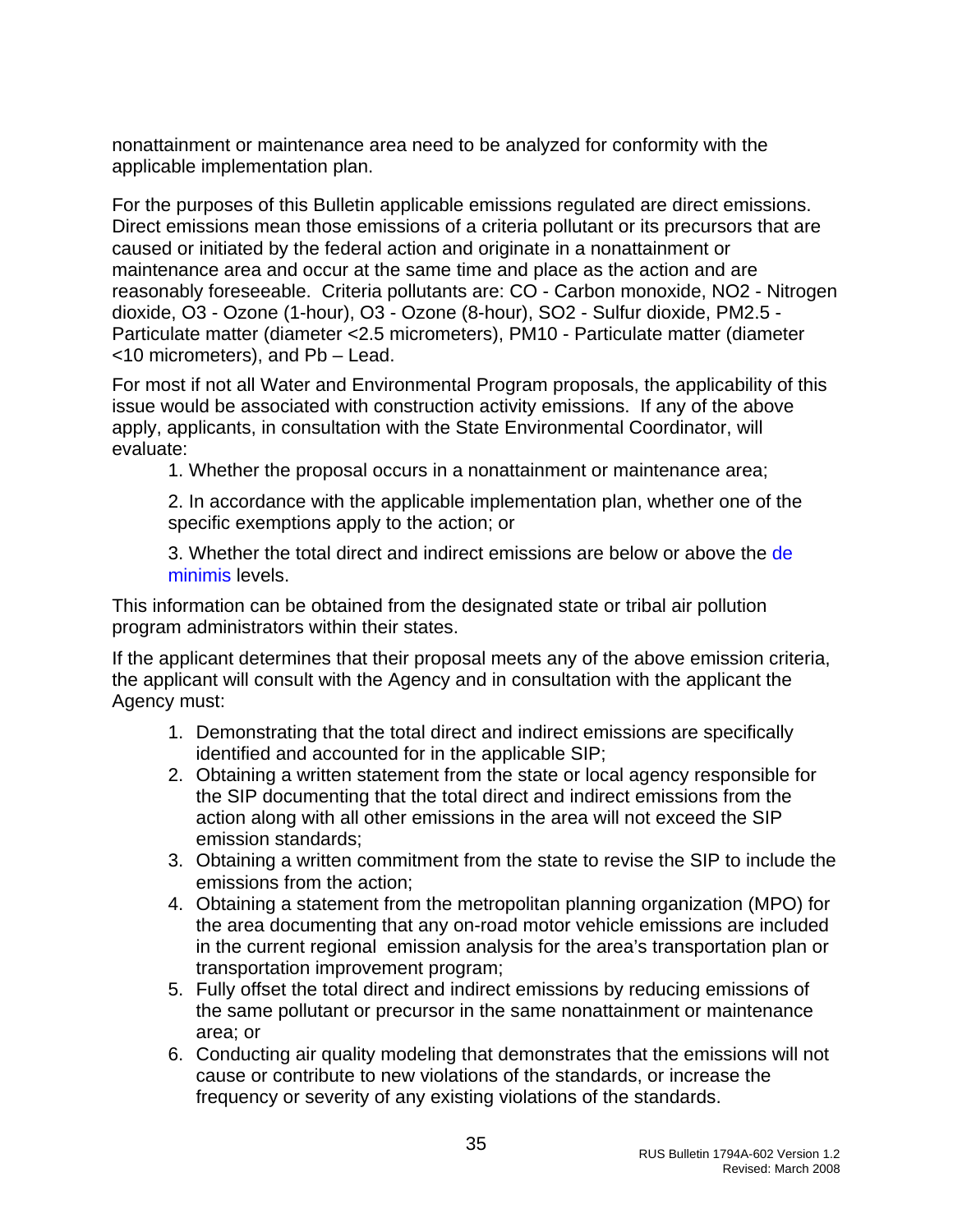nonattainment or maintenance area need to be analyzed for conformity with the applicable implementation plan.

For the purposes of this Bulletin applicable emissions regulated are direct emissions. Direct emissions mean those emissions of a criteria pollutant or its precursors that are caused or initiated by the federal action and originate in a nonattainment or maintenance area and occur at the same time and place as the action and are reasonably foreseeable. Criteria pollutants are: CO - Carbon monoxide, NO2 - Nitrogen dioxide, O3 - Ozone (1-hour), O3 - Ozone (8-hour), SO2 - Sulfur dioxide, PM2.5 - Particulate matter (diameter <2.5 micrometers), PM10 - Particulate matter (diameter <10 micrometers), and Pb – Lead.

For most if not all Water and Environmental Program proposals, the applicability of this issue would be associated with construction activity emissions. If any of the above apply, applicants, in consultation with the State Environmental Coordinator, will evaluate:

1. Whether the proposal occurs in a nonattainment or maintenance area;

2. In accordance with the applicable implementation plan, whether one of the specific exemptions apply to the action; or

3. Whether the total direct and indirect emissions are below or above the [de](http://www.epa.gov/air/genconform/deminimis.htm)  [minimis](http://www.epa.gov/air/genconform/deminimis.htm) levels.

This information can be obtained from the designated state or tribal air pollution program administrators within their states.

If the applicant determines that their proposal meets any of the above emission criteria, the applicant will consult with the Agency and in consultation with the applicant the Agency must:

- 1. Demonstrating that the total direct and indirect emissions are specifically identified and accounted for in the applicable SIP;
- 2. Obtaining a written statement from the state or local agency responsible for the SIP documenting that the total direct and indirect emissions from the action along with all other emissions in the area will not exceed the SIP emission standards;
- 3. Obtaining a written commitment from the state to revise the SIP to include the emissions from the action;
- 4. Obtaining a statement from the metropolitan planning organization (MPO) for the area documenting that any on-road motor vehicle emissions are included in the current regional emission analysis for the area's transportation plan or transportation improvement program;
- 5. Fully offset the total direct and indirect emissions by reducing emissions of the same pollutant or precursor in the same nonattainment or maintenance area; or
- 6. Conducting air quality modeling that demonstrates that the emissions will not cause or contribute to new violations of the standards, or increase the frequency or severity of any existing violations of the standards.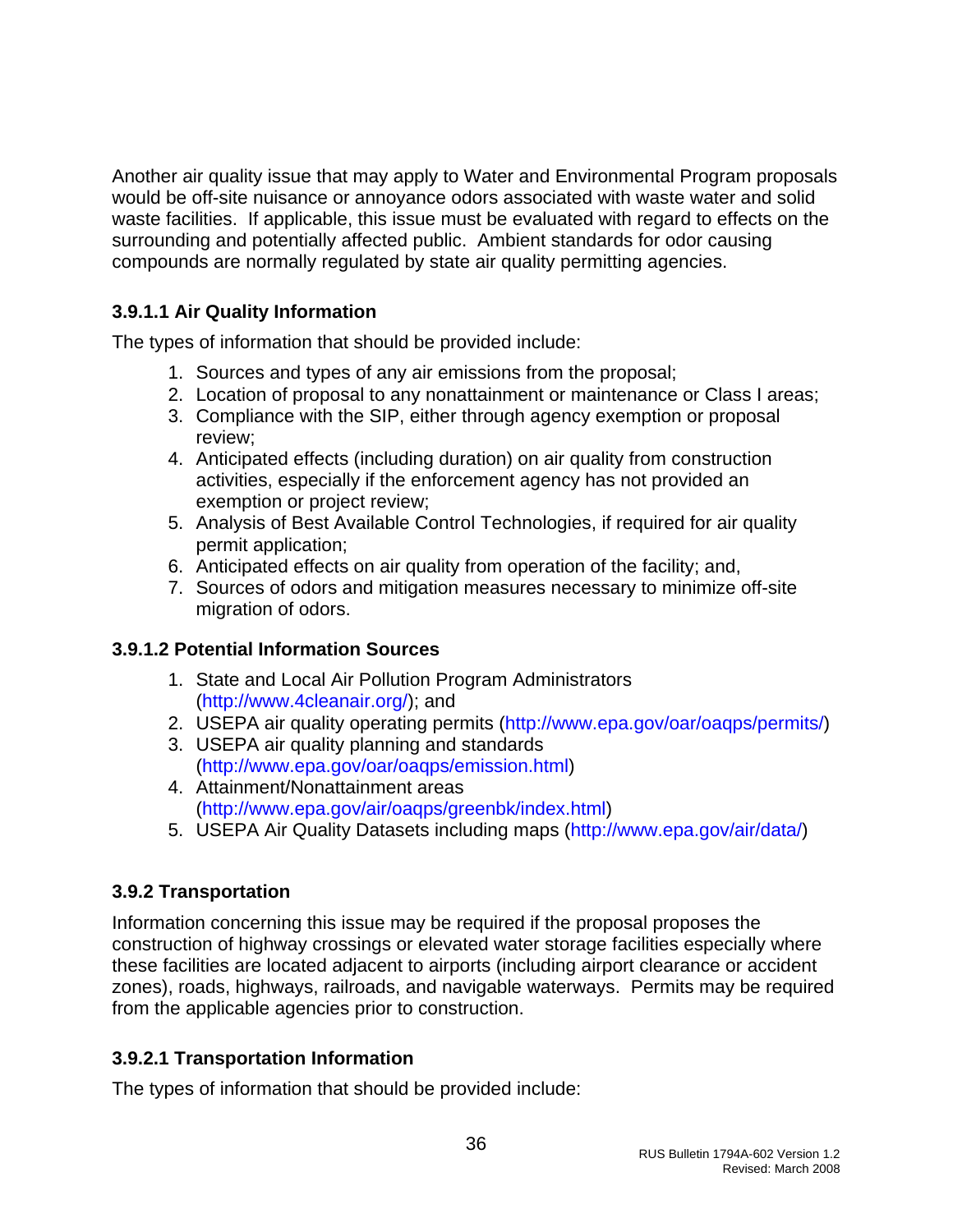<span id="page-36-0"></span>Another air quality issue that may apply to Water and Environmental Program proposals would be off-site nuisance or annoyance odors associated with waste water and solid waste facilities. If applicable, this issue must be evaluated with regard to effects on the surrounding and potentially affected public. Ambient standards for odor causing compounds are normally regulated by state air quality permitting agencies.

# **3.9.1.1 Air Quality Information**

The types of information that should be provided include:

- 1. Sources and types of any air emissions from the proposal;
- 2. Location of proposal to any nonattainment or maintenance or Class I areas;
- 3. Compliance with the SIP, either through agency exemption or proposal review;
- 4. Anticipated effects (including duration) on air quality from construction activities, especially if the enforcement agency has not provided an exemption or project review;
- 5. Analysis of Best Available Control Technologies, if required for air quality permit application;
- 6. Anticipated effects on air quality from operation of the facility; and,
- 7. Sources of odors and mitigation measures necessary to minimize off-site migration of odors.

#### **3.9.1.2 Potential Information Sources**

- 1. State and Local Air Pollution Program Administrators (<http://www.4cleanair.org/>); and
- 2. USEPA air quality operating permits (<http://www.epa.gov/oar/oaqps/permits/>)
- 3. USEPA air quality planning and standards (<http://www.epa.gov/oar/oaqps/emission.html>)
- 4. Attainment/Nonattainment areas (<http://www.epa.gov/air/oaqps/greenbk/index.html>)
- 5. USEPA Air Quality Datasets including maps (<http://www.epa.gov/air/data/>)

# **3.9.2 Transportation**

Information concerning this issue may be required if the proposal proposes the construction of highway crossings or elevated water storage facilities especially where these facilities are located adjacent to airports (including airport clearance or accident zones), roads, highways, railroads, and navigable waterways. Permits may be required from the applicable agencies prior to construction.

# **3.9.2.1 Transportation Information**

The types of information that should be provided include: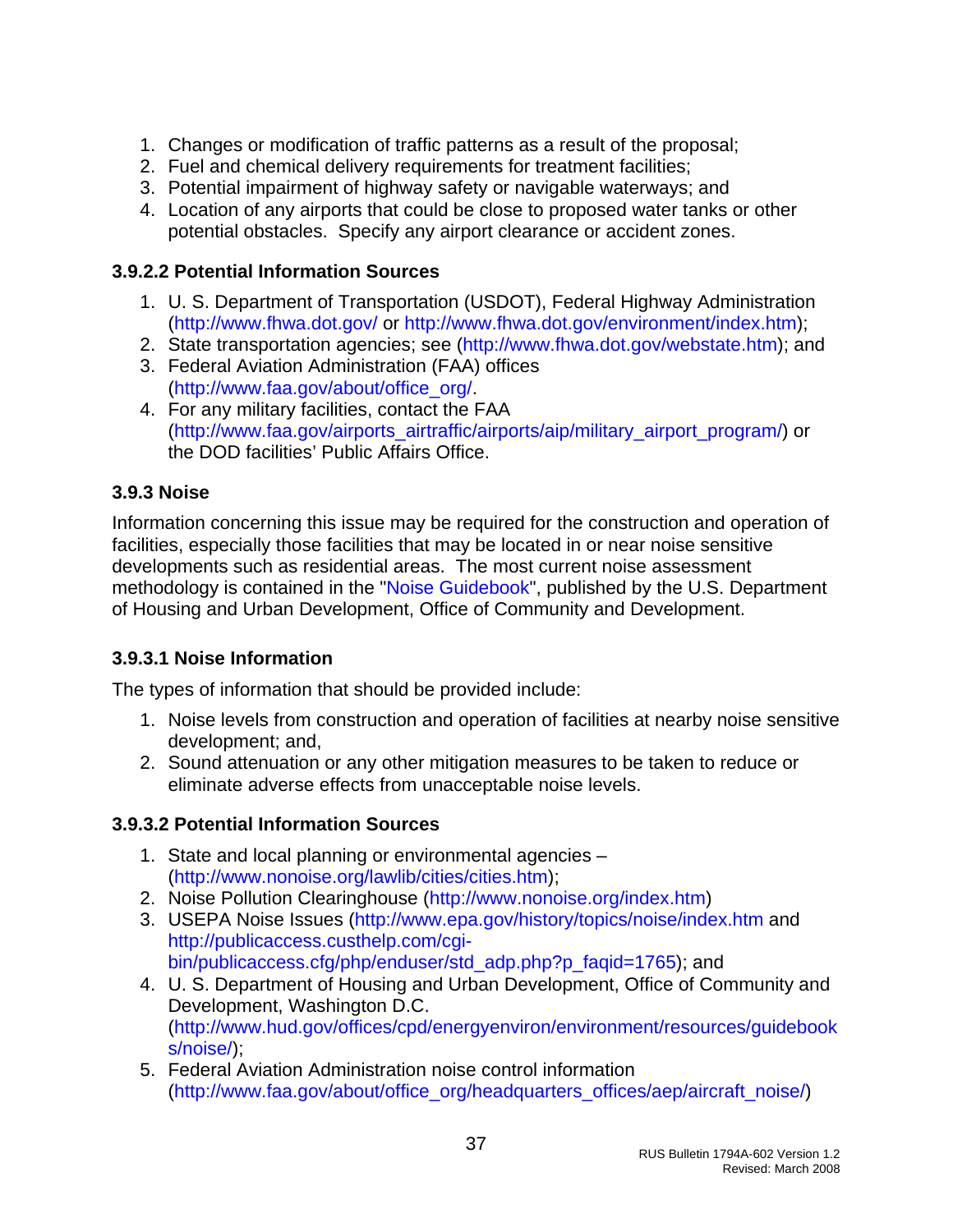- <span id="page-37-0"></span>1. Changes or modification of traffic patterns as a result of the proposal;
- 2. Fuel and chemical delivery requirements for treatment facilities;
- 3. Potential impairment of highway safety or navigable waterways; and
- 4. Location of any airports that could be close to proposed water tanks or other potential obstacles. Specify any airport clearance or accident zones.

#### **3.9.2.2 Potential Information Sources**

- 1. U. S. Department of Transportation (USDOT), Federal Highway Administration (<http://www.fhwa.dot.gov/>or<http://www.fhwa.dot.gov/environment/index.htm>);
- 2. State transportation agencies; see [\(http://www.fhwa.dot.gov/webstate.htm\)](http://www.fhwa.dot.gov/webstate.htm); and
- 3. Federal Aviation Administration (FAA) offices ([http://www.faa.gov/about/office\\_org/](http://www.faa.gov/about/office_org/).
- 4. For any military facilities, contact the FAA ([http://www.faa.gov/airports\\_airtraffic/airports/aip/military\\_airport\\_program/\)](http://www.faa.gov/airports_airtraffic/airports/aip/military_airport_program/) or the DOD facilities' Public Affairs Office.

### **3.9.3 Noise**

Information concerning this issue may be required for the construction and operation of facilities, especially those facilities that may be located in or near noise sensitive developments such as residential areas. The most current noise assessment methodology is contained in the ["Noise Guidebook](http://www.hud.gov/offices/cpd/energyenviron/environment/resources/guidebooks/noise/)", published by the U.S. Department of Housing and Urban Development, Office of Community and Development.

# **3.9.3.1 Noise Information**

The types of information that should be provided include:

- 1. Noise levels from construction and operation of facilities at nearby noise sensitive development; and,
- 2. Sound attenuation or any other mitigation measures to be taken to reduce or eliminate adverse effects from unacceptable noise levels.

#### **3.9.3.2 Potential Information Sources**

- 1. State and local planning or environmental agencies (<http://www.nonoise.org/lawlib/cities/cities.htm>);
- 2. Noise Pollution Clearinghouse [\(http://www.nonoise.org/index.htm\)](http://www.nonoise.org/index.htm)
- 3. USEPA Noise Issues [\(http://www.epa.gov/history/topics/noise/index.htm](http://www.epa.gov/history/topics/noise/index.htm) and [http://publicaccess.custhelp.com/cgi](http://publicaccess.custhelp.com/cgi-bin/publicaccess.cfg/php/enduser/std_adp.php?p_faqid=1765)[bin/publicaccess.cfg/php/enduser/std\\_adp.php?p\\_faqid=1765](http://publicaccess.custhelp.com/cgi-bin/publicaccess.cfg/php/enduser/std_adp.php?p_faqid=1765)); and
- 4. U. S. Department of Housing and Urban Development, Office of Community and Development, Washington D.C. ([http://www.hud.gov/offices/cpd/energyenviron/environment/resources/guidebook](http://www.hud.gov/offices/cpd/energyenviron/environment/resources/guidebooks/noise/) [s/noise/](http://www.hud.gov/offices/cpd/energyenviron/environment/resources/guidebooks/noise/));
- 5. Federal Aviation Administration noise control information ([http://www.faa.gov/about/office\\_org/headquarters\\_offices/aep/aircraft\\_noise/](http://www.faa.gov/about/office_org/headquarters_offices/aep/aircraft_noise/))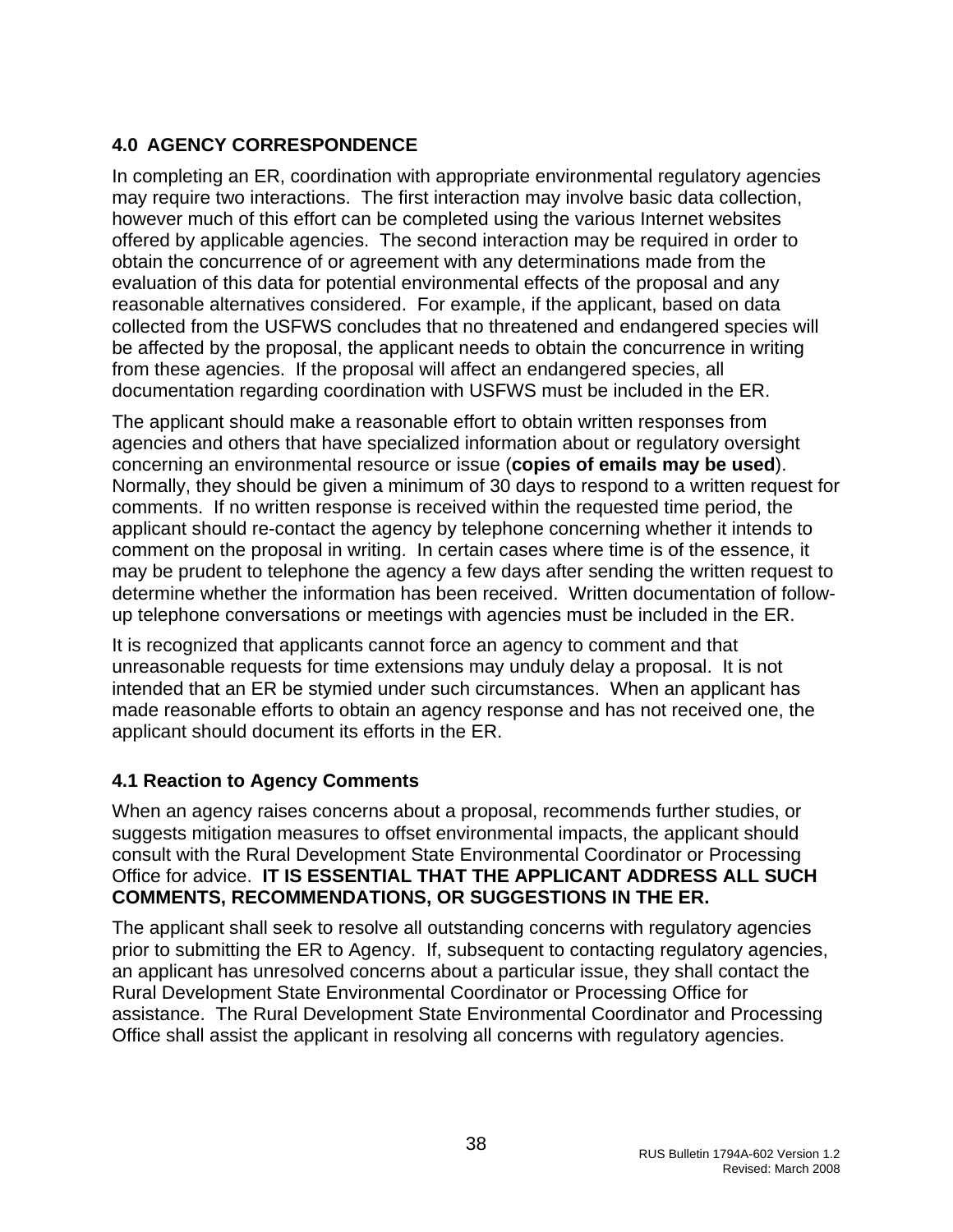# <span id="page-38-0"></span>**4.0 AGENCY CORRESPONDENCE**

In completing an ER, coordination with appropriate environmental regulatory agencies may require two interactions. The first interaction may involve basic data collection, however much of this effort can be completed using the various Internet websites offered by applicable agencies. The second interaction may be required in order to obtain the concurrence of or agreement with any determinations made from the evaluation of this data for potential environmental effects of the proposal and any reasonable alternatives considered. For example, if the applicant, based on data collected from the USFWS concludes that no threatened and endangered species will be affected by the proposal, the applicant needs to obtain the concurrence in writing from these agencies. If the proposal will affect an endangered species, all documentation regarding coordination with USFWS must be included in the ER.

The applicant should make a reasonable effort to obtain written responses from agencies and others that have specialized information about or regulatory oversight concerning an environmental resource or issue (**copies of emails may be used**). Normally, they should be given a minimum of 30 days to respond to a written request for comments. If no written response is received within the requested time period, the applicant should re-contact the agency by telephone concerning whether it intends to comment on the proposal in writing. In certain cases where time is of the essence, it may be prudent to telephone the agency a few days after sending the written request to determine whether the information has been received. Written documentation of followup telephone conversations or meetings with agencies must be included in the ER.

It is recognized that applicants cannot force an agency to comment and that unreasonable requests for time extensions may unduly delay a proposal. It is not intended that an ER be stymied under such circumstances. When an applicant has made reasonable efforts to obtain an agency response and has not received one, the applicant should document its efforts in the ER.

# **4.1 Reaction to Agency Comments**

When an agency raises concerns about a proposal, recommends further studies, or suggests mitigation measures to offset environmental impacts, the applicant should consult with the Rural Development State Environmental Coordinator or Processing Office for advice. **IT IS ESSENTIAL THAT THE APPLICANT ADDRESS ALL SUCH COMMENTS, RECOMMENDATIONS, OR SUGGESTIONS IN THE ER.** 

The applicant shall seek to resolve all outstanding concerns with regulatory agencies prior to submitting the ER to Agency. If, subsequent to contacting regulatory agencies, an applicant has unresolved concerns about a particular issue, they shall contact the Rural Development State Environmental Coordinator or Processing Office for assistance. The Rural Development State Environmental Coordinator and Processing Office shall assist the applicant in resolving all concerns with regulatory agencies.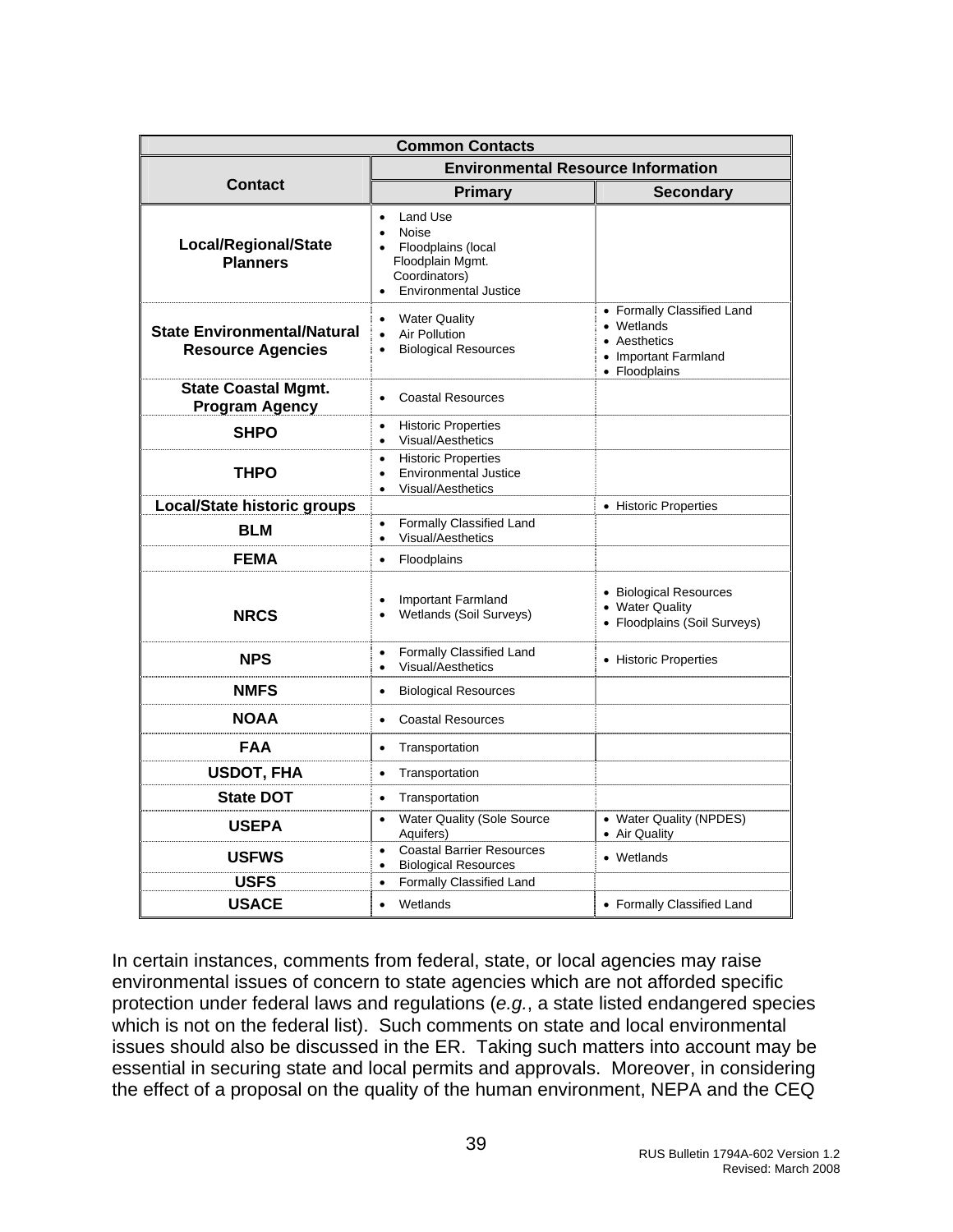| <b>Common Contacts</b>                                         |                                                                                                                                        |                                                                                                              |  |  |  |
|----------------------------------------------------------------|----------------------------------------------------------------------------------------------------------------------------------------|--------------------------------------------------------------------------------------------------------------|--|--|--|
|                                                                | <b>Environmental Resource Information</b>                                                                                              |                                                                                                              |  |  |  |
| <b>Contact</b>                                                 | <b>Primary</b>                                                                                                                         | <b>Secondary</b>                                                                                             |  |  |  |
| Local/Regional/State<br><b>Planners</b>                        | Land Use<br>$\bullet$<br>Noise<br>$\bullet$<br>Floodplains (local<br>Floodplain Mgmt.<br>Coordinators)<br><b>Environmental Justice</b> |                                                                                                              |  |  |  |
| <b>State Environmental/Natural</b><br><b>Resource Agencies</b> | <b>Water Quality</b><br>$\bullet$<br>Air Pollution<br>$\bullet$<br><b>Biological Resources</b><br>$\bullet$                            | • Formally Classified Land<br>• Wetlands<br>Aesthetics<br>$\bullet$<br>• Important Farmland<br>• Floodplains |  |  |  |
| <b>State Coastal Mgmt.</b><br><b>Program Agency</b>            | <b>Coastal Resources</b><br>$\bullet$                                                                                                  |                                                                                                              |  |  |  |
| <b>SHPO</b>                                                    | <b>Historic Properties</b><br>$\bullet$<br>Visual/Aesthetics<br>$\bullet$                                                              |                                                                                                              |  |  |  |
| <b>THPO</b>                                                    | <b>Historic Properties</b><br>$\bullet$<br><b>Environmental Justice</b><br>$\bullet$<br><b>Visual/Aesthetics</b><br>$\bullet$          |                                                                                                              |  |  |  |
| <b>Local/State historic groups</b>                             |                                                                                                                                        | • Historic Properties                                                                                        |  |  |  |
| <b>BLM</b>                                                     | Formally Classified Land<br>$\bullet$<br>Visual/Aesthetics<br>$\bullet$                                                                |                                                                                                              |  |  |  |
| <b>FEMA</b>                                                    | Floodplains<br>$\bullet$                                                                                                               |                                                                                                              |  |  |  |
| <b>NRCS</b>                                                    | Important Farmland<br>$\bullet$<br>Wetlands (Soil Surveys)                                                                             | • Biological Resources<br>• Water Quality<br>• Floodplains (Soil Surveys)                                    |  |  |  |
| <b>NPS</b>                                                     | Formally Classified Land<br>$\bullet$<br><b>Visual/Aesthetics</b><br>$\bullet$                                                         | • Historic Properties                                                                                        |  |  |  |
| <b>NMFS</b>                                                    | <b>Biological Resources</b><br>$\bullet$                                                                                               |                                                                                                              |  |  |  |
| <b>NOAA</b>                                                    | <b>Coastal Resources</b><br>$\bullet$                                                                                                  |                                                                                                              |  |  |  |
| <b>FAA</b>                                                     | Transportation<br>$\bullet$                                                                                                            |                                                                                                              |  |  |  |
| <b>USDOT, FHA</b>                                              | Transportation<br>$\bullet$                                                                                                            |                                                                                                              |  |  |  |
| <b>State DOT</b>                                               | Transportation<br>$\bullet$                                                                                                            |                                                                                                              |  |  |  |
| <b>USEPA</b>                                                   | <b>Water Quality (Sole Source</b><br>$\bullet$<br>Aquifers)                                                                            | • Water Quality (NPDES)<br>• Air Quality                                                                     |  |  |  |
| <b>USFWS</b>                                                   | <b>Coastal Barrier Resources</b><br>$\bullet$<br><b>Biological Resources</b><br>$\bullet$                                              | • Wetlands                                                                                                   |  |  |  |
| <b>USFS</b>                                                    | Formally Classified Land<br>$\bullet$                                                                                                  |                                                                                                              |  |  |  |
| <b>USACE</b>                                                   | Wetlands<br>$\bullet$                                                                                                                  | • Formally Classified Land                                                                                   |  |  |  |

In certain instances, comments from federal, state, or local agencies may raise environmental issues of concern to state agencies which are not afforded specific protection under federal laws and regulations (*e.g.*, a state listed endangered species which is not on the federal list). Such comments on state and local environmental issues should also be discussed in the ER. Taking such matters into account may be essential in securing state and local permits and approvals. Moreover, in considering the effect of a proposal on the quality of the human environment, NEPA and the CEQ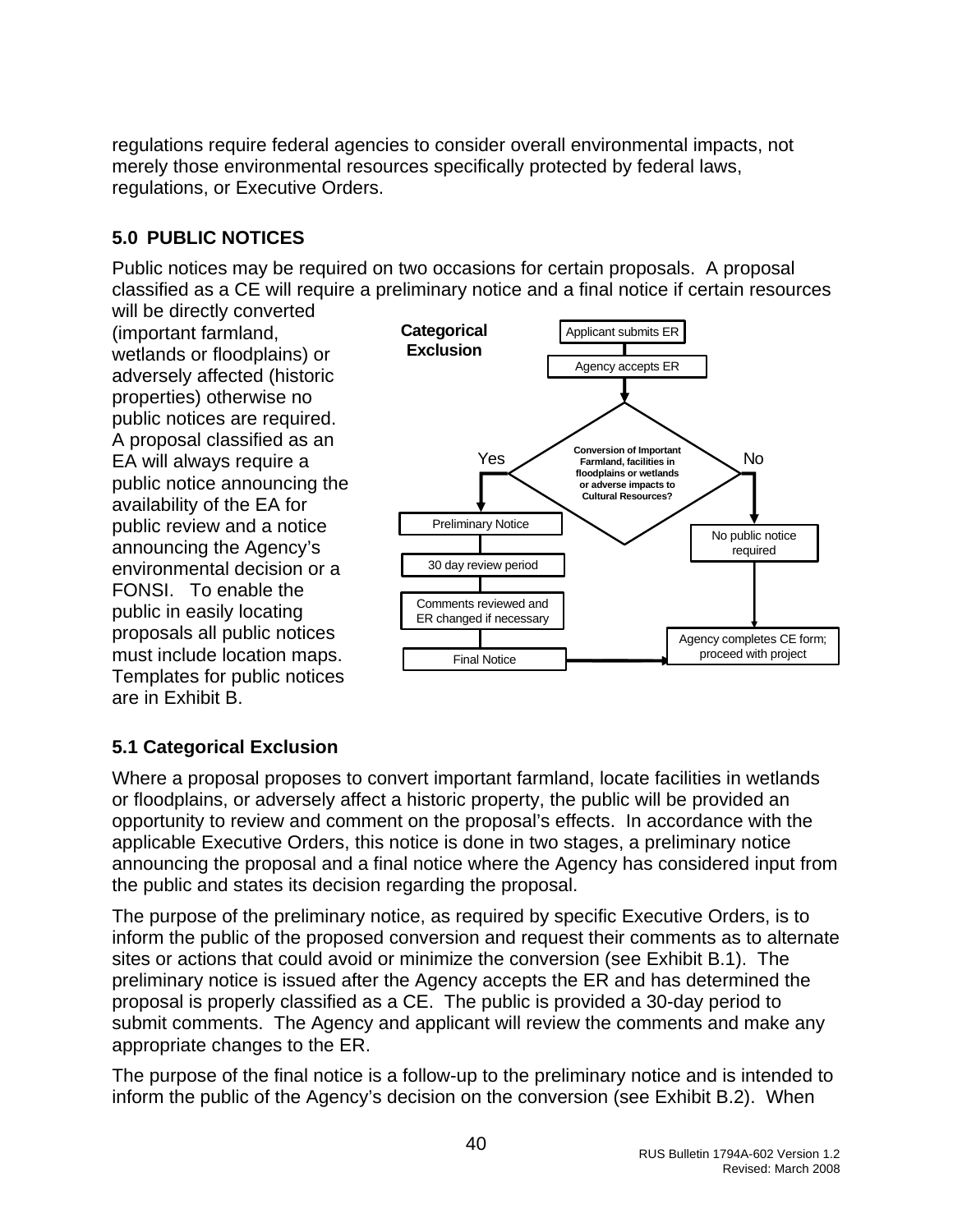<span id="page-40-0"></span>regulations require federal agencies to consider overall environmental impacts, not merely those environmental resources specifically protected by federal laws, regulations, or Executive Orders.

# **5.0 PUBLIC NOTICES**

Public notices may be required on two occasions for certain proposals. A proposal classified as a CE will require a preliminary notice and a final notice if certain resources

will be directly converted (important farmland, wetlands or floodplains) or adversely affected (historic properties) otherwise no public notices are required. A proposal classified as an EA will always require a public notice announcing the availability of the EA for public review and a notice announcing the Agency's environmental decision or a FONSI. To enable the public in easily locating proposals all public notices must include location maps. Templates for public notices are in Exhibit B.



# **5.1 Categorical Exclusion**

Where a proposal proposes to convert important farmland, locate facilities in wetlands or floodplains, or adversely affect a historic property, the public will be provided an opportunity to review and comment on the proposal's effects. In accordance with the applicable Executive Orders, this notice is done in two stages, a preliminary notice announcing the proposal and a final notice where the Agency has considered input from the public and states its decision regarding the proposal.

The purpose of the preliminary notice, as required by specific Executive Orders, is to inform the public of the proposed conversion and request their comments as to alternate sites or actions that could avoid or minimize the conversion (see Exhibit B.1). The preliminary notice is issued after the Agency accepts the ER and has determined the proposal is properly classified as a CE. The public is provided a 30-day period to submit comments. The Agency and applicant will review the comments and make any appropriate changes to the ER.

The purpose of the final notice is a follow-up to the preliminary notice and is intended to inform the public of the Agency's decision on the conversion (see Exhibit B.2). When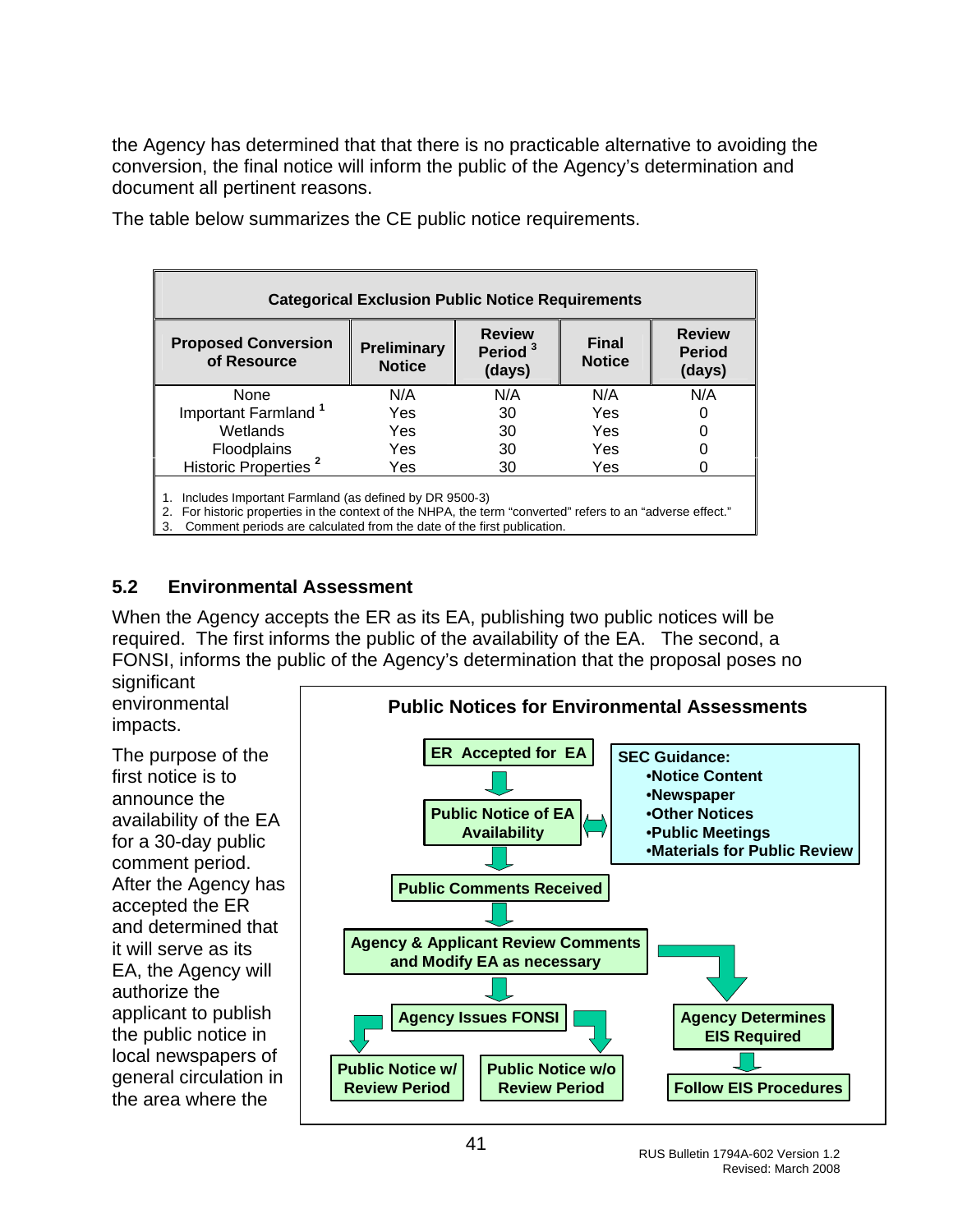<span id="page-41-0"></span>the Agency has determined that that there is no practicable alternative to avoiding the conversion, the final notice will inform the public of the Agency's determination and document all pertinent reasons.

| <b>Categorical Exclusion Public Notice Requirements</b>                                                                                                                                                                                                |                                     |                                                |                               |                                          |  |
|--------------------------------------------------------------------------------------------------------------------------------------------------------------------------------------------------------------------------------------------------------|-------------------------------------|------------------------------------------------|-------------------------------|------------------------------------------|--|
| <b>Proposed Conversion</b><br>of Resource                                                                                                                                                                                                              | <b>Preliminary</b><br><b>Notice</b> | <b>Review</b><br>Period <sup>3</sup><br>(days) | <b>Final</b><br><b>Notice</b> | <b>Review</b><br><b>Period</b><br>(days) |  |
| None                                                                                                                                                                                                                                                   | N/A                                 | N/A                                            | N/A                           | N/A                                      |  |
| Important Farmland <sup>1</sup>                                                                                                                                                                                                                        | Yes                                 | 30                                             | Yes                           |                                          |  |
| Wetlands                                                                                                                                                                                                                                               | Yes                                 | 30                                             | Yes                           | 0                                        |  |
| Floodplains                                                                                                                                                                                                                                            | Yes                                 | 30                                             | Yes                           |                                          |  |
| Historic Properties <sup>2</sup>                                                                                                                                                                                                                       | Yes                                 | 30                                             | Yes                           |                                          |  |
| Includes Important Farmland (as defined by DR 9500-3)<br>For historic properties in the context of the NHPA, the term "converted" refers to an "adverse effect."<br>2.<br>Comment periods are calculated from the date of the first publication.<br>3. |                                     |                                                |                               |                                          |  |

The table below summarizes the CE public notice requirements.

### **5.2 Environmental Assessment**

When the Agency accepts the ER as its EA, publishing two public notices will be required. The first informs the public of the availability of the EA. The second, a FONSI, informs the public of the Agency's determination that the proposal poses no

significant environmental impacts.

The purpose of the first notice is to announce the availability of the EA for a 30-day public comment period. After the Agency has accepted the ER and determined that it will serve as its EA, the Agency will authorize the applicant to publish the public notice in local newspapers of general circulation in the area where the

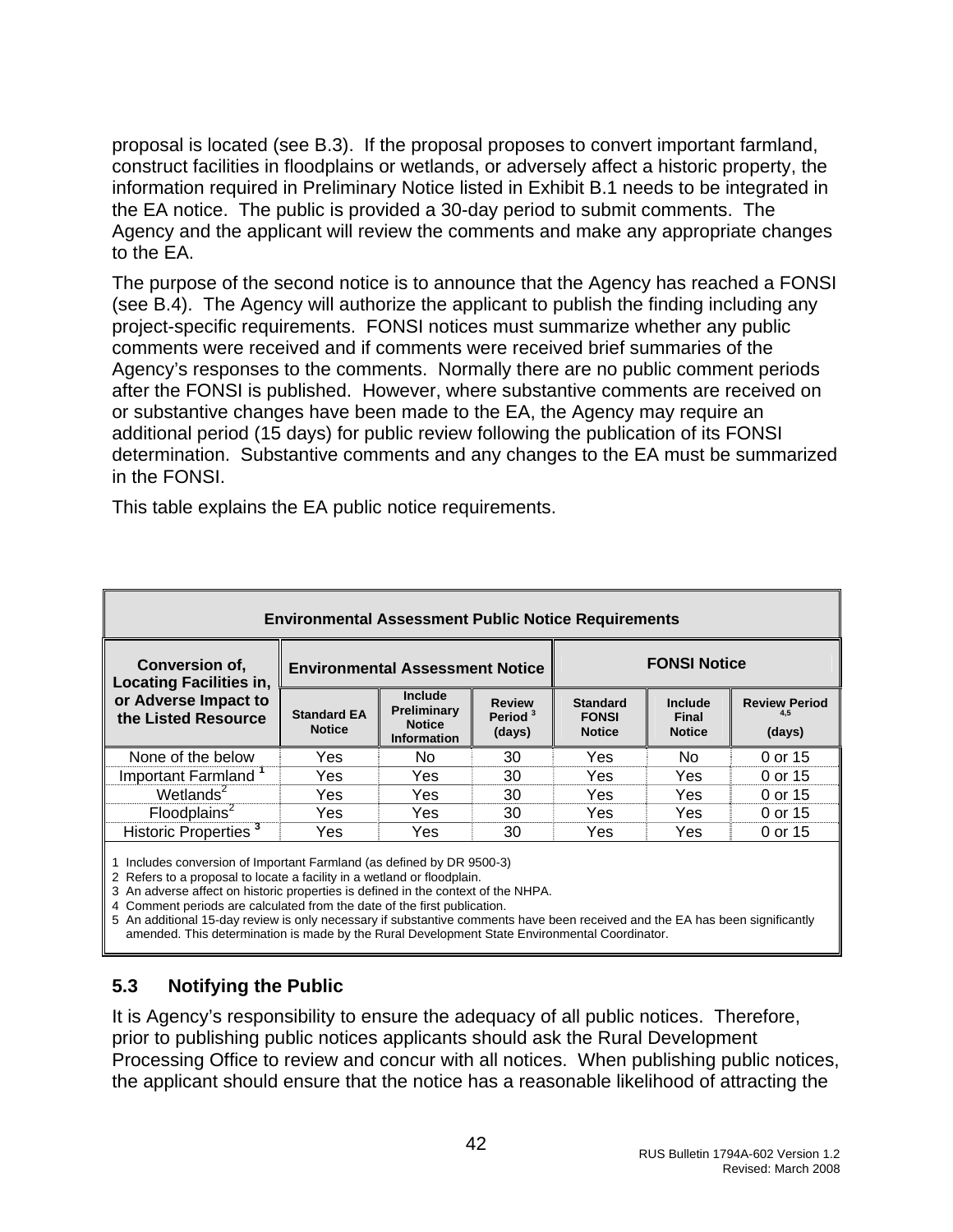<span id="page-42-0"></span>proposal is located (see B.3). If the proposal proposes to convert important farmland, construct facilities in floodplains or wetlands, or adversely affect a historic property, the information required in Preliminary Notice listed in Exhibit B.1 needs to be integrated in the EA notice. The public is provided a 30-day period to submit comments. The Agency and the applicant will review the comments and make any appropriate changes to the EA.

The purpose of the second notice is to announce that the Agency has reached a FONSI (see B.4). The Agency will authorize the applicant to publish the finding including any project-specific requirements. FONSI notices must summarize whether any public comments were received and if comments were received brief summaries of the Agency's responses to the comments. Normally there are no public comment periods after the FONSI is published. However, where substantive comments are received on or substantive changes have been made to the EA, the Agency may require an additional period (15 days) for public review following the publication of its FONSI determination. Substantive comments and any changes to the EA must be summarized in the FONSI.

This table explains the EA public notice requirements.

| <b>Environmental Assessment Public Notice Requirements</b> |                                        |                                                               |                                                |                                                  |                                   |                                       |
|------------------------------------------------------------|----------------------------------------|---------------------------------------------------------------|------------------------------------------------|--------------------------------------------------|-----------------------------------|---------------------------------------|
| Conversion of,<br><b>Locating Facilities in,</b>           | <b>Environmental Assessment Notice</b> |                                                               |                                                | <b>FONSI Notice</b>                              |                                   |                                       |
| or Adverse Impact to<br>the Listed Resource                | <b>Standard EA</b><br><b>Notice</b>    | Include<br>Preliminary<br><b>Notice</b><br><b>Information</b> | <b>Review</b><br>Period <sup>3</sup><br>(days) | <b>Standard</b><br><b>FONSI</b><br><b>Notice</b> | Include<br>Final<br><b>Notice</b> | <b>Review Period</b><br>4.5<br>(days) |
| None of the below                                          | Yes                                    | No                                                            | 30                                             | Yes                                              | No                                | 0 or 15                               |
| Important Farmland <sup>1</sup>                            | Yes                                    | Yes                                                           | 30                                             | Yes                                              | Yes                               | 0 or 15                               |
| Wetlands $2$                                               | Yes                                    | Yes                                                           | 30                                             | Yes                                              | Yes                               | 0 or 15                               |
| $F$ loodplains $^2$                                        | Yes.                                   | Yes                                                           | 30                                             | Yes                                              | Yes                               | 0 or 15                               |
| Historic Properties <sup>3</sup>                           | Yes                                    | Yes                                                           | 30                                             | Yes                                              | Yes                               | 0 or 15                               |

1 Includes conversion of Important Farmland (as defined by DR 9500-3)

2 Refers to a proposal to locate a facility in a wetland or floodplain.

3 An adverse affect on historic properties is defined in the context of the NHPA.

4 Comment periods are calculated from the date of the first publication.

5 An additional 15-day review is only necessary if substantive comments have been received and the EA has been significantly amended. This determination is made by the Rural Development State Environmental Coordinator.

#### **5.3 Notifying the Public**

It is Agency's responsibility to ensure the adequacy of all public notices. Therefore, prior to publishing public notices applicants should ask the Rural Development Processing Office to review and concur with all notices. When publishing public notices, the applicant should ensure that the notice has a reasonable likelihood of attracting the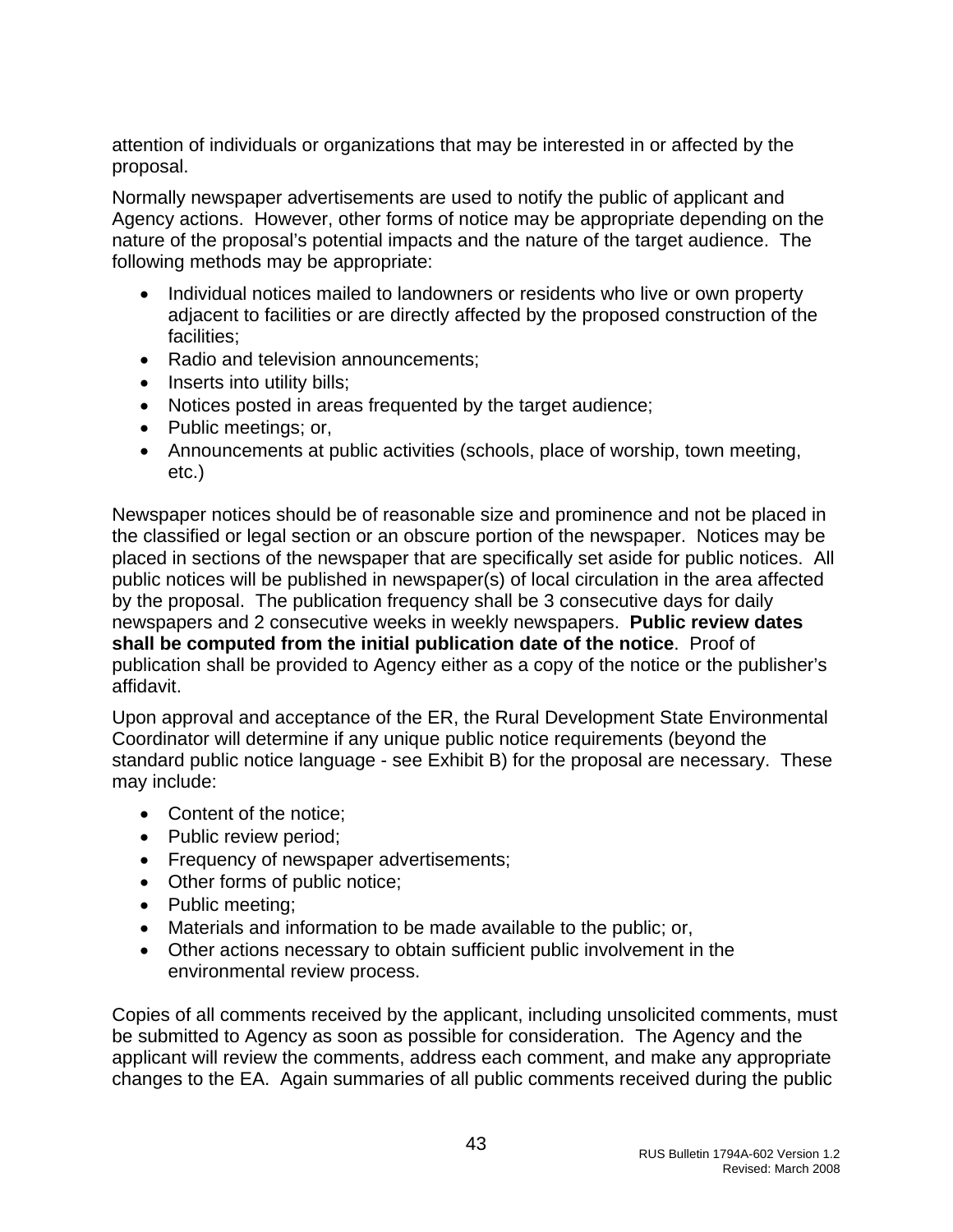attention of individuals or organizations that may be interested in or affected by the proposal.

Normally newspaper advertisements are used to notify the public of applicant and Agency actions. However, other forms of notice may be appropriate depending on the nature of the proposal's potential impacts and the nature of the target audience. The following methods may be appropriate:

- Individual notices mailed to landowners or residents who live or own property adjacent to facilities or are directly affected by the proposed construction of the facilities;
- Radio and television announcements;
- Inserts into utility bills;
- Notices posted in areas frequented by the target audience;
- Public meetings; or,
- Announcements at public activities (schools, place of worship, town meeting, etc.)

Newspaper notices should be of reasonable size and prominence and not be placed in the classified or legal section or an obscure portion of the newspaper. Notices may be placed in sections of the newspaper that are specifically set aside for public notices. All public notices will be published in newspaper(s) of local circulation in the area affected by the proposal. The publication frequency shall be 3 consecutive days for daily newspapers and 2 consecutive weeks in weekly newspapers. **Public review dates shall be computed from the initial publication date of the notice**. Proof of publication shall be provided to Agency either as a copy of the notice or the publisher's affidavit.

Upon approval and acceptance of the ER, the Rural Development State Environmental Coordinator will determine if any unique public notice requirements (beyond the standard public notice language - see Exhibit B) for the proposal are necessary. These may include:

- Content of the notice;
- Public review period;
- Frequency of newspaper advertisements;
- Other forms of public notice;
- Public meeting;
- Materials and information to be made available to the public; or,
- Other actions necessary to obtain sufficient public involvement in the environmental review process.

Copies of all comments received by the applicant, including unsolicited comments, must be submitted to Agency as soon as possible for consideration. The Agency and the applicant will review the comments, address each comment, and make any appropriate changes to the EA. Again summaries of all public comments received during the public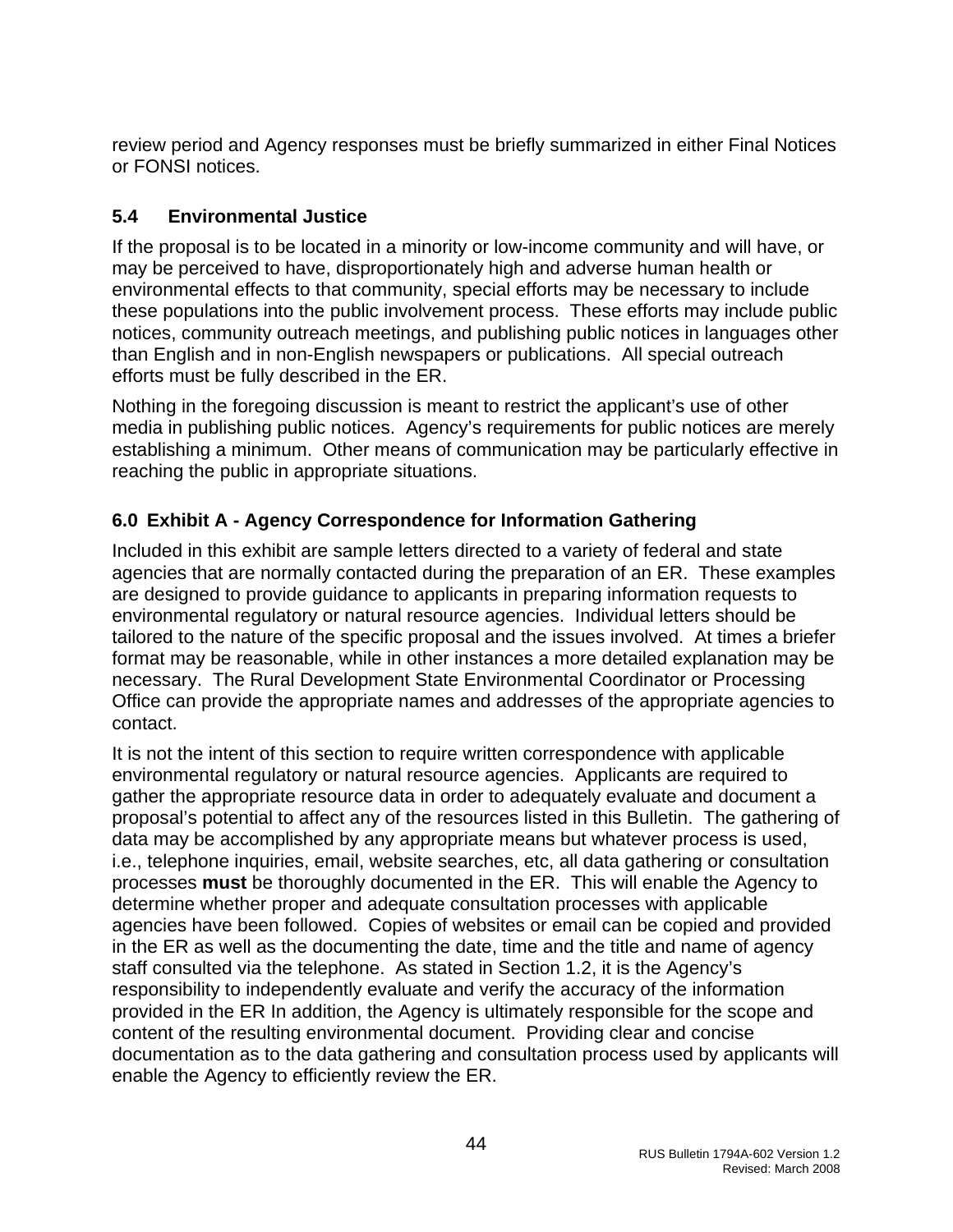<span id="page-44-0"></span>review period and Agency responses must be briefly summarized in either Final Notices or FONSI notices.

# **5.4 Environmental Justice**

If the proposal is to be located in a minority or low-income community and will have, or may be perceived to have, disproportionately high and adverse human health or environmental effects to that community, special efforts may be necessary to include these populations into the public involvement process. These efforts may include public notices, community outreach meetings, and publishing public notices in languages other than English and in non-English newspapers or publications. All special outreach efforts must be fully described in the ER.

Nothing in the foregoing discussion is meant to restrict the applicant's use of other media in publishing public notices. Agency's requirements for public notices are merely establishing a minimum. Other means of communication may be particularly effective in reaching the public in appropriate situations.

# **6.0 Exhibit A - Agency Correspondence for Information Gathering**

Included in this exhibit are sample letters directed to a variety of federal and state agencies that are normally contacted during the preparation of an ER. These examples are designed to provide guidance to applicants in preparing information requests to environmental regulatory or natural resource agencies. Individual letters should be tailored to the nature of the specific proposal and the issues involved. At times a briefer format may be reasonable, while in other instances a more detailed explanation may be necessary. The Rural Development State Environmental Coordinator or Processing Office can provide the appropriate names and addresses of the appropriate agencies to contact.

It is not the intent of this section to require written correspondence with applicable environmental regulatory or natural resource agencies. Applicants are required to gather the appropriate resource data in order to adequately evaluate and document a proposal's potential to affect any of the resources listed in this Bulletin. The gathering of data may be accomplished by any appropriate means but whatever process is used, i.e., telephone inquiries, email, website searches, etc, all data gathering or consultation processes **must** be thoroughly documented in the ER. This will enable the Agency to determine whether proper and adequate consultation processes with applicable agencies have been followed. Copies of websites or email can be copied and provided in the ER as well as the documenting the date, time and the title and name of agency staff consulted via the telephone. As stated in Section 1.2, it is the Agency's responsibility to independently evaluate and verify the accuracy of the information provided in the ER In addition, the Agency is ultimately responsible for the scope and content of the resulting environmental document. Providing clear and concise documentation as to the data gathering and consultation process used by applicants will enable the Agency to efficiently review the ER.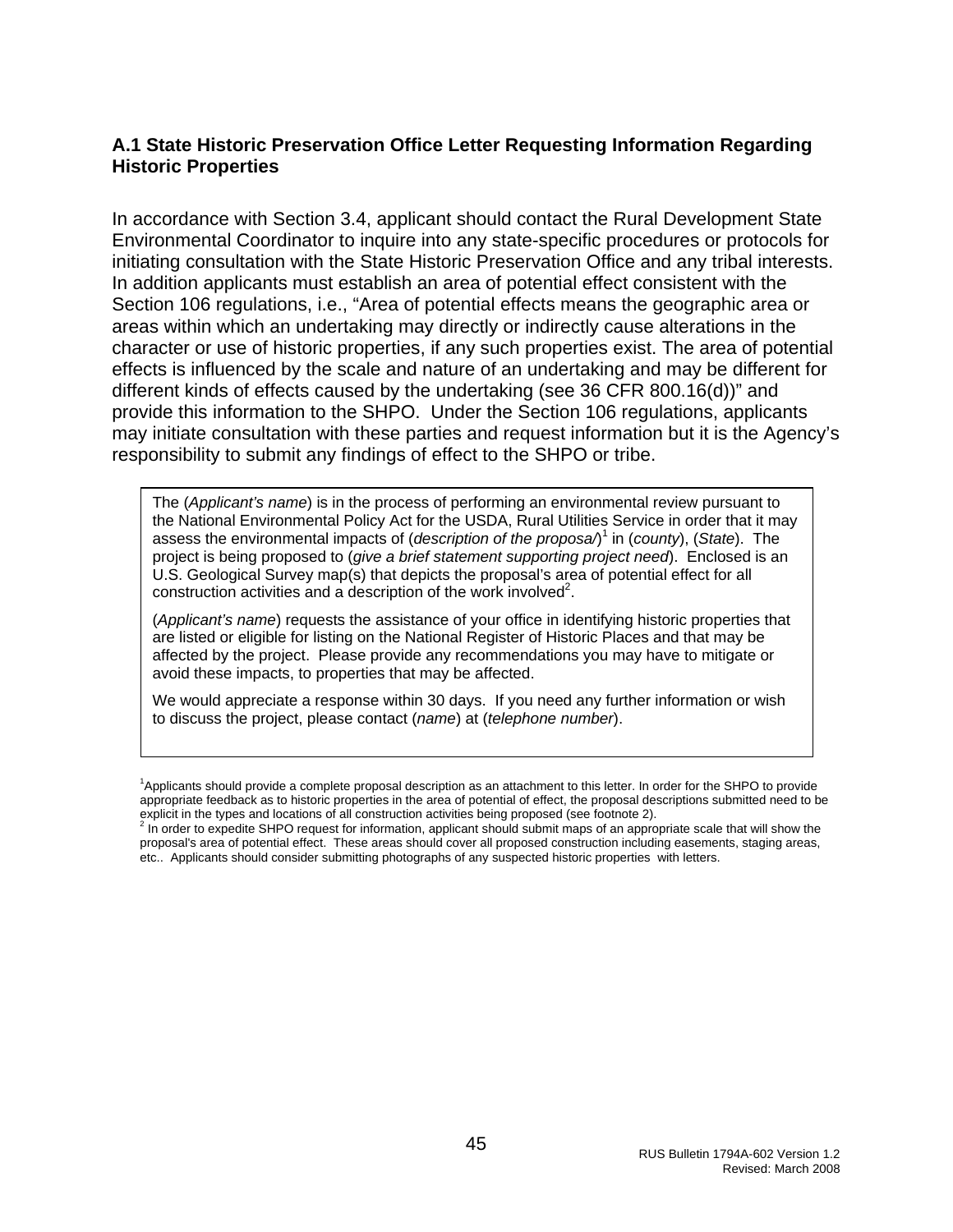#### <span id="page-45-0"></span>**A.1 State Historic Preservation Office Letter Requesting Information Regarding Historic Properties**

In accordance with Section 3.4, applicant should contact the Rural Development State Environmental Coordinator to inquire into any state-specific procedures or protocols for initiating consultation with the State Historic Preservation Office and any tribal interests. In addition applicants must establish an area of potential effect consistent with the Section 106 regulations, i.e., "Area of potential effects means the geographic area or areas within which an undertaking may directly or indirectly cause alterations in the character or use of historic properties, if any such properties exist. The area of potential effects is influenced by the scale and nature of an undertaking and may be different for different kinds of effects caused by the undertaking (see 36 CFR 800.16(d))" and provide this information to the SHPO. Under the Section 106 regulations, applicants may initiate consultation with these parties and request information but it is the Agency's responsibility to submit any findings of effect to the SHPO or tribe.

The (*Applicant's name*) is in the process of performing an environmental review pursuant to the National Environmental Policy Act for the USDA, Rural Utilities Service in order that it may assess the environmental impacts of (*description of the proposa*/)<sup>1</sup> in (*county*), (*State*). The project is being proposed to (*give a brief statement supporting project need*). Enclosed is an U.S. Geological Survey map(s) that depicts the proposal's area of potential effect for all  $\alpha$  construction activities and a description of the work involved<sup>2</sup>.

(*Applicant's name*) requests the assistance of your office in identifying historic properties that are listed or eligible for listing on the National Register of Historic Places and that may be affected by the project. Please provide any recommendations you may have to mitigate or avoid these impacts, to properties that may be affected.

We would appreciate a response within 30 days. If you need any further information or wish to discuss the project, please contact (*name*) at (*telephone number*).

<sup>1</sup>Applicants should provide a complete proposal description as an attachment to this letter. In order for the SHPO to provide appropriate feedback as to historic properties in the area of potential of effect, the proposal descriptions submitted need to be

explicit in the types and locations of all construction activities being proposed (see footnote 2).<br><sup>2</sup> In order to expedite SHPO request for information, applicant should submit maps of an appropriate scale that will show proposal's area of potential effect. These areas should cover all proposed construction including easements, staging areas, etc.. Applicants should consider submitting photographs of any suspected historic properties with letters.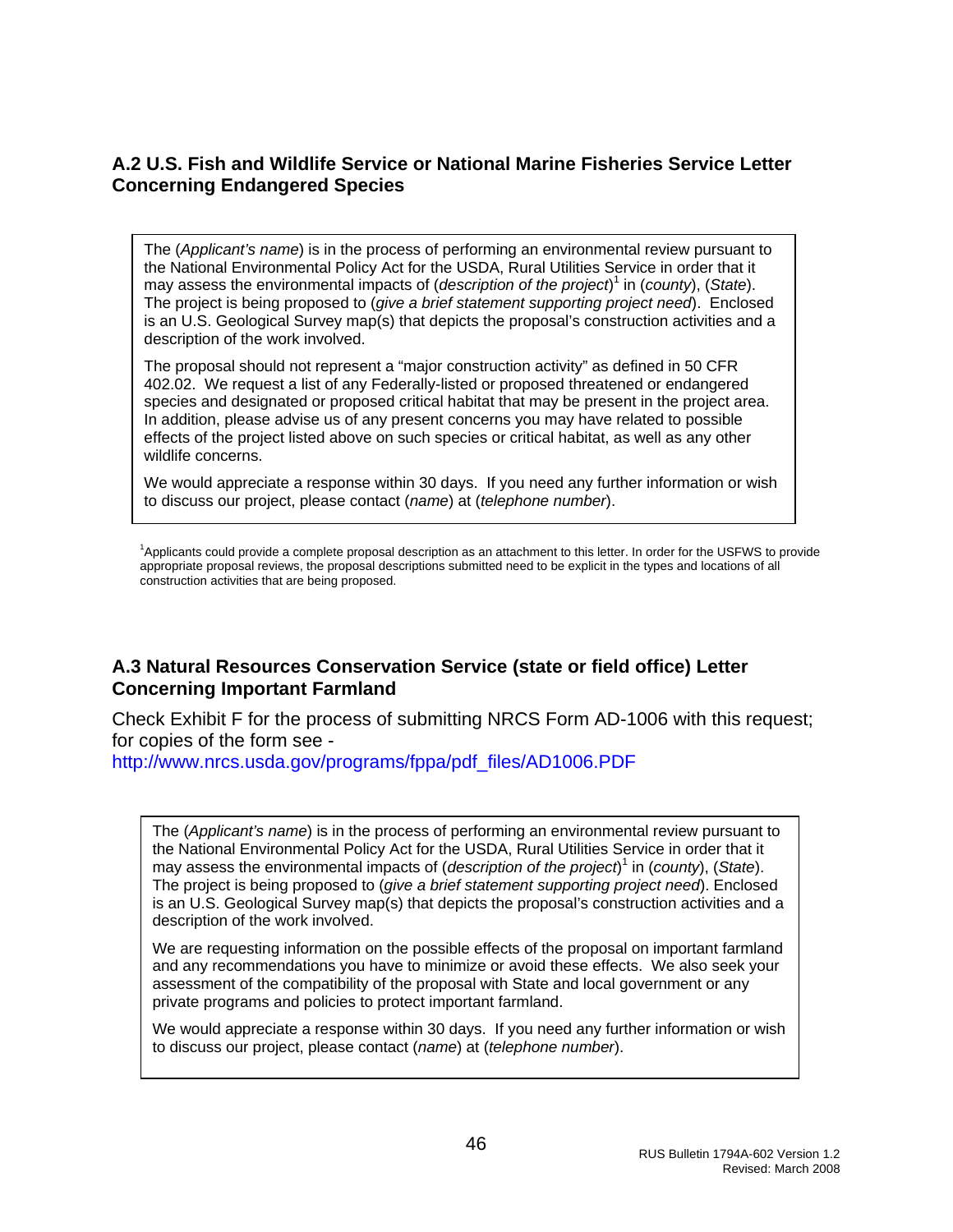#### <span id="page-46-0"></span>**A.2 U.S. Fish and Wildlife Service or National Marine Fisheries Service Letter Concerning Endangered Species**

The (*Applicant's name*) is in the process of performing an environmental review pursuant to the National Environmental Policy Act for the USDA, Rural Utilities Service in order that it may assess the environmental impacts of (*description of the project*)<sup>1</sup> in (*county*), (*State*). The project is being proposed to (*give a brief statement supporting project need*). Enclosed is an U.S. Geological Survey map(s) that depicts the proposal's construction activities and a description of the work involved.

The proposal should not represent a "major construction activity" as defined in 50 CFR 402.02. We request a list of any Federally-listed or proposed threatened or endangered species and designated or proposed critical habitat that may be present in the project area. In addition, please advise us of any present concerns you may have related to possible effects of the project listed above on such species or critical habitat, as well as any other wildlife concerns.

We would appreciate a response within 30 days. If you need any further information or wish to discuss our project, please contact (*name*) at (*telephone number*).

<sup>1</sup>Applicants could provide a complete proposal description as an attachment to this letter. In order for the USFWS to provide appropriate proposal reviews, the proposal descriptions submitted need to be explicit in the types and locations of all construction activities that are being proposed.

#### **A.3 Natural Resources Conservation Service (state or field office) Letter Concerning Important Farmland**

Check Exhibit F for the process of submitting NRCS Form AD-1006 with this request; for copies of the form see -

[http://www.nrcs.usda.gov/programs/fppa/pdf\\_files/AD1006.PDF](http://www.nrcs.usda.gov/programs/fppa/pdf_files/AD1006.PDF)

The (*Applicant's name*) is in the process of performing an environmental review pursuant to the National Environmental Policy Act for the USDA, Rural Utilities Service in order that it may assess the environmental impacts of (*description of the project*)<sup>1</sup> in (*county*), (*State*). The project is being proposed to (*give a brief statement supporting project need*). Enclosed is an U.S. Geological Survey map(s) that depicts the proposal's construction activities and a description of the work involved.

We are requesting information on the possible effects of the proposal on important farmland and any recommendations you have to minimize or avoid these effects. We also seek your assessment of the compatibility of the proposal with State and local government or any private programs and policies to protect important farmland.

We would appreciate a response within 30 days. If you need any further information or wish to discuss our project, please contact (*name*) at (*telephone number*).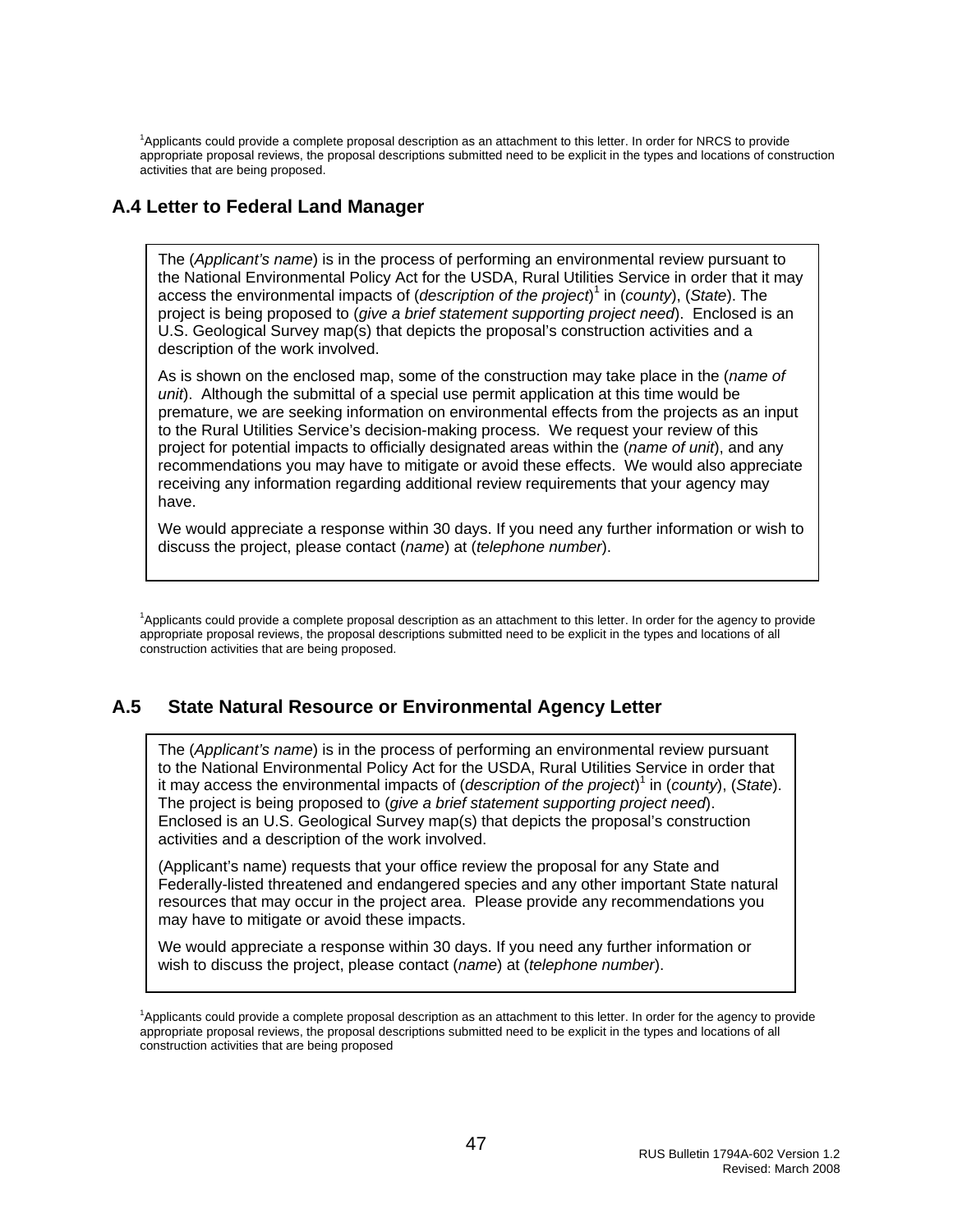<span id="page-47-0"></span><sup>1</sup>Applicants could provide a complete proposal description as an attachment to this letter. In order for NRCS to provide appropriate proposal reviews, the proposal descriptions submitted need to be explicit in the types and locations of construction activities that are being proposed.

#### **A.4 Letter to Federal Land Manager**

The (*Applicant's name*) is in the process of performing an environmental review pursuant to the National Environmental Policy Act for the USDA, Rural Utilities Service in order that it may access the environmental impacts of (*description of the project*) 1 in (*county*), (*State*). The project is being proposed to (*give a brief statement supporting project need*). Enclosed is an U.S. Geological Survey map(s) that depicts the proposal's construction activities and a description of the work involved.

As is shown on the enclosed map, some of the construction may take place in the (*name of unit*). Although the submittal of a special use permit application at this time would be premature, we are seeking information on environmental effects from the projects as an input to the Rural Utilities Service's decision-making process. We request your review of this project for potential impacts to officially designated areas within the (*name of unit*), and any recommendations you may have to mitigate or avoid these effects. We would also appreciate receiving any information regarding additional review requirements that your agency may have.

We would appreciate a response within 30 days. If you need any further information or wish to discuss the project, please contact (*name*) at (*telephone number*).

<sup>1</sup>Applicants could provide a complete proposal description as an attachment to this letter. In order for the agency to provide appropriate proposal reviews, the proposal descriptions submitted need to be explicit in the types and locations of all construction activities that are being proposed.

#### **A.5 State Natural Resource or Environmental Agency Letter**

The (*Applicant's name*) is in the process of performing an environmental review pursuant to the National Environmental Policy Act for the USDA, Rural Utilities Service in order that it may access the environmental impacts of (*description of the project*) 1 in (*county*), (*State*). The project is being proposed to (*give a brief statement supporting project need*). Enclosed is an U.S. Geological Survey map(s) that depicts the proposal's construction activities and a description of the work involved.

(Applicant's name) requests that your office review the proposal for any State and Federally-listed threatened and endangered species and any other important State natural resources that may occur in the project area. Please provide any recommendations you may have to mitigate or avoid these impacts.

We would appreciate a response within 30 days. If you need any further information or wish to discuss the project, please contact (*name*) at (*telephone number*).

<sup>&</sup>lt;sup>1</sup>Applicants could provide a complete proposal description as an attachment to this letter. In order for the agency to provide appropriate proposal reviews, the proposal descriptions submitted need to be explicit in the types and locations of all construction activities that are being proposed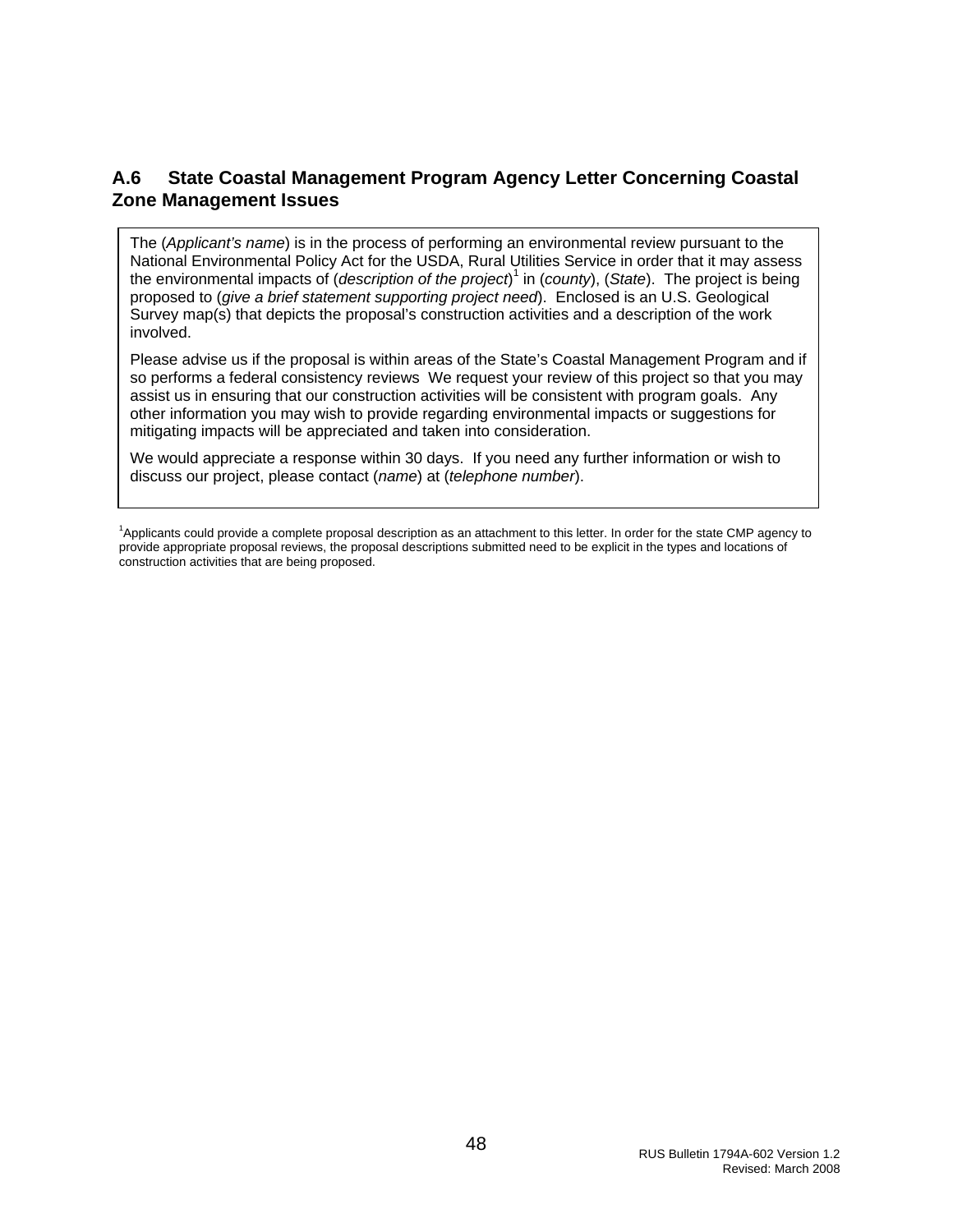#### <span id="page-48-0"></span>**A.6 State Coastal Management Program Agency Letter Concerning Coastal Zone Management Issues**

The (*Applicant's name*) is in the process of performing an environmental review pursuant to the National Environmental Policy Act for the USDA, Rural Utilities Service in order that it may assess the environmental impacts of (*description of the project*) 1 in (*county*), (*State*). The project is being proposed to (*give a brief statement supporting project need*). Enclosed is an U.S. Geological Survey map(s) that depicts the proposal's construction activities and a description of the work involved.

Please advise us if the proposal is within areas of the State's Coastal Management Program and if so performs a federal consistency reviews We request your review of this project so that you may assist us in ensuring that our construction activities will be consistent with program goals. Any other information you may wish to provide regarding environmental impacts or suggestions for mitigating impacts will be appreciated and taken into consideration.

We would appreciate a response within 30 days. If you need any further information or wish to discuss our project, please contact (*name*) at (*telephone number*).

<sup>1</sup> Applicants could provide a complete proposal description as an attachment to this letter. In order for the state CMP agency to provide appropriate proposal reviews, the proposal descriptions submitted need to be explicit in the types and locations of construction activities that are being proposed.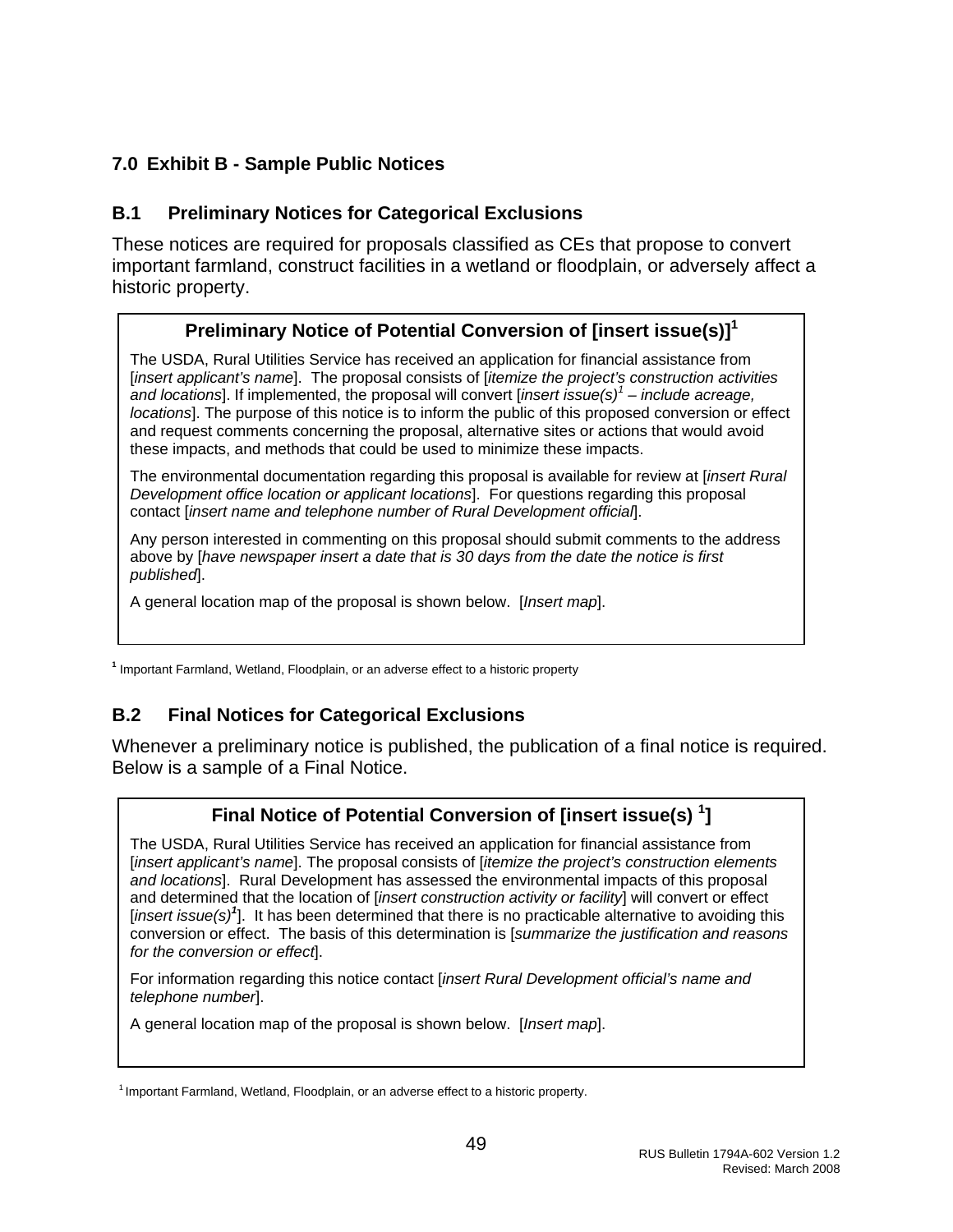## <span id="page-49-0"></span>**7.0 Exhibit B - Sample Public Notices**

#### **B.1 Preliminary Notices for Categorical Exclusions**

These notices are required for proposals classified as CEs that propose to convert important farmland, construct facilities in a wetland or floodplain, or adversely affect a historic property.

# **Preliminary Notice of Potential Conversion of [insert issue(s)]1**

The USDA, Rural Utilities Service has received an application for financial assistance from [*insert applicant's name*]. The proposal consists of [*itemize the project's construction activities and locations*]. If implemented, the proposal will convert [*insert issue(s)<sup>1</sup> – include acreage, locations*]. The purpose of this notice is to inform the public of this proposed conversion or effect and request comments concerning the proposal, alternative sites or actions that would avoid these impacts, and methods that could be used to minimize these impacts.

The environmental documentation regarding this proposal is available for review at [*insert Rural Development office location or applicant locations*]. For questions regarding this proposal contact [*insert name and telephone number of Rural Development official*].

Any person interested in commenting on this proposal should submit comments to the address above by [*have newspaper insert a date that is 30 days from the date the notice is first published*].

A general location map of the proposal is shown below. [*Insert map*].

**1** Important Farmland, Wetland, Floodplain, or an adverse effect to a historic property

# **B.2 Final Notices for Categorical Exclusions**

Whenever a preliminary notice is published, the publication of a final notice is required. Below is a sample of a Final Notice.

# **Final Notice of Potential Conversion of [insert issue(s) <sup>1</sup> ]**

The USDA, Rural Utilities Service has received an application for financial assistance from [*insert applicant's name*]. The proposal consists of [*itemize the project's construction elements and locations*]. Rural Development has assessed the environmental impacts of this proposal and determined that the location of [*insert construction activity or facility*] will convert or effect [*insert issue(s)<sup>1</sup>* ]. It has been determined that there is no practicable alternative to avoiding this conversion or effect. The basis of this determination is [*summarize the justification and reasons for the conversion or effect*].

For information regarding this notice contact [*insert Rural Development official's name and telephone number*].

A general location map of the proposal is shown below. [*Insert map*].

<sup>1</sup> Important Farmland, Wetland, Floodplain, or an adverse effect to a historic property.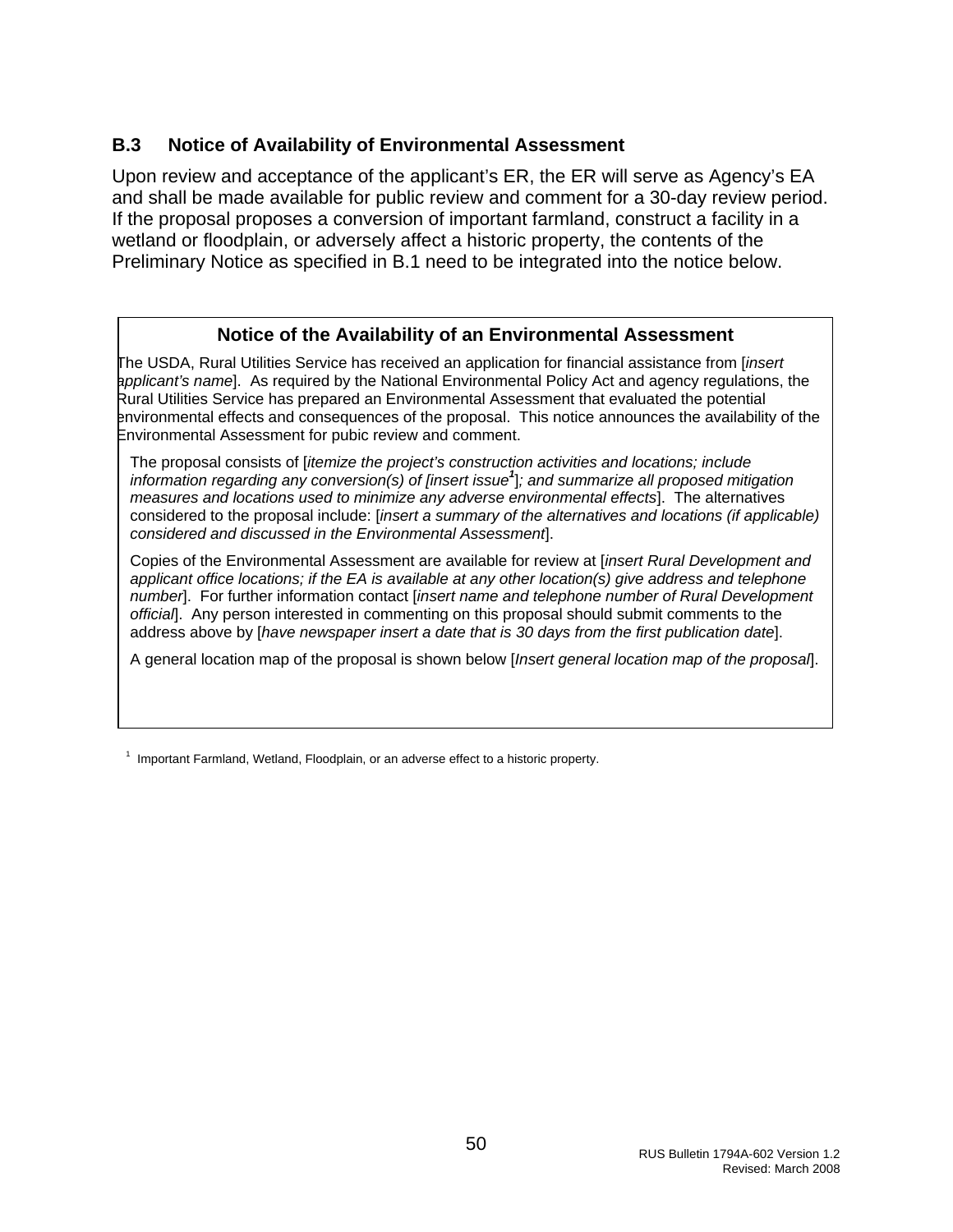#### <span id="page-50-0"></span>**B.3 Notice of Availability of Environmental Assessment**

Upon review and acceptance of the applicant's ER, the ER will serve as Agency's EA and shall be made available for public review and comment for a 30-day review period. If the proposal proposes a conversion of important farmland, construct a facility in a wetland or floodplain, or adversely affect a historic property, the contents of the Preliminary Notice as specified in B.1 need to be integrated into the notice below.

#### **Notice of the Availability of an Environmental Assessment**

The USDA, Rural Utilities Service has received an application for financial assistance from [*insert applicant's name*]. As required by the National Environmental Policy Act and agency regulations, the Rural Utilities Service has prepared an Environmental Assessment that evaluated the potential environmental effects and consequences of the proposal. This notice announces the availability of the Environmental Assessment for pubic review and comment.

The proposal consists of [*itemize the project's construction activities and locations; include information regarding any conversion(s) of [insert issue<sup>1</sup>* ]*; and summarize all proposed mitigation measures and locations used to minimize any adverse environmental effects*]. The alternatives considered to the proposal include: [*insert a summary of the alternatives and locations (if applicable) considered and discussed in the Environmental Assessment*].

Copies of the Environmental Assessment are available for review at [*insert Rural Development and applicant office locations; if the EA is available at any other location(s) give address and telephone number*]. For further information contact [*insert name and telephone number of Rural Development official*]. Any person interested in commenting on this proposal should submit comments to the address above by [*have newspaper insert a date that is 30 days from the first publication date*].

A general location map of the proposal is shown below [*Insert general location map of the proposal*].

 $1$  Important Farmland, Wetland, Floodplain, or an adverse effect to a historic property.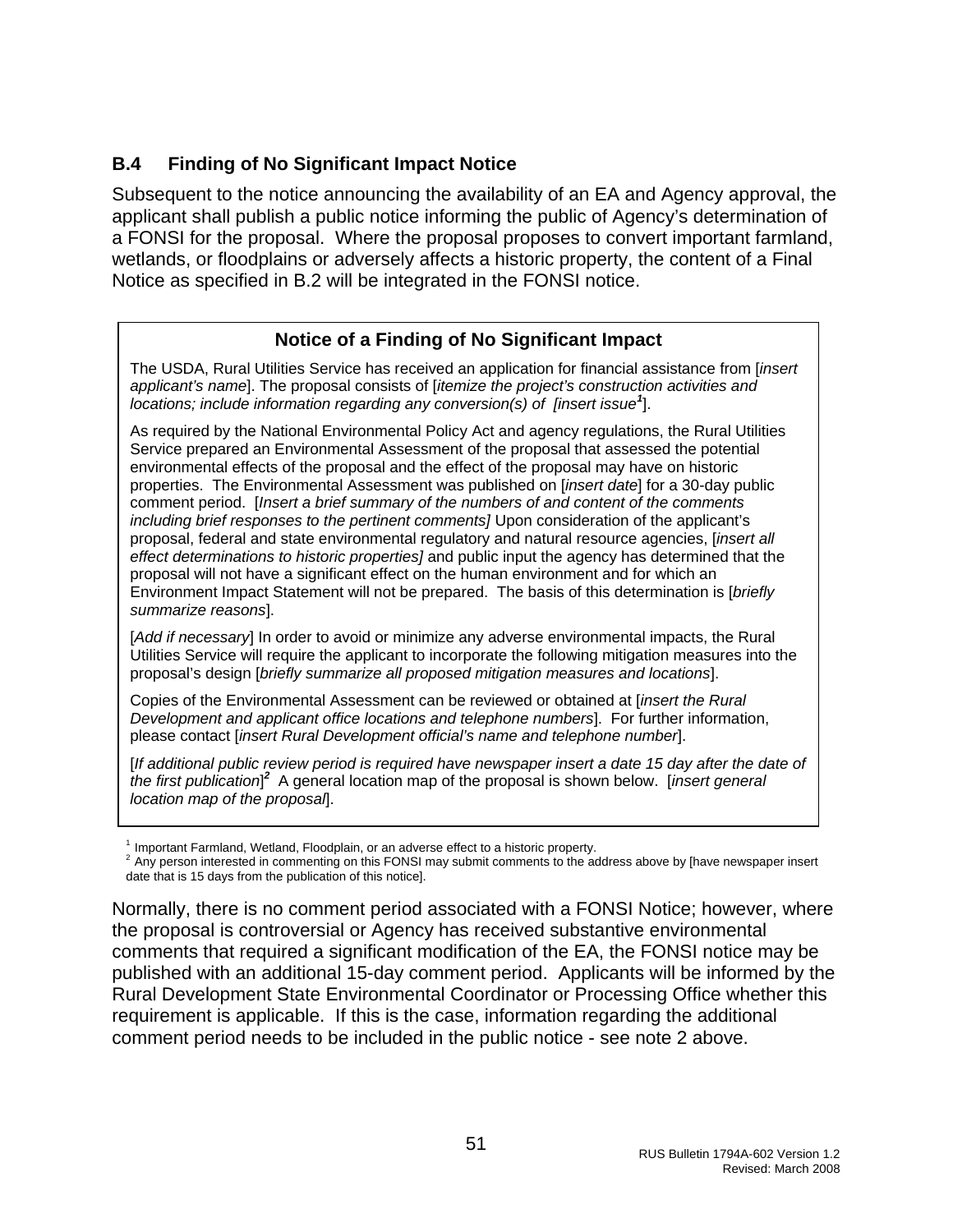#### <span id="page-51-0"></span>**B.4 Finding of No Significant Impact Notice**

Subsequent to the notice announcing the availability of an EA and Agency approval, the applicant shall publish a public notice informing the public of Agency's determination of a FONSI for the proposal. Where the proposal proposes to convert important farmland, wetlands, or floodplains or adversely affects a historic property, the content of a Final Notice as specified in B.2 will be integrated in the FONSI notice.

#### **Notice of a Finding of No Significant Impact**

The USDA, Rural Utilities Service has received an application for financial assistance from [*insert applicant's name*]. The proposal consists of [*itemize the project's construction activities and locations; include information regarding any conversion(s) of [insert issue<sup>1</sup>* ].

As required by the National Environmental Policy Act and agency regulations, the Rural Utilities Service prepared an Environmental Assessment of the proposal that assessed the potential environmental effects of the proposal and the effect of the proposal may have on historic properties. The Environmental Assessment was published on [*insert date*] for a 30-day public comment period. [*Insert a brief summary of the numbers of and content of the comments including brief responses to the pertinent comments]* Upon consideration of the applicant's proposal, federal and state environmental regulatory and natural resource agencies, [*insert all effect determinations to historic properties]* and public input the agency has determined that the proposal will not have a significant effect on the human environment and for which an Environment Impact Statement will not be prepared. The basis of this determination is [*briefly summarize reasons*].

[Add if necessary] In order to avoid or minimize any adverse environmental impacts, the Rural Utilities Service will require the applicant to incorporate the following mitigation measures into the proposal's design [*briefly summarize all proposed mitigation measures and locations*].

Copies of the Environmental Assessment can be reviewed or obtained at [*insert the Rural Development and applicant office locations and telephone numbers*]. For further information, please contact [*insert Rural Development official's name and telephone number*].

[*If additional public review period is required have newspaper insert a date 15 day after the date of the first publication*] *<sup>2</sup>*A general location map of the proposal is shown below. [*insert general location map of the proposal*].

<sup>1</sup> Important Farmland, Wetland, Floodplain, or an adverse effect to a historic property.<br><sup>2</sup> Any person interested in commenting on this FONSI may submit comments to the address above by [have newspaper insert date that is 15 days from the publication of this notice].

Normally, there is no comment period associated with a FONSI Notice; however, where the proposal is controversial or Agency has received substantive environmental comments that required a significant modification of the EA, the FONSI notice may be published with an additional 15-day comment period. Applicants will be informed by the Rural Development State Environmental Coordinator or Processing Office whether this requirement is applicable. If this is the case, information regarding the additional comment period needs to be included in the public notice - see note 2 above.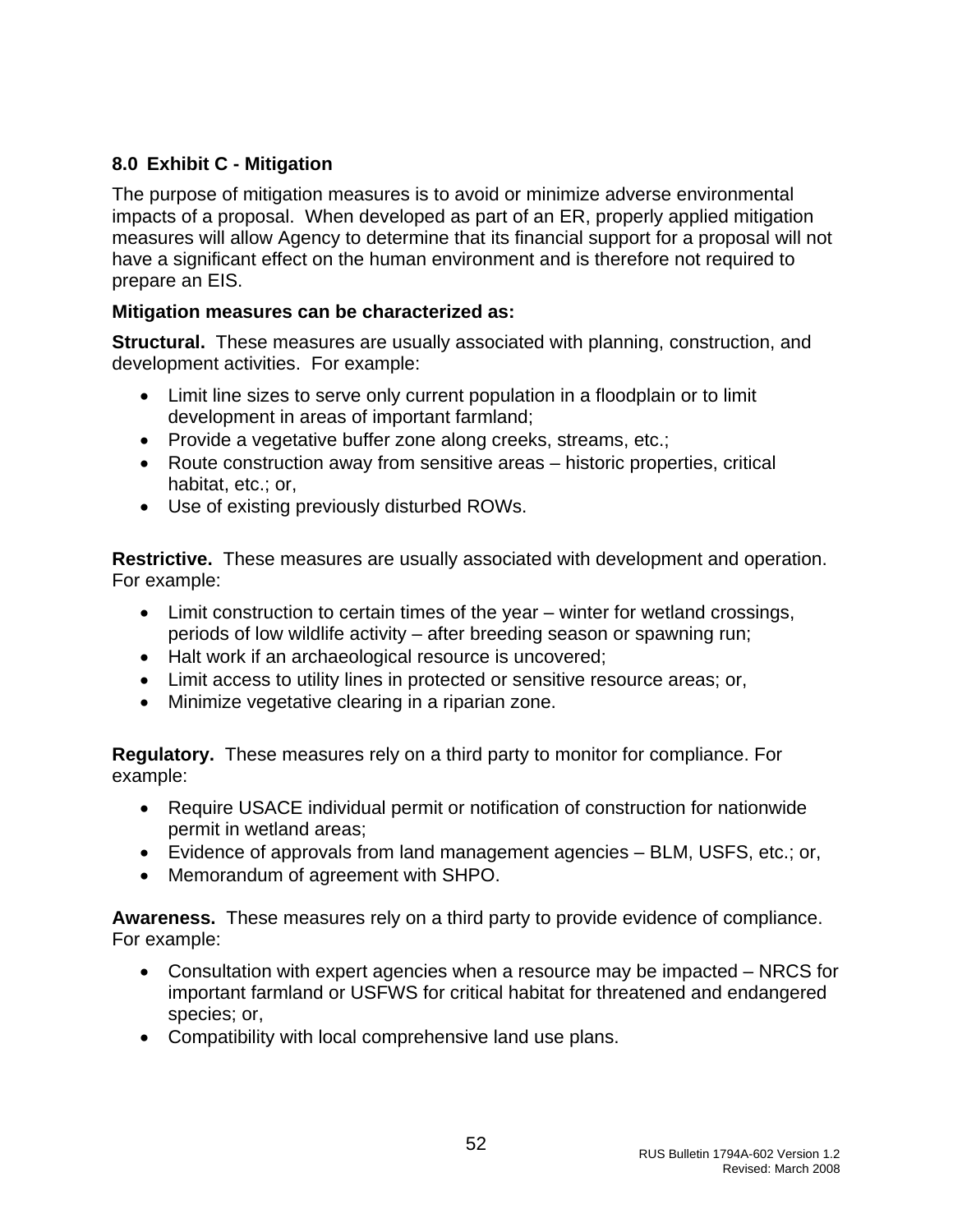## <span id="page-52-0"></span>**8.0 Exhibit C - Mitigation**

The purpose of mitigation measures is to avoid or minimize adverse environmental impacts of a proposal. When developed as part of an ER, properly applied mitigation measures will allow Agency to determine that its financial support for a proposal will not have a significant effect on the human environment and is therefore not required to prepare an EIS.

#### **Mitigation measures can be characterized as:**

**Structural.** These measures are usually associated with planning, construction, and development activities. For example:

- Limit line sizes to serve only current population in a floodplain or to limit development in areas of important farmland;
- Provide a vegetative buffer zone along creeks, streams, etc.;
- Route construction away from sensitive areas historic properties, critical habitat, etc.; or,
- Use of existing previously disturbed ROWs.

**Restrictive.** These measures are usually associated with development and operation. For example:

- Limit construction to certain times of the year winter for wetland crossings, periods of low wildlife activity – after breeding season or spawning run;
- Halt work if an archaeological resource is uncovered;
- Limit access to utility lines in protected or sensitive resource areas; or,
- Minimize vegetative clearing in a riparian zone.

**Regulatory.** These measures rely on a third party to monitor for compliance. For example:

- Require USACE individual permit or notification of construction for nationwide permit in wetland areas;
- Evidence of approvals from land management agencies BLM, USFS, etc.; or,
- Memorandum of agreement with SHPO.

**Awareness.** These measures rely on a third party to provide evidence of compliance. For example:

- Consultation with expert agencies when a resource may be impacted NRCS for important farmland or USFWS for critical habitat for threatened and endangered species; or,
- Compatibility with local comprehensive land use plans.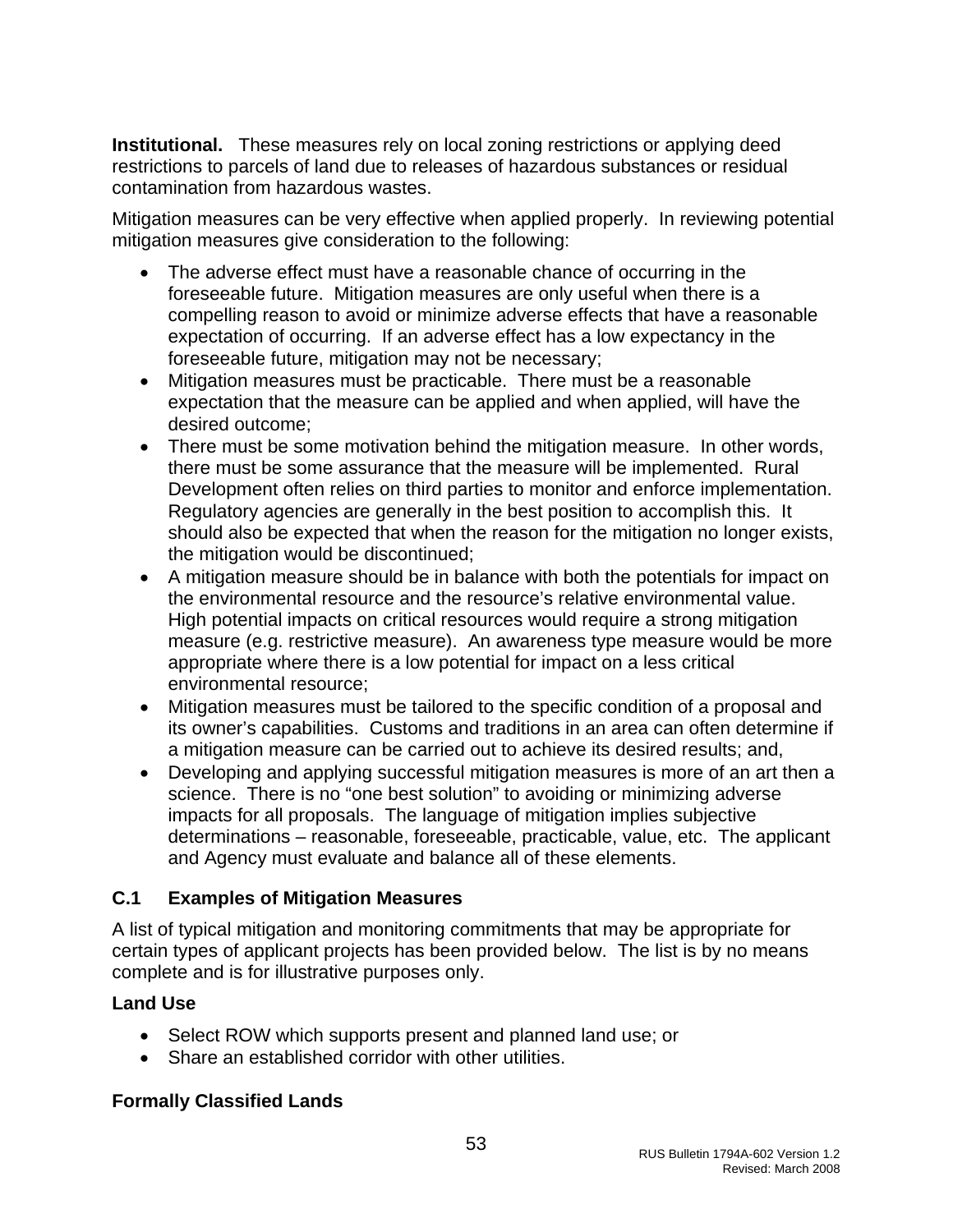<span id="page-53-0"></span>**Institutional.** These measures rely on local zoning restrictions or applying deed restrictions to parcels of land due to releases of hazardous substances or residual contamination from hazardous wastes.

Mitigation measures can be very effective when applied properly. In reviewing potential mitigation measures give consideration to the following:

- The adverse effect must have a reasonable chance of occurring in the foreseeable future. Mitigation measures are only useful when there is a compelling reason to avoid or minimize adverse effects that have a reasonable expectation of occurring. If an adverse effect has a low expectancy in the foreseeable future, mitigation may not be necessary;
- Mitigation measures must be practicable. There must be a reasonable expectation that the measure can be applied and when applied, will have the desired outcome;
- There must be some motivation behind the mitigation measure. In other words, there must be some assurance that the measure will be implemented. Rural Development often relies on third parties to monitor and enforce implementation. Regulatory agencies are generally in the best position to accomplish this. It should also be expected that when the reason for the mitigation no longer exists, the mitigation would be discontinued;
- A mitigation measure should be in balance with both the potentials for impact on the environmental resource and the resource's relative environmental value. High potential impacts on critical resources would require a strong mitigation measure (e.g. restrictive measure). An awareness type measure would be more appropriate where there is a low potential for impact on a less critical environmental resource;
- Mitigation measures must be tailored to the specific condition of a proposal and its owner's capabilities. Customs and traditions in an area can often determine if a mitigation measure can be carried out to achieve its desired results; and,
- Developing and applying successful mitigation measures is more of an art then a science. There is no "one best solution" to avoiding or minimizing adverse impacts for all proposals. The language of mitigation implies subjective determinations – reasonable, foreseeable, practicable, value, etc. The applicant and Agency must evaluate and balance all of these elements.

# **C.1 Examples of Mitigation Measures**

A list of typical mitigation and monitoring commitments that may be appropriate for certain types of applicant projects has been provided below. The list is by no means complete and is for illustrative purposes only.

#### **Land Use**

- Select ROW which supports present and planned land use; or
- Share an established corridor with other utilities.

# **Formally Classified Lands**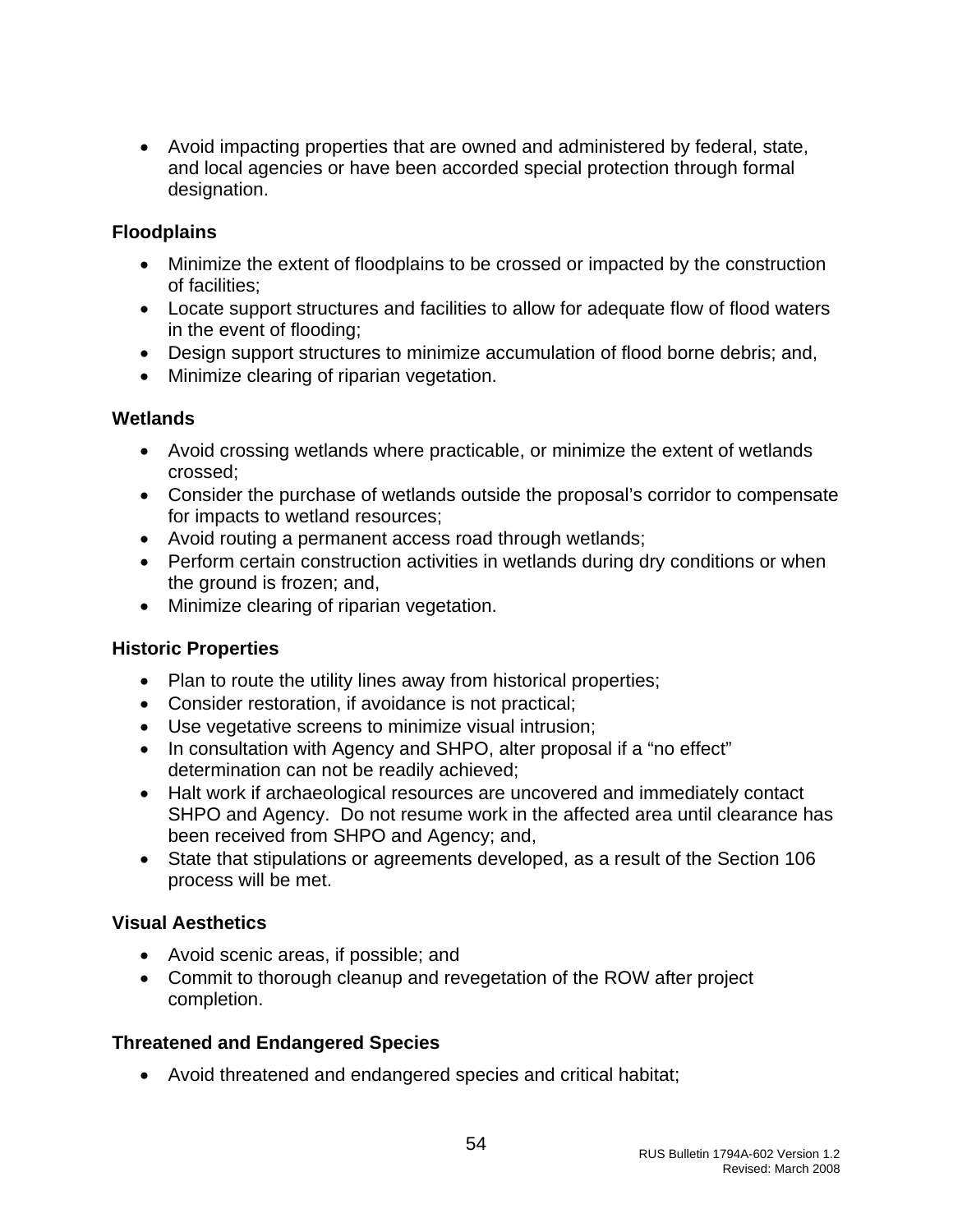• Avoid impacting properties that are owned and administered by federal, state, and local agencies or have been accorded special protection through formal designation.

#### **Floodplains**

- Minimize the extent of floodplains to be crossed or impacted by the construction of facilities;
- Locate support structures and facilities to allow for adequate flow of flood waters in the event of flooding;
- Design support structures to minimize accumulation of flood borne debris; and,
- Minimize clearing of riparian vegetation.

#### **Wetlands**

- Avoid crossing wetlands where practicable, or minimize the extent of wetlands crossed;
- Consider the purchase of wetlands outside the proposal's corridor to compensate for impacts to wetland resources;
- Avoid routing a permanent access road through wetlands;
- Perform certain construction activities in wetlands during dry conditions or when the ground is frozen; and,
- Minimize clearing of riparian vegetation.

#### **Historic Properties**

- Plan to route the utility lines away from historical properties;
- Consider restoration, if avoidance is not practical;
- Use vegetative screens to minimize visual intrusion;
- In consultation with Agency and SHPO, alter proposal if a "no effect" determination can not be readily achieved;
- Halt work if archaeological resources are uncovered and immediately contact SHPO and Agency. Do not resume work in the affected area until clearance has been received from SHPO and Agency; and,
- State that stipulations or agreements developed, as a result of the Section 106 process will be met.

#### **Visual Aesthetics**

- Avoid scenic areas, if possible; and
- Commit to thorough cleanup and revegetation of the ROW after project completion.

#### **Threatened and Endangered Species**

• Avoid threatened and endangered species and critical habitat;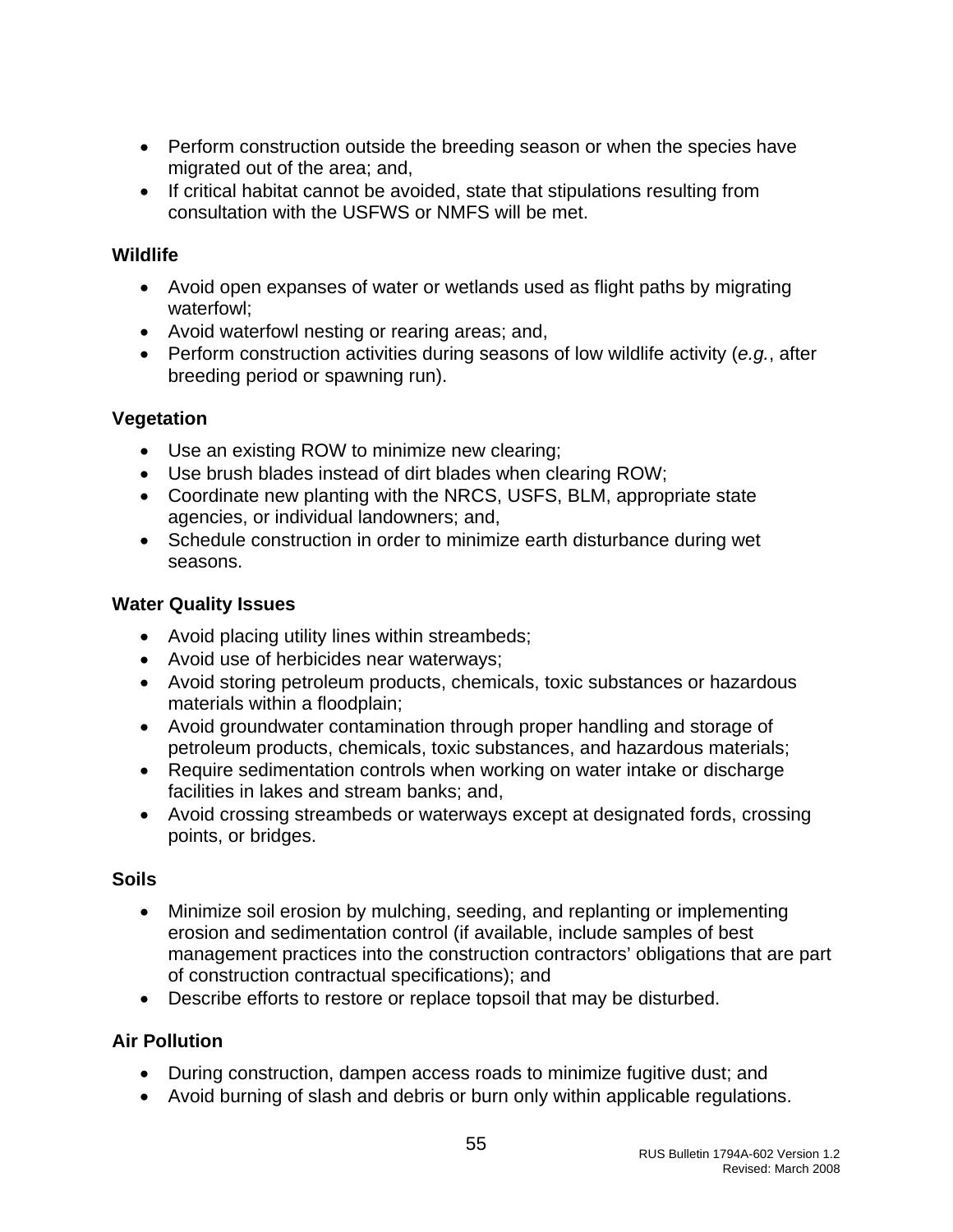- Perform construction outside the breeding season or when the species have migrated out of the area; and,
- If critical habitat cannot be avoided, state that stipulations resulting from consultation with the USFWS or NMFS will be met.

#### **Wildlife**

- Avoid open expanses of water or wetlands used as flight paths by migrating waterfowl;
- Avoid waterfowl nesting or rearing areas; and,
- Perform construction activities during seasons of low wildlife activity (*e.g.*, after breeding period or spawning run).

### **Vegetation**

- Use an existing ROW to minimize new clearing;
- Use brush blades instead of dirt blades when clearing ROW;
- Coordinate new planting with the NRCS, USFS, BLM, appropriate state agencies, or individual landowners; and,
- Schedule construction in order to minimize earth disturbance during wet seasons.

## **Water Quality Issues**

- Avoid placing utility lines within streambeds;
- Avoid use of herbicides near waterways;
- Avoid storing petroleum products, chemicals, toxic substances or hazardous materials within a floodplain;
- Avoid groundwater contamination through proper handling and storage of petroleum products, chemicals, toxic substances, and hazardous materials;
- Require sedimentation controls when working on water intake or discharge facilities in lakes and stream banks; and,
- Avoid crossing streambeds or waterways except at designated fords, crossing points, or bridges.

# **Soils**

- Minimize soil erosion by mulching, seeding, and replanting or implementing erosion and sedimentation control (if available, include samples of best management practices into the construction contractors' obligations that are part of construction contractual specifications); and
- Describe efforts to restore or replace topsoil that may be disturbed.

# **Air Pollution**

- During construction, dampen access roads to minimize fugitive dust; and
- Avoid burning of slash and debris or burn only within applicable regulations.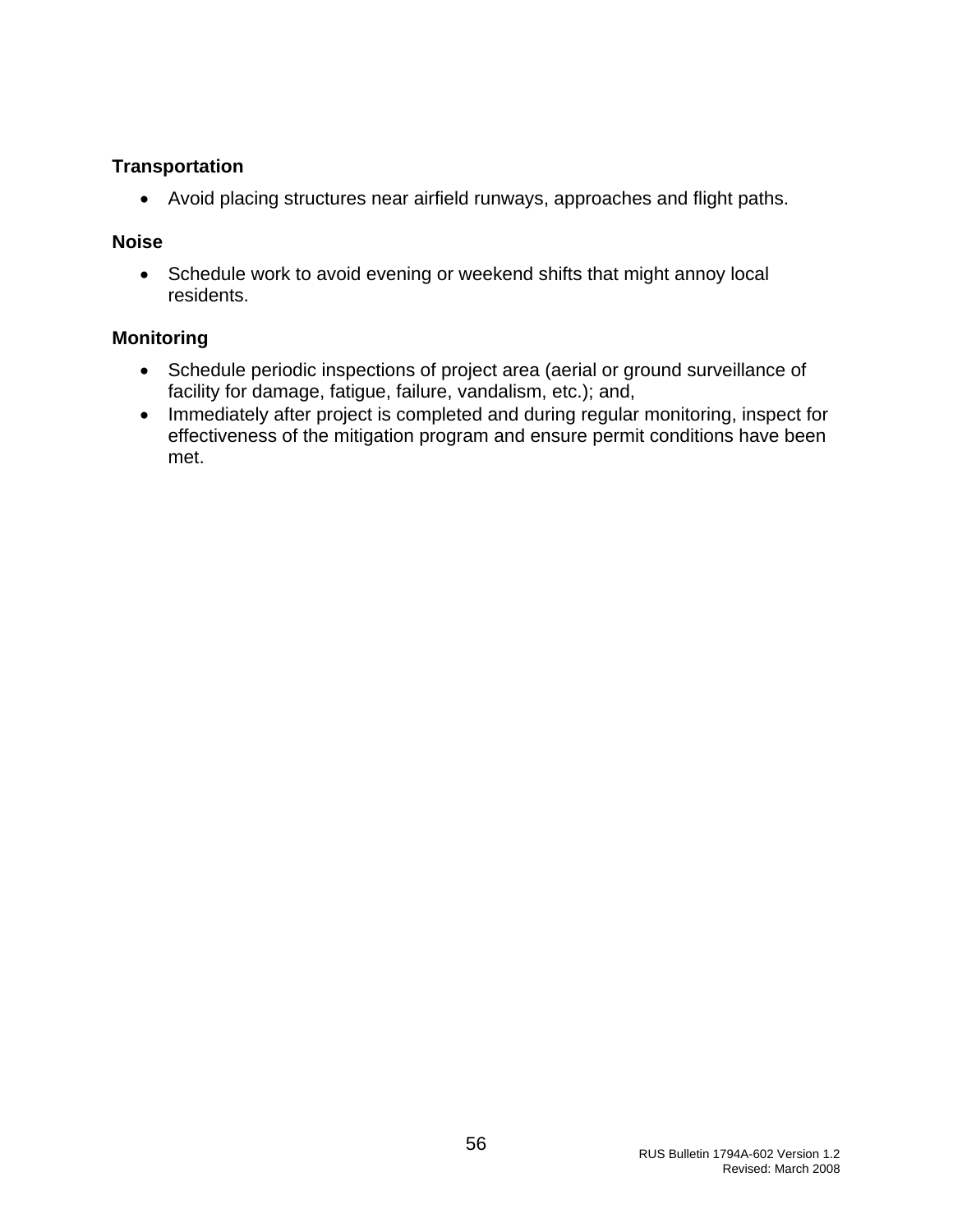#### **Transportation**

• Avoid placing structures near airfield runways, approaches and flight paths.

#### **Noise**

• Schedule work to avoid evening or weekend shifts that might annoy local residents.

### **Monitoring**

- Schedule periodic inspections of project area (aerial or ground surveillance of facility for damage, fatigue, failure, vandalism, etc.); and,
- Immediately after project is completed and during regular monitoring, inspect for effectiveness of the mitigation program and ensure permit conditions have been met.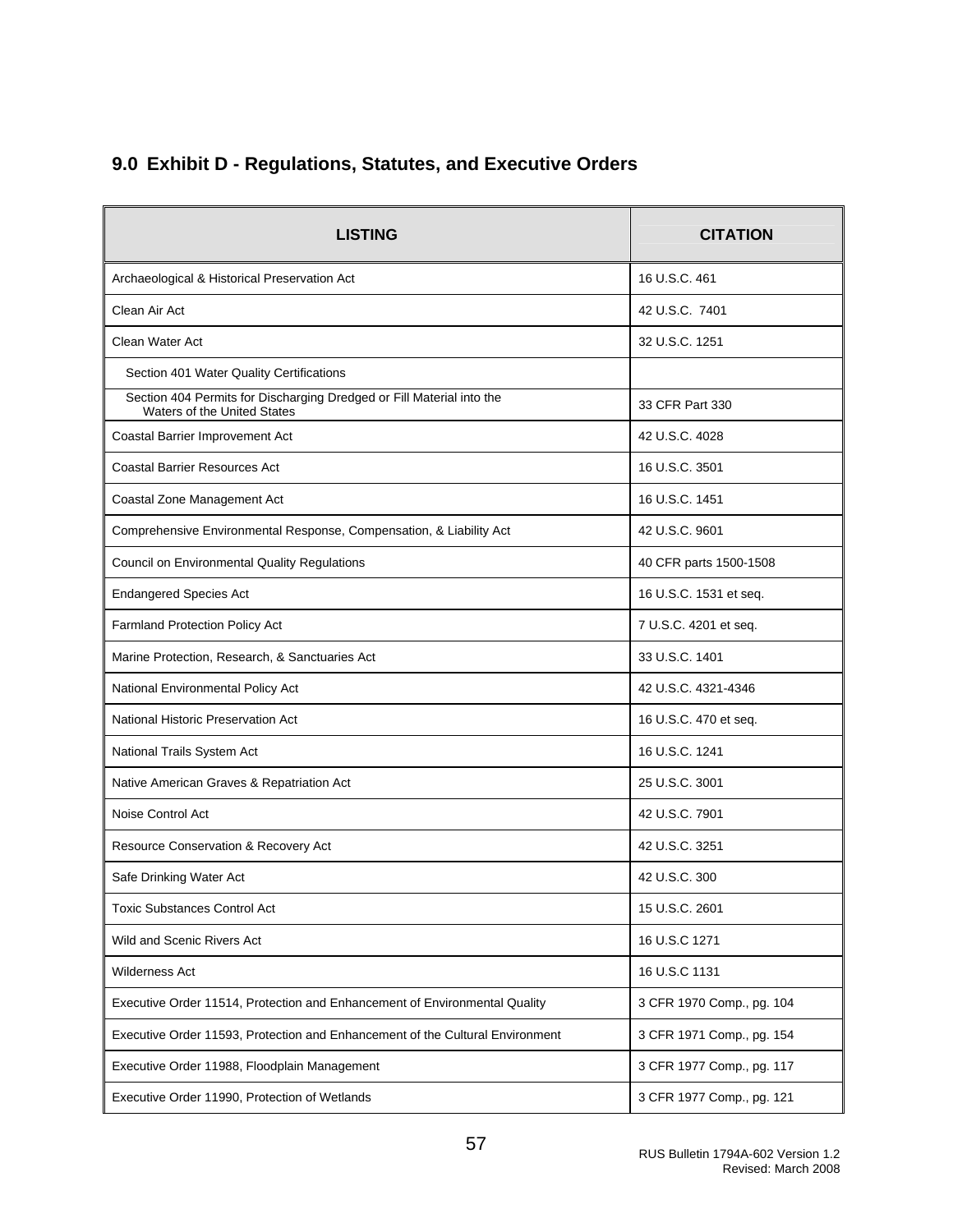# <span id="page-57-0"></span>**9.0 Exhibit D - Regulations, Statutes, and Executive Orders**

| <b>LISTING</b>                                                                                              | <b>CITATION</b>           |
|-------------------------------------------------------------------------------------------------------------|---------------------------|
| Archaeological & Historical Preservation Act                                                                | 16 U.S.C. 461             |
| Clean Air Act                                                                                               | 42 U.S.C. 7401            |
| Clean Water Act                                                                                             | 32 U.S.C. 1251            |
| Section 401 Water Quality Certifications                                                                    |                           |
| Section 404 Permits for Discharging Dredged or Fill Material into the<br><b>Waters of the United States</b> | 33 CFR Part 330           |
| Coastal Barrier Improvement Act                                                                             | 42 U.S.C. 4028            |
| <b>Coastal Barrier Resources Act</b>                                                                        | 16 U.S.C. 3501            |
| Coastal Zone Management Act                                                                                 | 16 U.S.C. 1451            |
| Comprehensive Environmental Response, Compensation, & Liability Act                                         | 42 U.S.C. 9601            |
| Council on Environmental Quality Regulations                                                                | 40 CFR parts 1500-1508    |
| <b>Endangered Species Act</b>                                                                               | 16 U.S.C. 1531 et seq.    |
| Farmland Protection Policy Act                                                                              | 7 U.S.C. 4201 et seq.     |
| Marine Protection, Research, & Sanctuaries Act                                                              | 33 U.S.C. 1401            |
| National Environmental Policy Act                                                                           | 42 U.S.C. 4321-4346       |
| <b>National Historic Preservation Act</b>                                                                   | 16 U.S.C. 470 et seq.     |
| National Trails System Act                                                                                  | 16 U.S.C. 1241            |
| Native American Graves & Repatriation Act                                                                   | 25 U.S.C. 3001            |
| Noise Control Act                                                                                           | 42 U.S.C. 7901            |
| Resource Conservation & Recovery Act                                                                        | 42 U.S.C. 3251            |
| Safe Drinking Water Act                                                                                     | 42 U.S.C. 300             |
| <b>Toxic Substances Control Act</b>                                                                         | 15 U.S.C. 2601            |
| Wild and Scenic Rivers Act                                                                                  | 16 U.S.C 1271             |
| Wilderness Act                                                                                              | 16 U.S.C 1131             |
| Executive Order 11514, Protection and Enhancement of Environmental Quality                                  | 3 CFR 1970 Comp., pg. 104 |
| Executive Order 11593, Protection and Enhancement of the Cultural Environment                               | 3 CFR 1971 Comp., pg. 154 |
| Executive Order 11988, Floodplain Management                                                                | 3 CFR 1977 Comp., pg. 117 |
| Executive Order 11990, Protection of Wetlands                                                               | 3 CFR 1977 Comp., pg. 121 |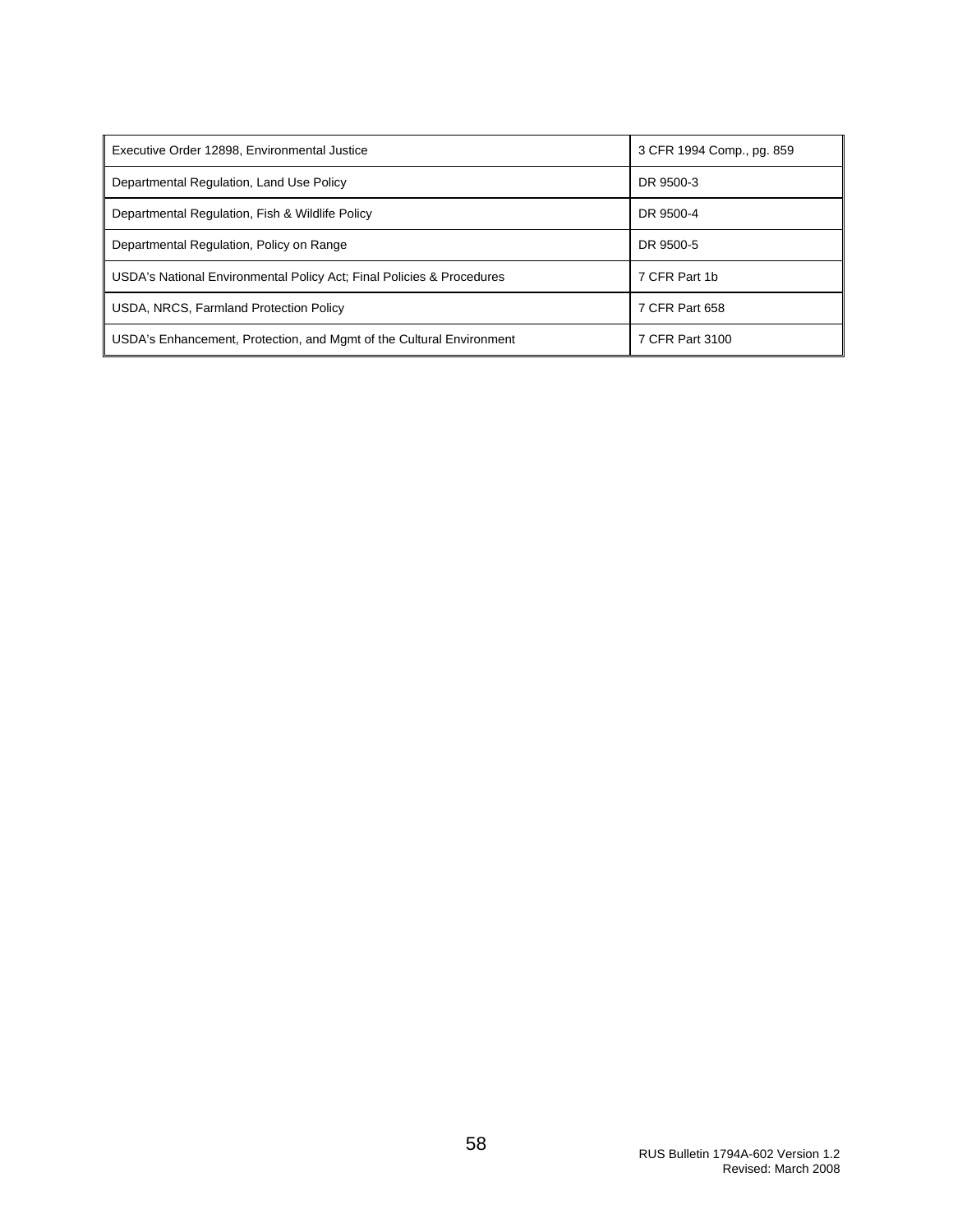| Executive Order 12898, Environmental Justice                          | 3 CFR 1994 Comp., pg. 859 |
|-----------------------------------------------------------------------|---------------------------|
| Departmental Regulation, Land Use Policy                              | DR 9500-3                 |
| Departmental Regulation, Fish & Wildlife Policy                       | DR 9500-4                 |
| Departmental Regulation, Policy on Range                              | DR 9500-5                 |
| USDA's National Environmental Policy Act; Final Policies & Procedures | 7 CFR Part 1b             |
| USDA, NRCS, Farmland Protection Policy                                | 7 CFR Part 658            |
| USDA's Enhancement, Protection, and Mgmt of the Cultural Environment  | 7 CFR Part 3100           |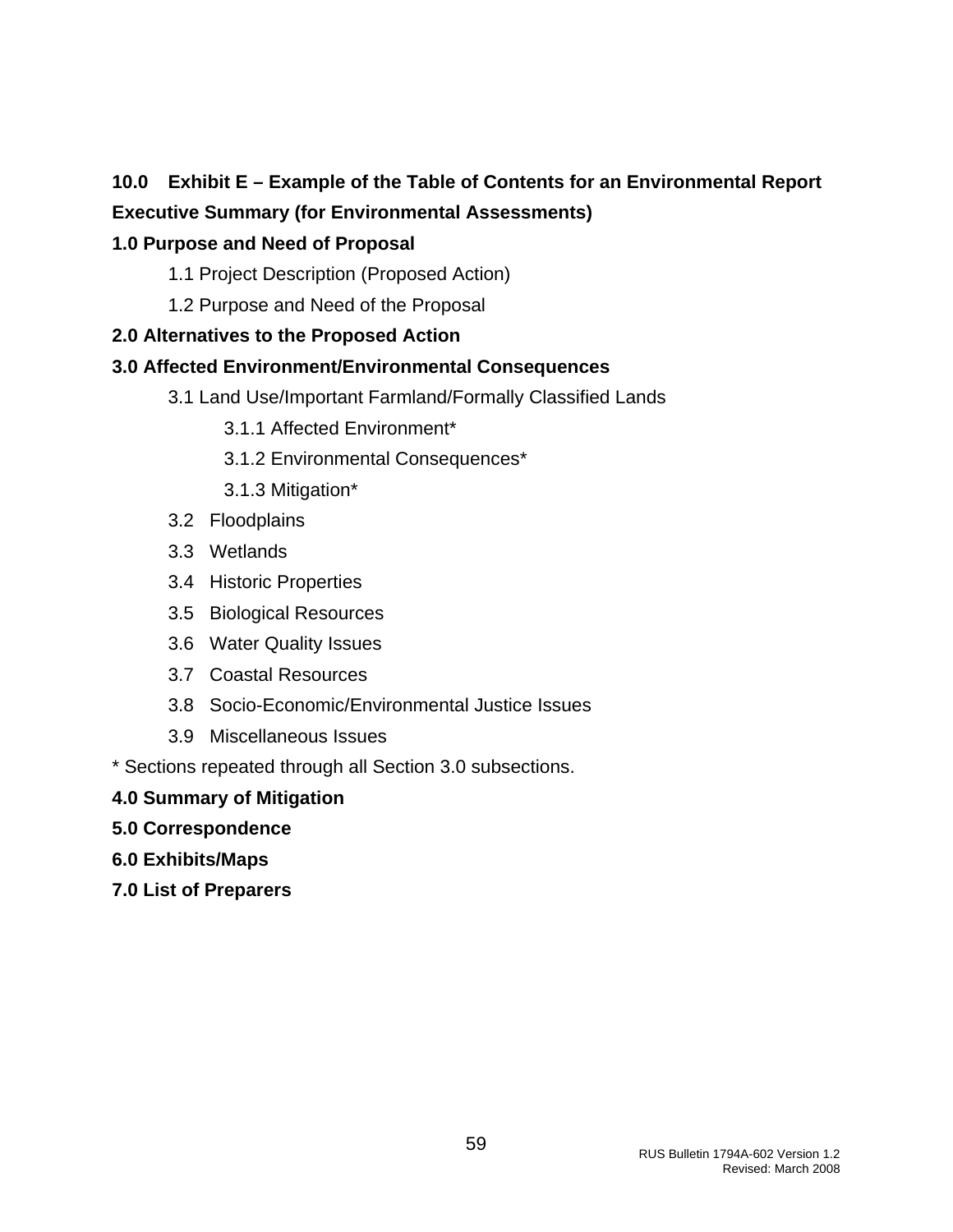### <span id="page-59-0"></span>**10.0 Exhibit E – Example of the Table of Contents for an Environmental Report**

## **Executive Summary (for Environmental Assessments)**

### **1.0 Purpose and Need of Proposal**

- 1.1 Project Description (Proposed Action)
- 1.2 Purpose and Need of the Proposal

### **2.0 Alternatives to the Proposed Action**

### **3.0 Affected Environment/Environmental Consequences**

- 3.1 Land Use/Important Farmland/Formally Classified Lands
	- 3.1.1 Affected Environment\*
	- 3.1.2 Environmental Consequences\*
	- 3.1.3 Mitigation\*
- 3.2 Floodplains
- 3.3 Wetlands
- 3.4 Historic Properties
- 3.5 Biological Resources
- 3.6 Water Quality Issues
- 3.7 Coastal Resources
- 3.8 Socio-Economic/Environmental Justice Issues
- 3.9 Miscellaneous Issues

\* Sections repeated through all Section 3.0 subsections.

#### **4.0 Summary of Mitigation**

- **5.0 Correspondence**
- **6.0 Exhibits/Maps**
- **7.0 List of Preparers**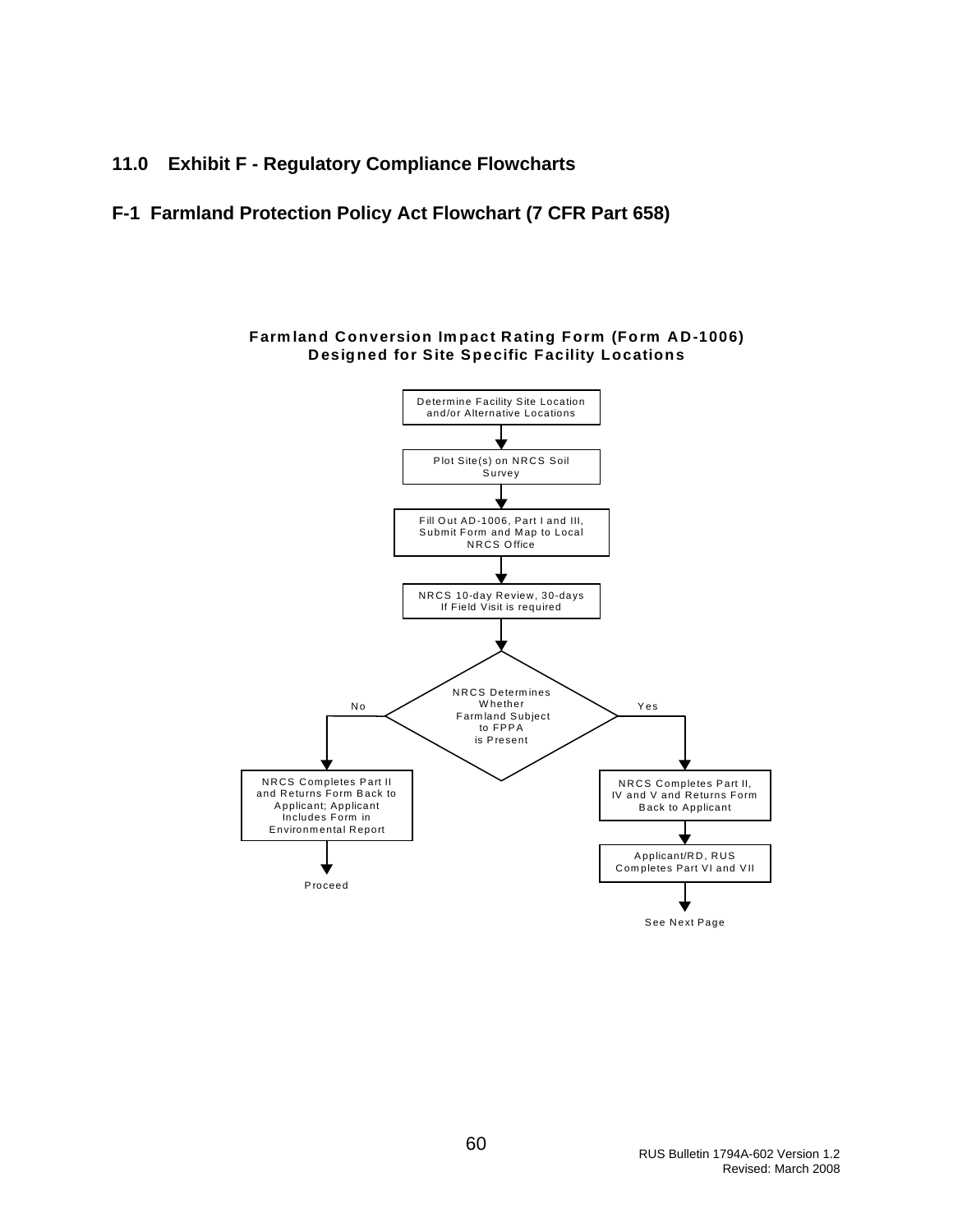#### <span id="page-60-0"></span>**11.0 Exhibit F - Regulatory Compliance Flowcharts**

#### **F-1 Farmland Protection Policy Act Flowchart (7 CFR Part 658)**



**Farmland Conversion Impact Rating Form (Form AD-1006) Designed for Site Specific Facility Locations**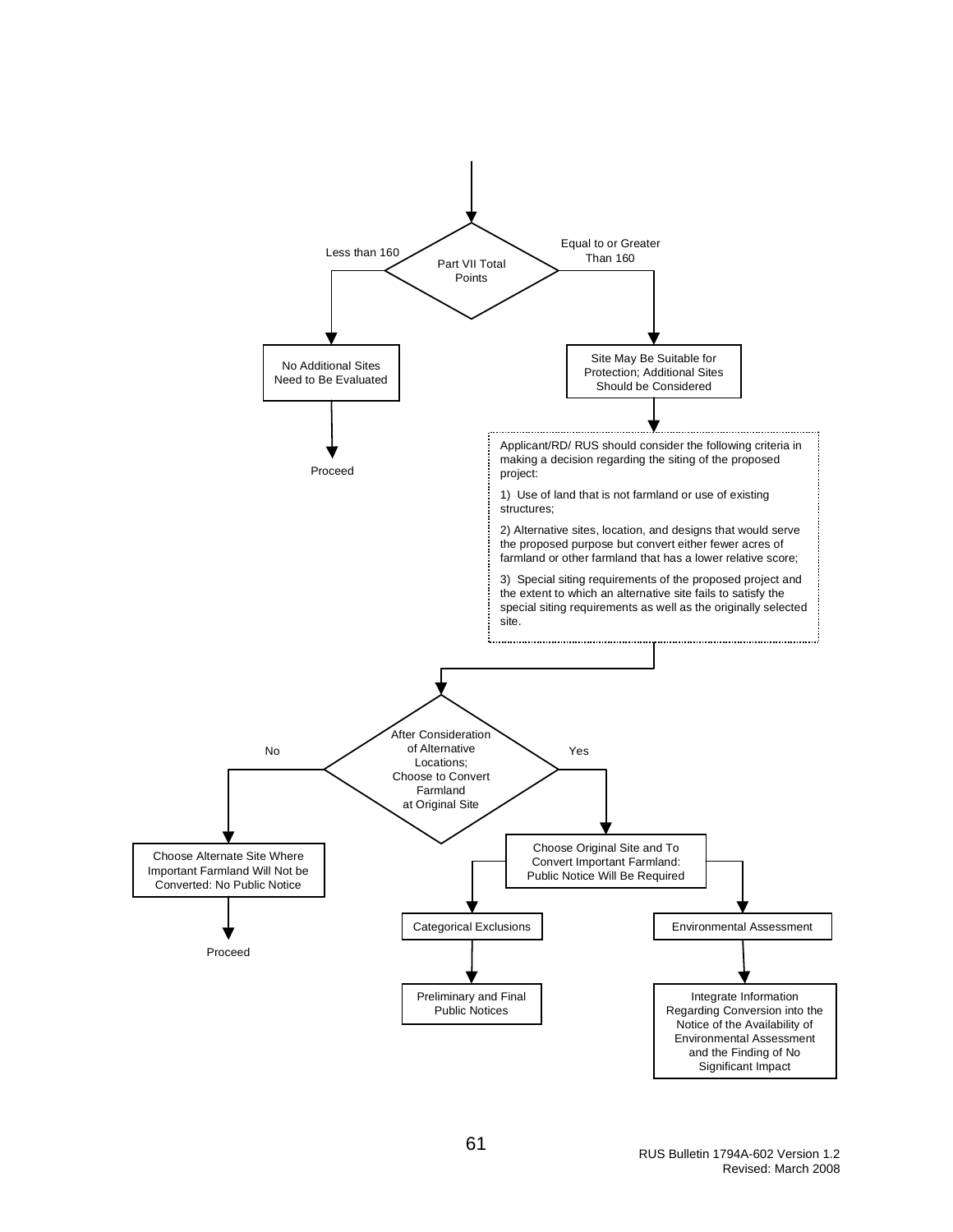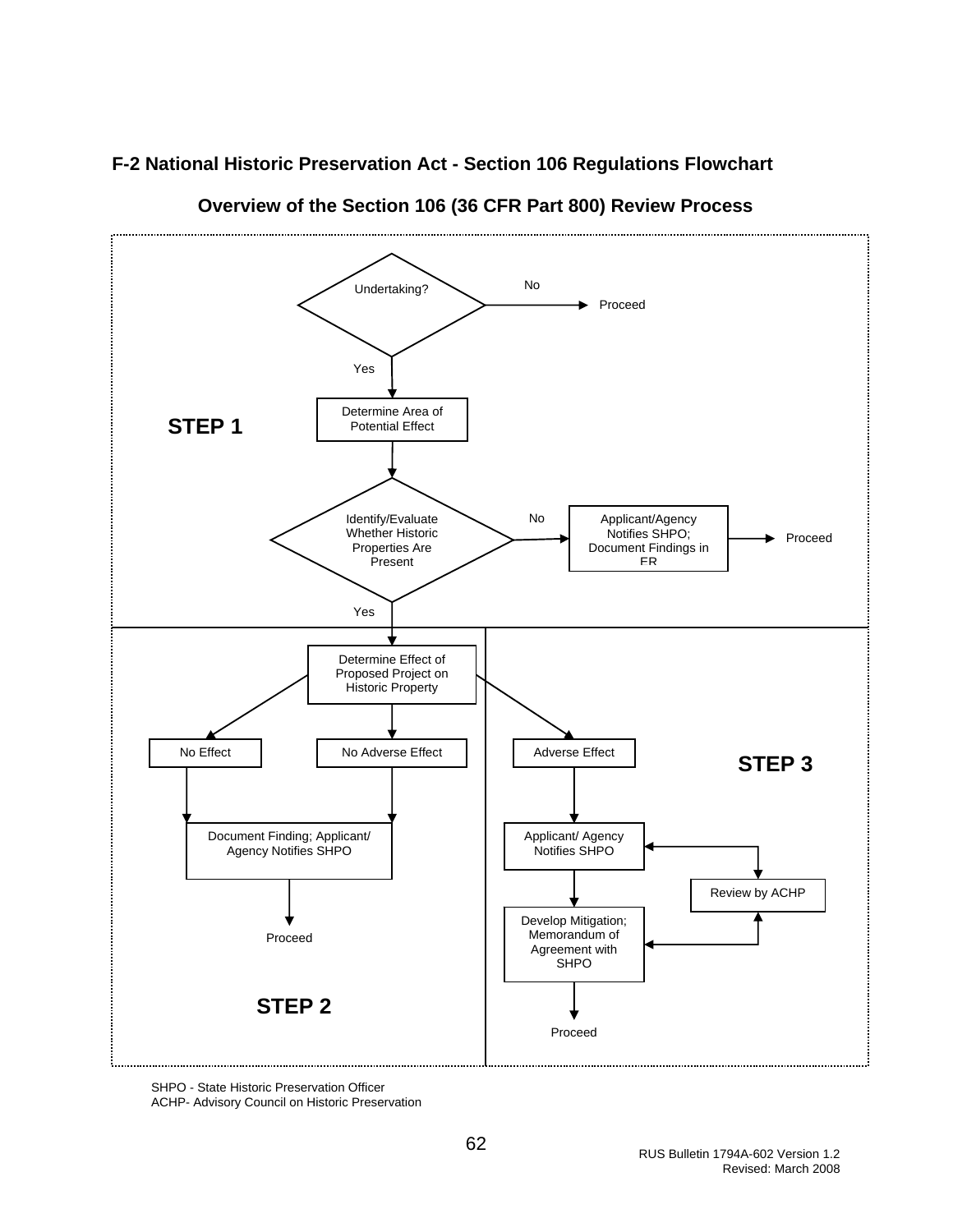#### <span id="page-62-0"></span>**F-2 National Historic Preservation Act - Section 106 Regulations Flowchart**



**Overview of the Section 106 (36 CFR Part 800) Review Process** 

SHPO - State Historic Preservation Officer ACHP- Advisory Council on Historic Preservation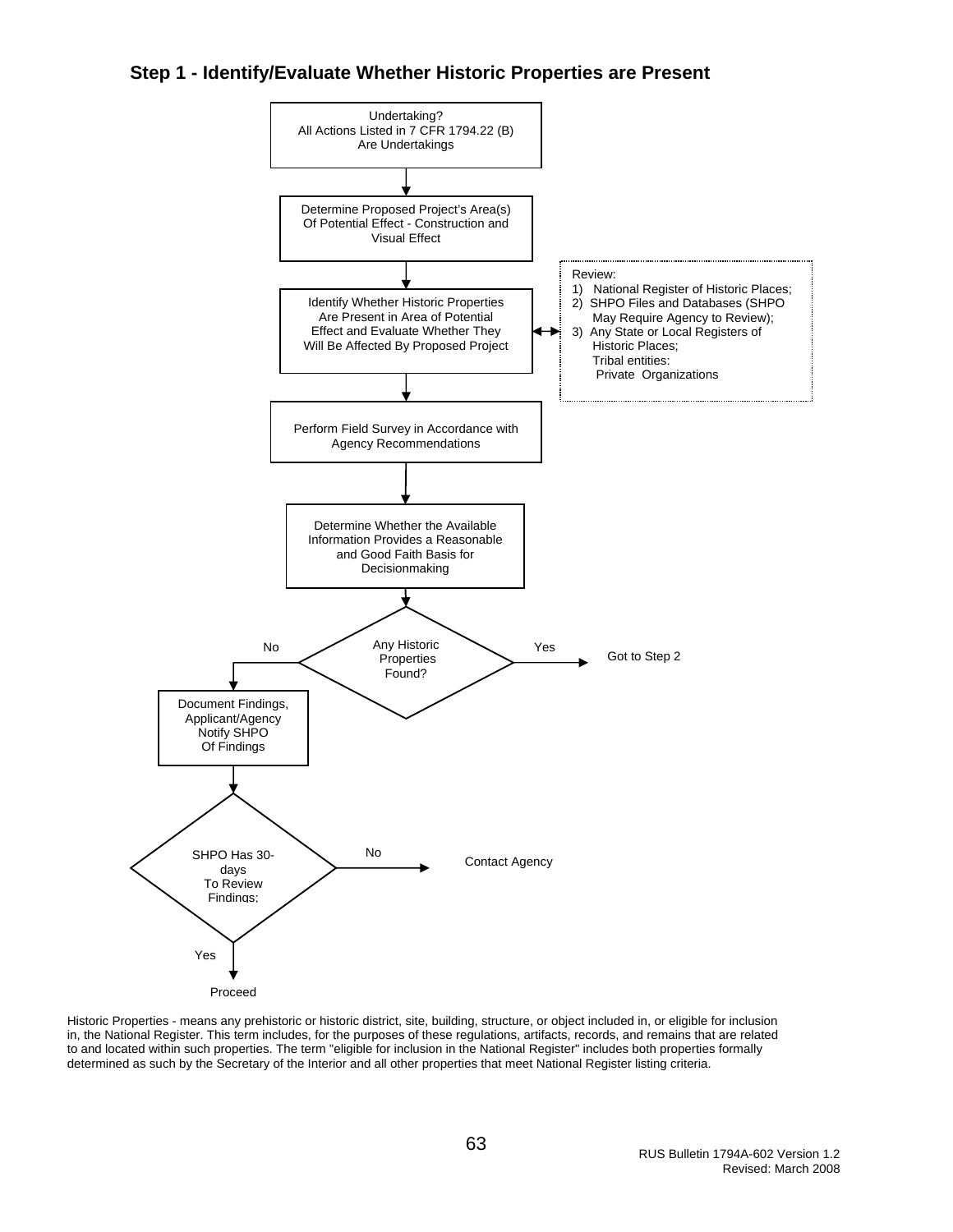#### **Step 1 - Identify/Evaluate Whether Historic Properties are Present**



Historic Properties - means any prehistoric or historic district, site, building, structure, or object included in, or eligible for inclusion in, the National Register. This term includes, for the purposes of these regulations, artifacts, records, and remains that are related to and located within such properties. The term "eligible for inclusion in the National Register" includes both properties formally determined as such by the Secretary of the Interior and all other properties that meet National Register listing criteria.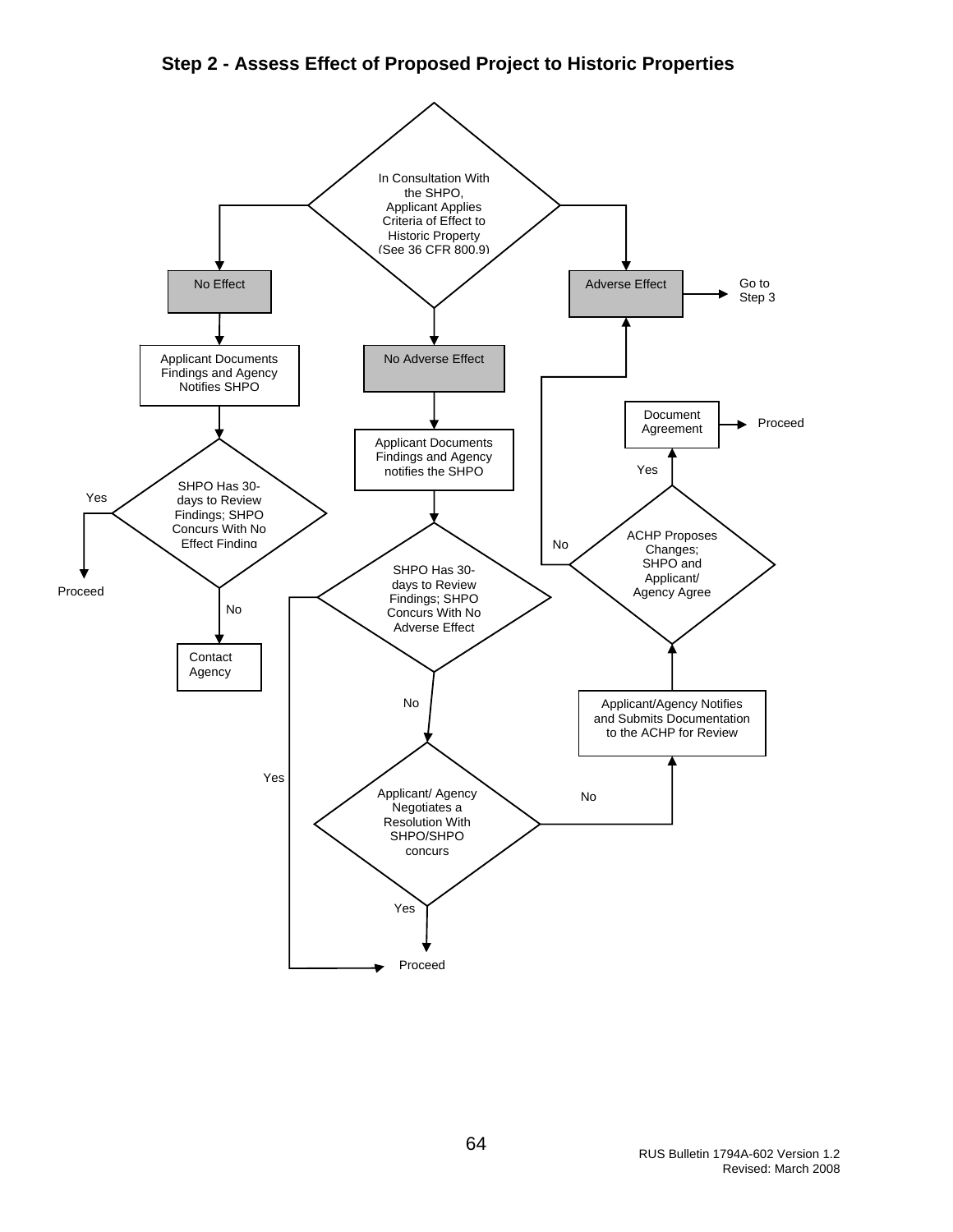#### **Step 2 - Assess Effect of Proposed Project to Historic Properties**

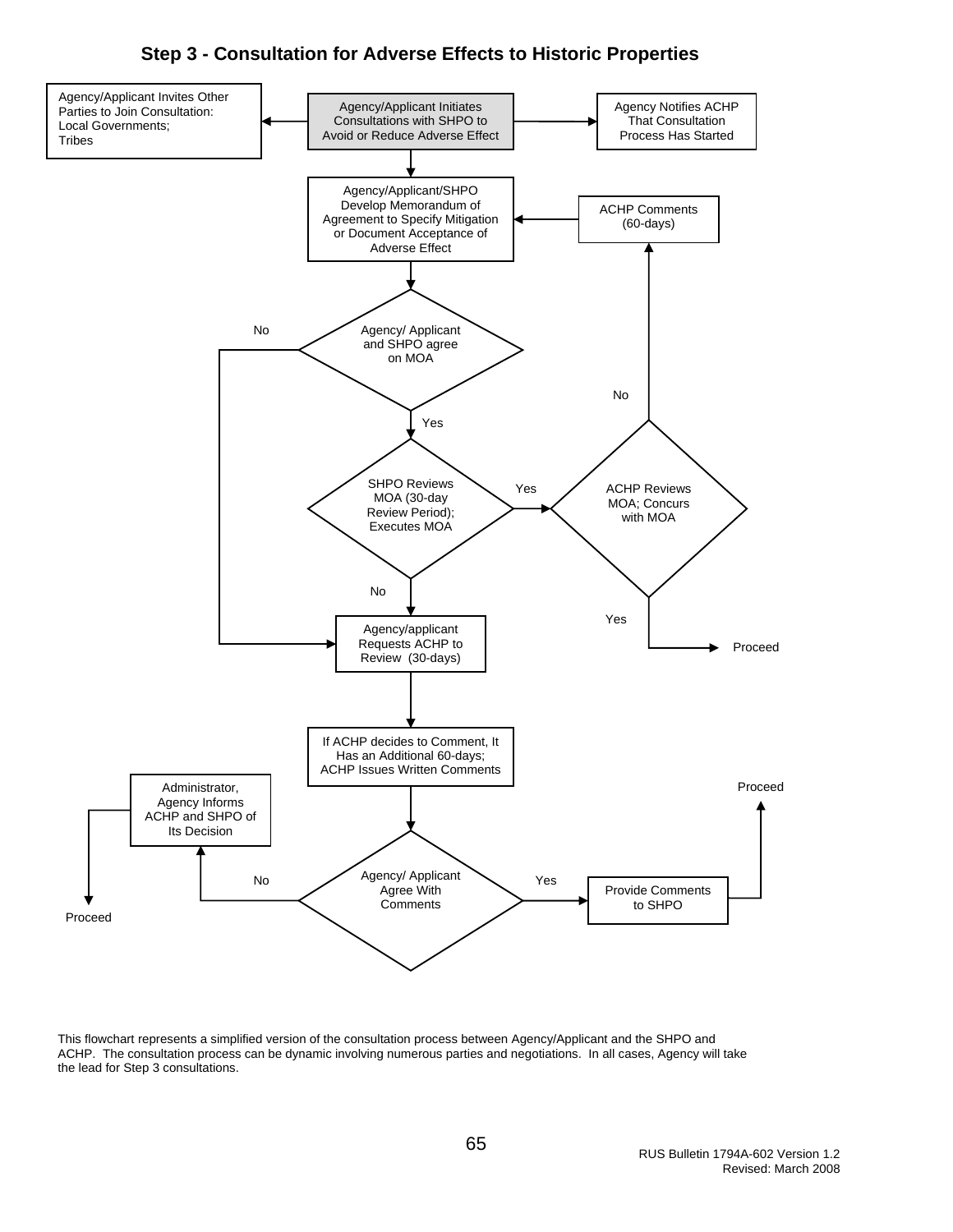#### **Step 3 - Consultation for Adverse Effects to Historic Properties**



This flowchart represents a simplified version of the consultation process between Agency/Applicant and the SHPO and ACHP. The consultation process can be dynamic involving numerous parties and negotiations. In all cases, Agency will take the lead for Step 3 consultations.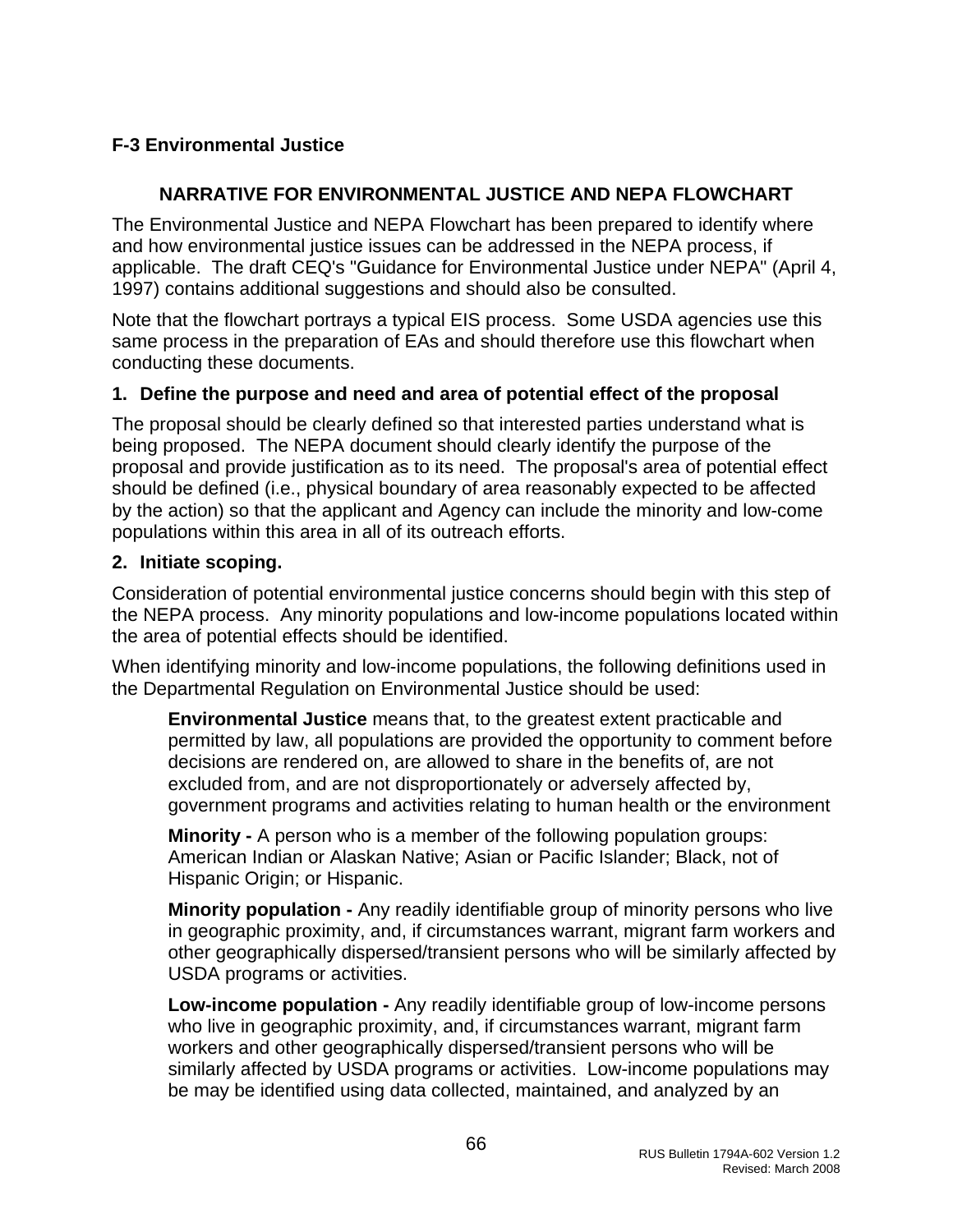# <span id="page-66-0"></span>**F-3 Environmental Justice**

# **NARRATIVE FOR ENVIRONMENTAL JUSTICE AND NEPA FLOWCHART**

The Environmental Justice and NEPA Flowchart has been prepared to identify where and how environmental justice issues can be addressed in the NEPA process, if applicable. The draft CEQ's "Guidance for Environmental Justice under NEPA" (April 4, 1997) contains additional suggestions and should also be consulted.

Note that the flowchart portrays a typical EIS process. Some USDA agencies use this same process in the preparation of EAs and should therefore use this flowchart when conducting these documents.

#### **1. Define the purpose and need and area of potential effect of the proposal**

The proposal should be clearly defined so that interested parties understand what is being proposed. The NEPA document should clearly identify the purpose of the proposal and provide justification as to its need. The proposal's area of potential effect should be defined (i.e., physical boundary of area reasonably expected to be affected by the action) so that the applicant and Agency can include the minority and low-come populations within this area in all of its outreach efforts.

#### **2. Initiate scoping.**

Consideration of potential environmental justice concerns should begin with this step of the NEPA process. Any minority populations and low-income populations located within the area of potential effects should be identified.

When identifying minority and low-income populations, the following definitions used in the Departmental Regulation on Environmental Justice should be used:

**Environmental Justice** means that, to the greatest extent practicable and permitted by law, all populations are provided the opportunity to comment before decisions are rendered on, are allowed to share in the benefits of, are not excluded from, and are not disproportionately or adversely affected by, government programs and activities relating to human health or the environment

**Minority -** A person who is a member of the following population groups: American Indian or Alaskan Native; Asian or Pacific Islander; Black, not of Hispanic Origin; or Hispanic.

**Minority population -** Any readily identifiable group of minority persons who live in geographic proximity, and, if circumstances warrant, migrant farm workers and other geographically dispersed/transient persons who will be similarly affected by USDA programs or activities.

**Low-income population -** Any readily identifiable group of low-income persons who live in geographic proximity, and, if circumstances warrant, migrant farm workers and other geographically dispersed/transient persons who will be similarly affected by USDA programs or activities. Low-income populations may be may be identified using data collected, maintained, and analyzed by an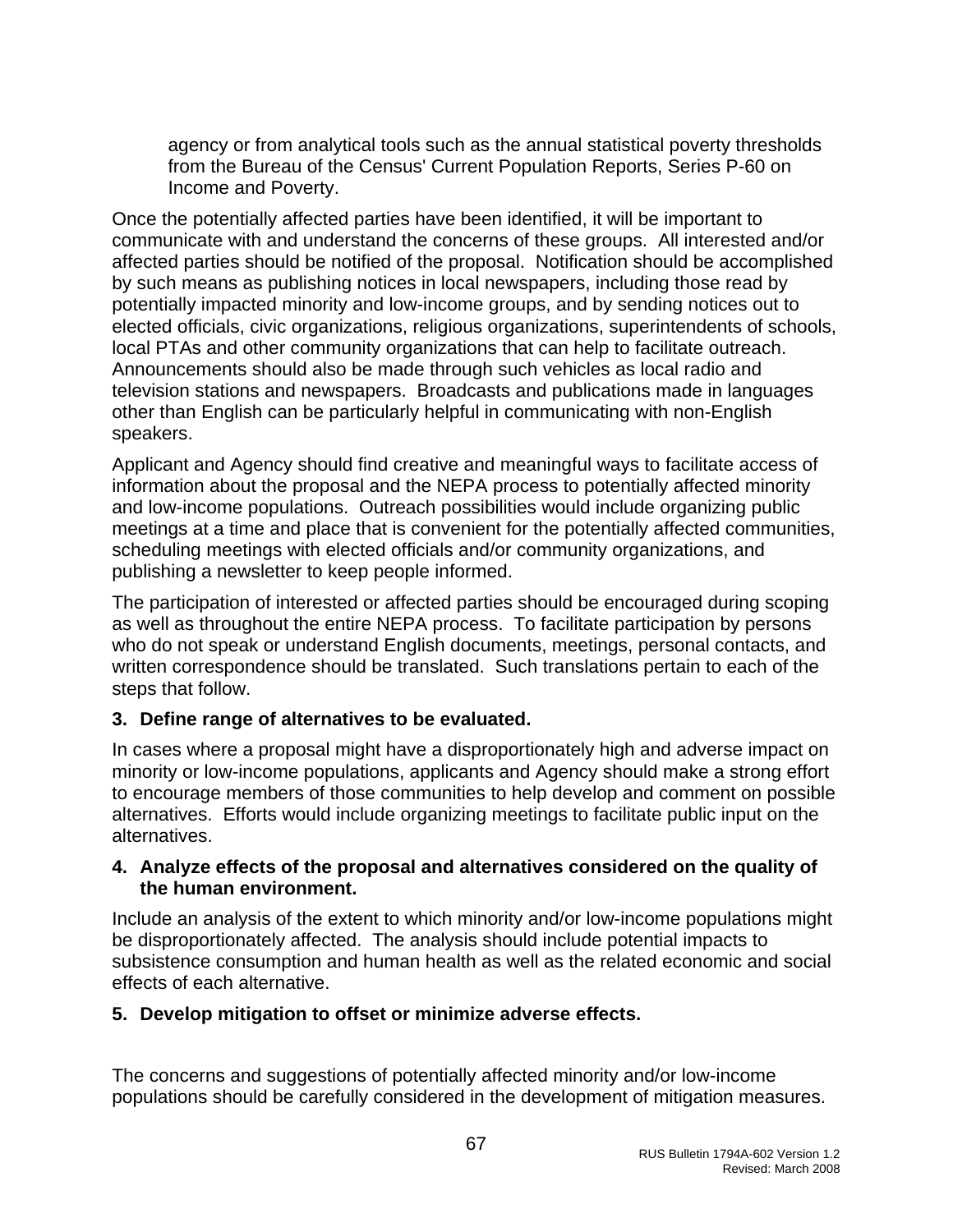agency or from analytical tools such as the annual statistical poverty thresholds from the Bureau of the Census' Current Population Reports, Series P-60 on Income and Poverty.

Once the potentially affected parties have been identified, it will be important to communicate with and understand the concerns of these groups. All interested and/or affected parties should be notified of the proposal. Notification should be accomplished by such means as publishing notices in local newspapers, including those read by potentially impacted minority and low-income groups, and by sending notices out to elected officials, civic organizations, religious organizations, superintendents of schools, local PTAs and other community organizations that can help to facilitate outreach. Announcements should also be made through such vehicles as local radio and television stations and newspapers. Broadcasts and publications made in languages other than English can be particularly helpful in communicating with non-English speakers.

Applicant and Agency should find creative and meaningful ways to facilitate access of information about the proposal and the NEPA process to potentially affected minority and low-income populations. Outreach possibilities would include organizing public meetings at a time and place that is convenient for the potentially affected communities, scheduling meetings with elected officials and/or community organizations, and publishing a newsletter to keep people informed.

The participation of interested or affected parties should be encouraged during scoping as well as throughout the entire NEPA process. To facilitate participation by persons who do not speak or understand English documents, meetings, personal contacts, and written correspondence should be translated. Such translations pertain to each of the steps that follow.

#### **3. Define range of alternatives to be evaluated.**

In cases where a proposal might have a disproportionately high and adverse impact on minority or low-income populations, applicants and Agency should make a strong effort to encourage members of those communities to help develop and comment on possible alternatives. Efforts would include organizing meetings to facilitate public input on the alternatives.

#### **4. Analyze effects of the proposal and alternatives considered on the quality of the human environment.**

Include an analysis of the extent to which minority and/or low-income populations might be disproportionately affected. The analysis should include potential impacts to subsistence consumption and human health as well as the related economic and social effects of each alternative.

#### **5. Develop mitigation to offset or minimize adverse effects.**

The concerns and suggestions of potentially affected minority and/or low-income populations should be carefully considered in the development of mitigation measures.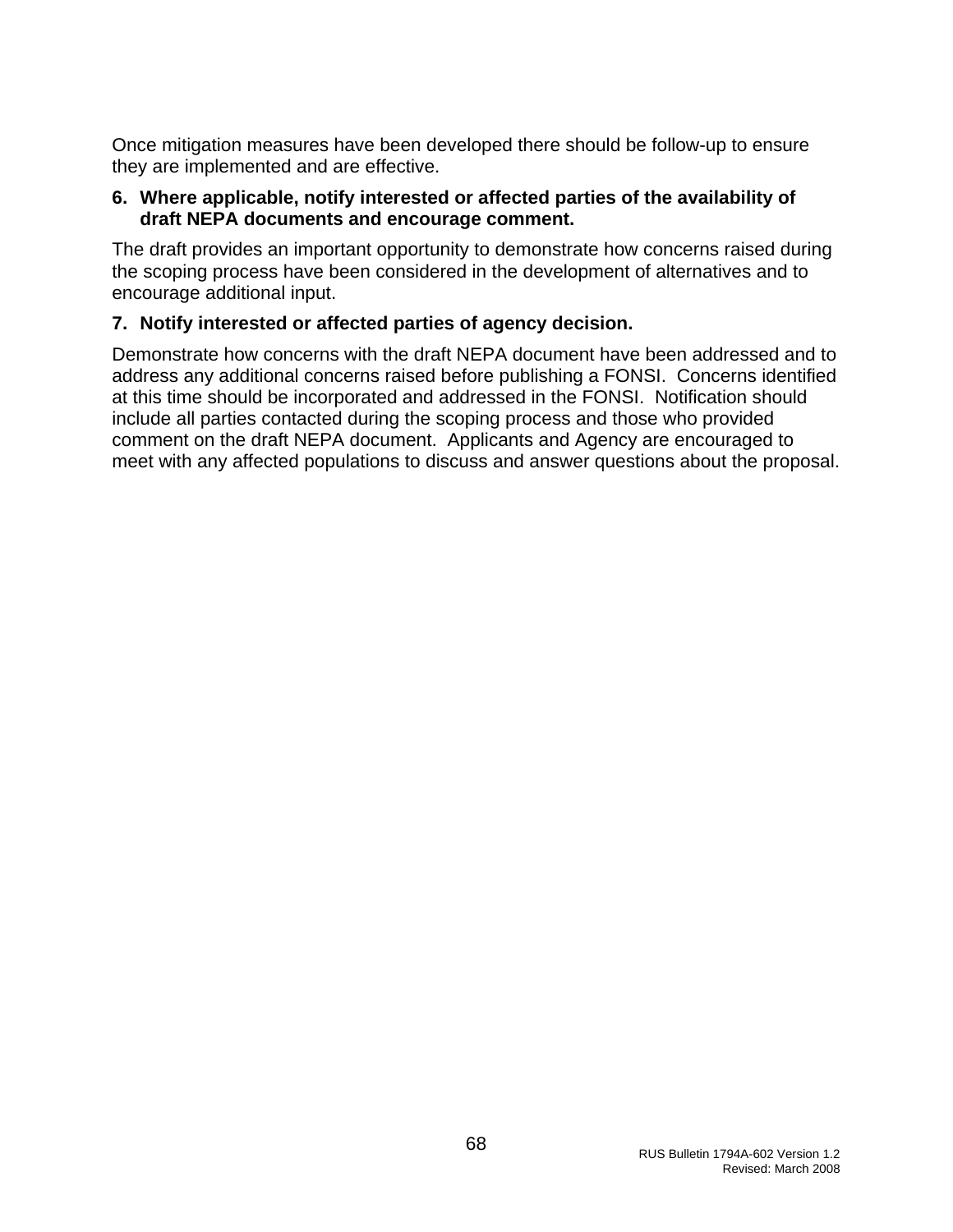Once mitigation measures have been developed there should be follow-up to ensure they are implemented and are effective.

#### **6. Where applicable, notify interested or affected parties of the availability of draft NEPA documents and encourage comment.**

The draft provides an important opportunity to demonstrate how concerns raised during the scoping process have been considered in the development of alternatives and to encourage additional input.

### **7. Notify interested or affected parties of agency decision.**

Demonstrate how concerns with the draft NEPA document have been addressed and to address any additional concerns raised before publishing a FONSI. Concerns identified at this time should be incorporated and addressed in the FONSI. Notification should include all parties contacted during the scoping process and those who provided comment on the draft NEPA document. Applicants and Agency are encouraged to meet with any affected populations to discuss and answer questions about the proposal.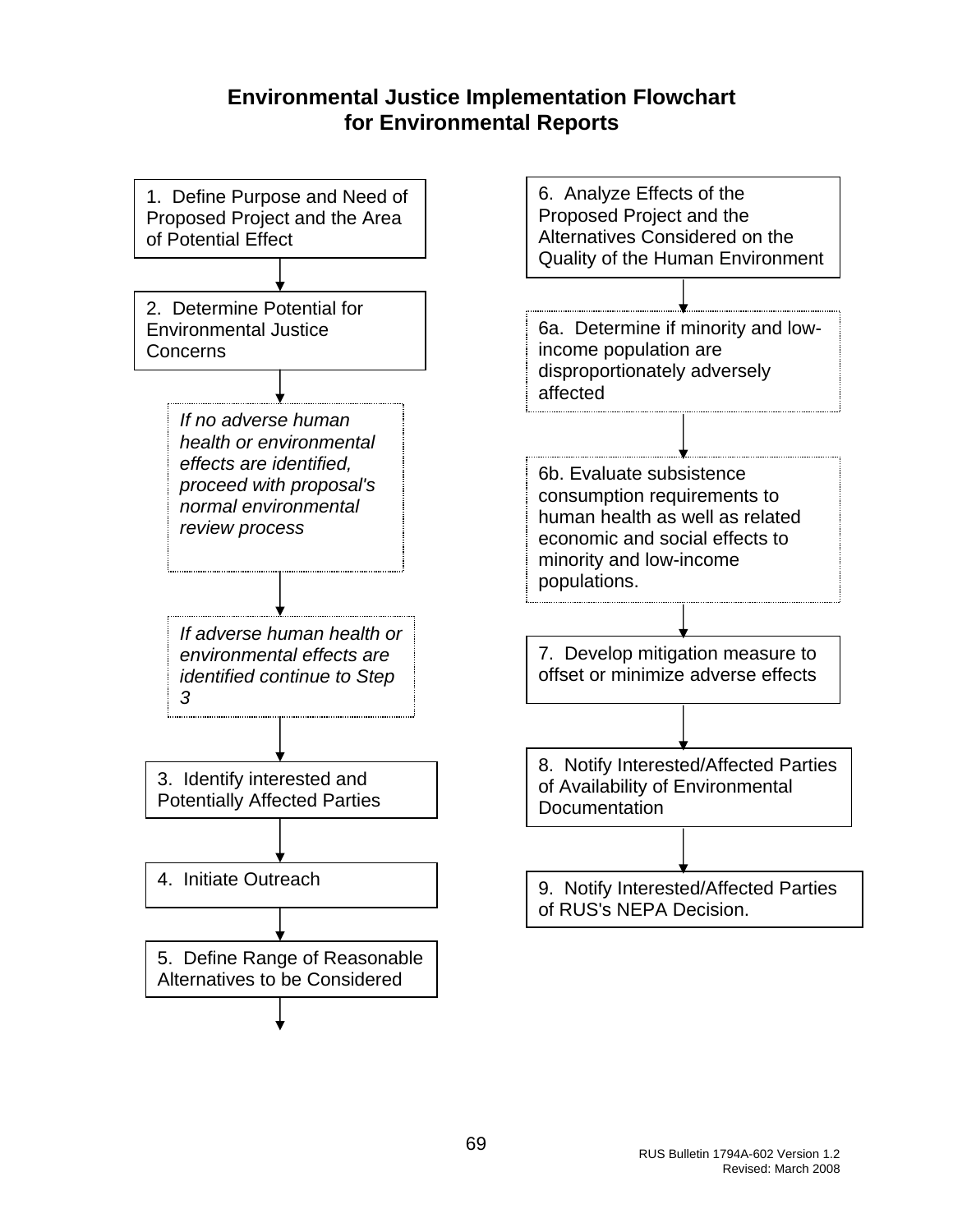# **Environmental Justice Implementation Flowchart for Environmental Reports**